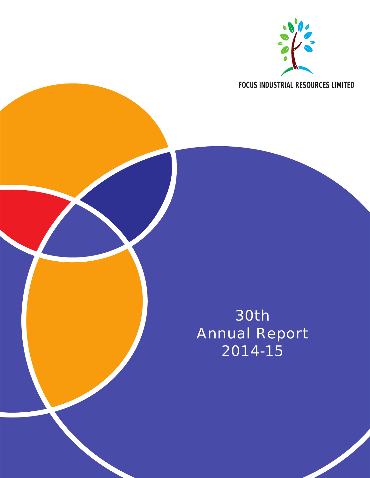

30th Annual Report 2014-15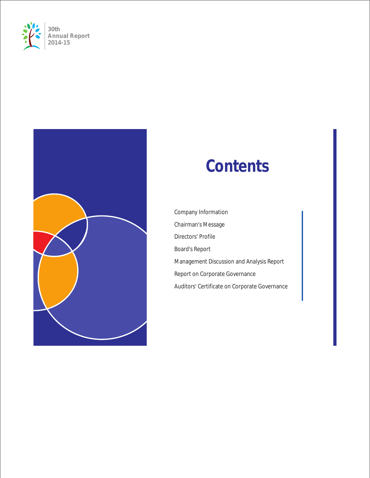



# **Contents**

Company Information Chairman's Message Directors' Profile Board's Report Management Discussion and Analysis Report Report on Corporate Governance Auditors' Certificate on Corporate Governance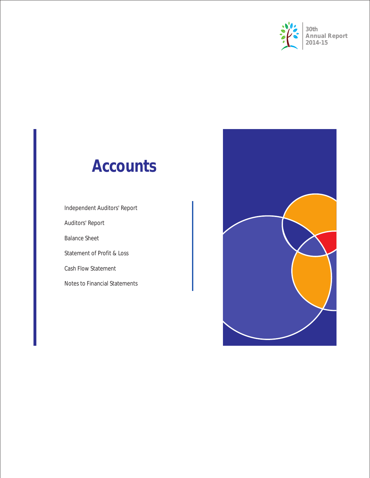

## **Accounts**

Independent Auditors' Report

Auditors' Report

Balance Sheet

Statement of Profit & Loss

Cash Flow Statement

Notes to Financial Statements

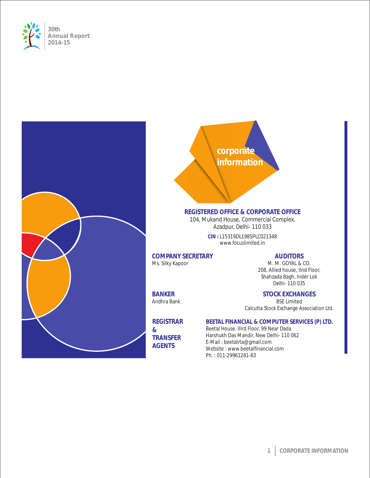



# **corporate information**

#### **REGISTERED OFFICE & CORPORATE OFFICE**

104, Mukand House, Commercial Complex, Azadpur, Delhi- 110 033

**CIN :** L15319DL1985PLC021348 www.focuslimited.in

#### **COMPANY SECRETARY**  Ms. Silky Kapoor

#### **AUDITORS**

M. M. GOYAL & CO. 208, Allied house, IInd Floor, Shahzada Bagh, Inder Lok Delhi- 110 035

**BANKER** Andhra Bank

### **REGISTRAR**

**& TRANSFER AGENTS**

#### **STOCK EXCHANGES** BSE Limited

Calcutta Stock Exchange Association Ltd.

#### **BEETAL FINANCIAL & COMPUTER SERVICES (P) LTD.**

Beetal House. IIIrd Floor, 99 Near Dada Harshukh Das Mandir, New Delhi- 110 062 E-Mail : beetalrta@gmail.com Website : www.beetalfinancial.com Ph. : 011-29961281-83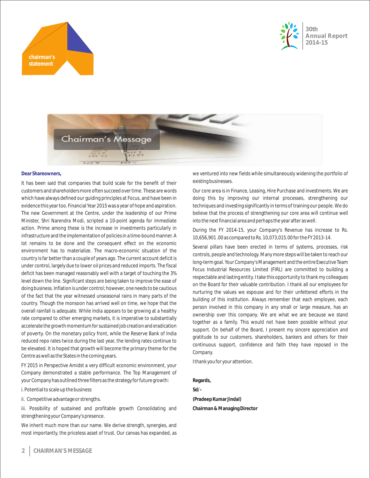





#### **Dear Shareowners,**

It has been said that companies that build scale for the benefit of their customers and shareholders more often succeed over time. These are words which have always defined our guiding principles at Focus, and have been in evidence this year too. Financial Year 2015 was a year of hope and aspiration. The new Government at the Centre, under the leadership of our Prime Minister, Shri Narendra Modi, scripted a 10-point agenda for immediate action. Prime among these is the increase in investments particularly in infrastructure and the implementation of policies in a time-bound manner. A lot remains to be done and the consequent effect on the economic environment has to materialize. The macro-economic situation of the country is far better than a couple of years ago. The current account deficit is under control, largely due to lower oil prices and reduced imports. The fiscal deficit has been managed reasonably well with a target of touching the 3% level down the line. Significant steps are being taken to improve the ease of doing business. Inflation is under control; however, one needs to be cautious of the fact that the year witnessed unseasonal rains in many parts of the country. Though the monsoon has arrived well on time, we hope that the overall rainfall is adequate. While India appears to be growing at a healthy rate compared to other emerging markets, it is imperative to substantially accelerate the growth momentum for sustained job creation and eradication of poverty. On the monetary policy front, while the Reserve Bank of India reduced repo rates twice during the last year, the lending rates continue to be elevated. It is hoped that growth will become the primary theme for the Centre as well as the States in the coming years.

FY 2015 in Perspective Amidst a very difficult economic environment, your Company demonstrated a stable performance. The Top Management of your Company has outlined three filters as the strategy for future growth:

i. Potential to scale up the business

ii. Competitive advantage or strengths.

iii. Possibility of sustained and profitable growth Consolidating and strengthening your Company's presence.

We inherit much more than our name. We derive strength, synergies, and most importantly, the priceless asset of trust. Our canvas has expanded, as we ventured into new fields while simultaneously widening the portfolio of existing businesses.

Our core area is in Finance, Leasing, Hire Purchase and investments. We are doing this by improving our internal processes, strengthening our techniques and investing significantly in terms of training our people. We do believe that the process of strengthening our core area will continue well into the next financial area and perhaps the year after as well.

During the FY 2014-15, your Company's Revenue has increase to Rs. 10,656,901 .00 as compared to Rs. 10,073,015.00 for the FY 2013-14.

Several pillars have been erected in terms of systems, processes, risk controls, people and technology. Many more steps will be taken to reach our long-term goal. Your Company's Management and the entire Executive Team Focus Industrial Resources Limited (FIRL) are committed to building a respectable and lasting entity. I take this opportunity to thank my colleagues on the Board for their valuable contribution. I thank all our employees for nurturing the values we espouse and for their unfettered efforts in the building of this institution. Always remember that each employee, each person involved in this company in any small or large measure, has an ownership over this company. We are what we are because we stand together as a family. This would not have been possible without your support. On behalf of the Board, I present my sincere appreciation and gratitude to our customers, shareholders, bankers and others for their continuous support, confidence and faith they have reposed in the Company.

I thank you for your attention.

**Regards,**

**Sd/-**

**(Pradeep Kumar Jindal) Chairman & Managing Director**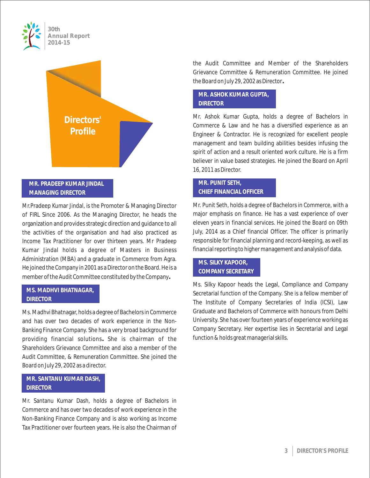



 **MR. PRADEEP KUMAR JINDAL MANAGING DIRECTOR**

Mr.Pradeep Kumar Jindal, is the Promoter & Managing Director of FIRL Since 2006. As the Managing Director, he heads the organization and provides strategic direction and guidance to all the activities of the organisation and had also practiced as Income Tax Practitioner for over thirteen years. Mr Pradeep Kumar Jindal holds a degree of Masters in Business Administration (MBA) and a graduate in Commerce from Agra. He joined the Company in 2001 as a Director on the Board. He is a member of the Audit Committee constituted by the Company**.**

#### **MS. MADHVI BHATNAGAR, DIRECTOR**

Ms. Madhvi Bhatnagar, holds a degree of Bachelors in Commerce and has over two decades of work experience in the Non-Banking Finance Company. She has a very broad background for providing financial solutions**.**She is chairman of the Shareholders Grievance Committee and also a member of the Audit Committee, & Remuneration Committee. She joined the Board on July 29, 2002 as a director.

#### **MR. SANTANU KUMAR DASH, DIRECTOR**

Mr. Santanu Kumar Dash, holds a degree of Bachelors in Commerce and has over two decades of work experience in the Non-Banking Finance Company and is also working as Income Tax Practitioner over fourteen years. He is also the Chairman of the Audit Committee and Member of the Shareholders Grievance Committee & Remuneration Committee. He joined the Board on July 29, 2002 as Director**.**

### **MR. ASHOK KUMAR GUPTA, DIRECTOR**

Mr. Ashok Kumar Gupta, holds a degree of Bachelors in Commerce & Law and he has a diversified experience as an Engineer & Contractor. He is recognized for excellent people management and team building abilities besides infusing the spirit of action and a result oriented work culture. He is a firm believer in value based strategies. He joined the Board on April 16, 2011 as Director.

### **MR. PUNIT SETH, CHIEF FINANCIAL OFFICER**

Mr. Punit Seth, holds a degree of Bachelors in Commerce, with a major emphasis on finance. He has a vast experience of over eleven years in financial services. He joined the Board on 09th July, 2014 as a Chief financial Officer. The officer is primarily responsible for financial planning and record-keeping, as well as financial reporting to higher management and analysisof data.

### **MS. SILKY KAPOOR, COMPANY SECRETARY**

Ms. Silky Kapoor heads the Legal, Compliance and Company Secretarial function of the Company. She is a fellow member of The Institute of Company Secretaries of India (ICSI), Law Graduate and Bachelors of Commerce with honours from Delhi University. She has over fourteen years of experience working as Company Secretary. Her expertise lies in Secretarial and Legal function & holds great managerial skills.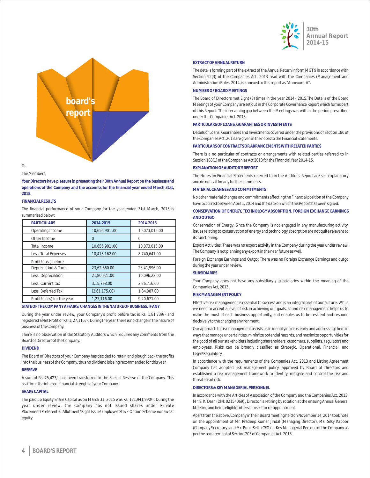



#### To,

#### The Members,

**Your Directors have pleasure in presenting their 30th Annual Report on the business and operations of the Company and the accounts for the financial year ended March 31st, 2015.**

#### **FINANCIAL RESULTS**

The financial performance of your Company for the year ended 31st March, 2015 is summarised below:

| <b>PARTICULARS</b>         | 2014-2015     | 2014-2013     |
|----------------------------|---------------|---------------|
| Operating Income           | 10,656,901.00 | 10,073,015.00 |
| Other Income               | 0             |               |
| <b>Total Income</b>        | 10,656,901.00 | 10,073,015.00 |
| Less: Total Expenses       | 10,475,162.00 | 8,740,641.00  |
| Profit/(loss) before       |               |               |
| Depreciation & Taxes       | 23.62.660.00  | 23,41,996.00  |
| Less: Depreciation         | 21,80,921.00  | 10,096,22.00  |
| Less: Current tax          | 3.15.798.00   | 2.26.716.00   |
| Less: Deferred Tax         | (2,61,175.00) | 1.84.987.00   |
| Profit/(Loss) for the year | 1.27.116.00   | 9.20.671.00   |

**STATE OF THE COMPANY AFFAIRS/CHANGES IN THE NATURE OF BUSINESS, IF ANY** 

During the year under review, your Company's profit before tax is Rs. 1,81,739/- and registered a Net Profit of Rs. 1, 27,116 /-. During the year, there is no change in the nature of business of the Company.

There is no observation of the Statutory Auditors which requires any comments from the Board of Directors of the Company.

#### **DIVIDEND**

The Board of Directors of your Company has decided to retain and plough back the profits into the business of the Company, thus no dividend is being recommended for this year.

#### **RESERVE**

A sum of Rs. 25,423/- has been transferred to the Special Reserve of the Company. This reaffirms the inherent financial strength of your Company.

#### **SHARE CAPITAL**

The paid up Equity Share Capital as on March 31, 2015 was Rs. 121,941,990/-. During the year under review, the Company has not issued shares under Private Placement/Preferential Allotment/Right Issue/Employee Stock Option Scheme nor sweat equity.

#### **EXTRACT OF ANNUAL RETURN**

The details forming part of the extract of the Annual Return in form MGT 9 in accordance with Section 92(3) of the Companies Act, 2013 read with the Companies (Management and Administration) Rules, 2014, is annexed to this report as "Annexure-A".

#### **NUMBER OF BOARD MEETINGS**

The Board of Directors met Eight (8) times in the year 2014 - 2015.The Details of the Board Meetings of your Company are set out in the Corporate Governance Report which forms part of this Report. The intervening gap between the Meetings was within the period prescribed under the Companies Act, 2013.

#### **PARTICULARS OF LOANS, GUARANTEES OR INVESTMENTS**

Details of Loans, Guarantees and Investments covered under the provisions of Section 186 of the Companies Act, 2013 are given in the notes to the Financial Statements.

#### **PARTICULARS OF CONTRACTS OR ARRANGEMENTS WITH RELATED PARTIES**

There is a no particular of contracts or arrangements with related parties referred to in Section 188(1) of the Companies Act 2013 for the Financial Year 2014-15.

#### **EXPLANATION OF AUDITOR'S REPORT**

The Notes on Financial Statements referred to in the Auditors' Report are self-explanatory and do not call for any further comments.

#### **MATERIAL CHANGES AND COMMITMENTS**

No other material changes and commitments affecting the Financial position of the Company have occurred between April 1, 2014 and the date on which this Report has been signed.

#### **CONSERVATION OF ENERGY, TECHNOLOGY ABSORPTION, FOREIGN EXCHANGE EARNINGS AND OUTGO**

Conservation of Energy: Since the Company is not engaged in any manufacturing activity, issues relating to conservation of energy and technology absorption are not quite relevant to its functioning.

Export Activities: There was no export activity in the Company during the year under review. The Company is not planning any export in the near future as well.

Foreign Exchange Earnings and Outgo: There was no Foreign Exchange Earnings and outgo during the year under review.

#### **SUBSIDIARIES**

Your Company does not have any subsidiary / subsidiaries within the meaning of the Companies Act, 2013.

#### **RISK MANAGEMENT POLICY**

Effective risk management is essential to success and is an integral part of our culture. While we need to accept a level of risk in achieving our goals, sound risk management helps us to make the most of each business opportunity, and enables us to be resilient and respond decisively to the changing environment.

Our approach to risk management assists us in identifying risks early and addressing them in ways that manage uncertainties, minimize potential hazards, and maximize opportunities for the good of all our stakeholders including shareholders, customers, suppliers, regulators and employees. Risks can be broadly classified as Strategic, Operational, Financial, and Legal/Regulatory.

In accordance with the requirements of the Companies Act, 2013 and Listing Agreement Company has adopted risk management policy, approved by Board of Directors and established a risk management framework to identify, mitigate and control the risk and threatens of risk.

#### **DIRECTORS & KEY MANAGERIAL PERSONNEL**

In accordance with the Articles of Association of the Company and the Companies Act, 2013, Mr. S. K. Dash (DIN: 02154069) , Director is retiring by rotation at the ensuing Annual General Meeting and being eligible, offers himself for re-appointment.

Apart from the above, Company in their Board meeting held on November 14, 2014 took note on the appointment of Mr. Pradeep Kumar Jindal (Managing Director), Ms. Silky Kapoor (Company Secretary) and Mr. Punit Seth (CFO) as Key Managerial Persons of the Company as per the requirement of Section 203 of Companies Act, 2013.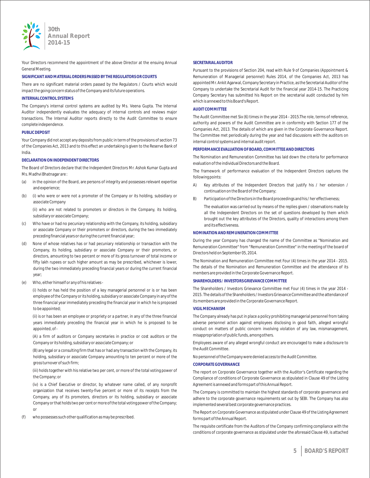

Your Directors recommend the appointment of the above Director at the ensuing Annual General Meeting.

#### **SIGNIFICANT AND MATERIAL ORDERS PASSED BY THE REGULATORS OR COURTS**

There are no significant material orders passed by the Regulators / Courts which would impact the going concern status of the Company and its future operations.

#### **INTERNAL CONTROL SYSTEMS**

The Company's internal control systems are audited by Ms. Veena Gupta. The Internal Auditor independently evaluates the adequacy of internal controls and reviews major transactions. The Internal Auditor reports directly to the Audit Committee to ensure complete independence.

#### **PUBLIC DEPOSIT**

Your Company did not accept any deposits from public in term of the provisions of section 73 of the Companies Act, 2013 and to this effect an undertaking is given to the Reserve Bank of India.

#### **DECLARATION ON INDEPENDENT DIRECTORS**

The Board of Directors declare that the Independent Directors Mr. Ashok Kumar Gupta and Ms. Madhvi Bhatnagar are :

- (a) in the opinion of the Board, are persons of integrity and possesses relevant expertise and experience;
- (b) (i) who were or were not a promoter of the Company or its holding, subsidiary or associate Company

(ii) who are not related to promoters or directors in the Company, its holding, subsidiary or associate Company;

- (c) Who have or had no pecuniary relationship with the Company, its holding, subsidiary or associate Company or their promoters or directors, during the two immediately preceding financial years or during the current financial year;
- (d) None of whose relatives has or had pecuniary relationship or transaction with the Company, its holding, subsidiary or associate Company or their promoters, or directors, amounting to two percent or more of its gross turnover of total income or fifty lakh rupees or such higher amount as may be prescribed, whichever is lower, during the two immediately preceding financial years or during the current financial year;
- (e) Who, either himself or any of his relatives -

(i) holds or has held the position of a key managerial personnel or is or has been employee of the Company or its holding, subsidiary or associate Company in any of the three financial year immediately preceding the financial year in which he is proposed to be appointed;

(ii) is or has been an employee or propriety or a partner, in any of the three financial years immediately preceding the financial year in which he is proposed to be appointed, of -

(A) a firm of auditors or Company secretaries in practice or cost auditors or the Company or its holding, subsidiary or associate Company; or

(B) any legal or a consulting firm that has or had any transaction with the Company, its holding, subsidiary or associate Company amounting to ten percent or more of the gross turnover of such firm;

(iii) holds together with his relative two per cent, or more of the total voting power of the Company; or

(iv) is a Chief Executive or director, by whatever name called, of any nonprofit organization that receives twenty-five percent or more of its receipts from the Company, any of its promoters, directors or its holding, subsidiary or associate Company or that holds two per cent or more of the total voting power of the Company; or

(f) who possesses such other qualification as may be prescribed.

#### **SECRETARIAL AUDITOR**

Pursuant to the provisions of Section 204, read with Rule 9 of Companies (Appointment & Remuneration of Managerial personnel) Rules 2014, of the Companies Act, 2013 has appointed Mr. Ankit Agarwal, Company Secretary in Practice, as the Secretarial Auditor of the Company to undertake the Secretarial Audit for the financial year 2014-15. The Practicing Company Secretary has submitted his Report on the secretarial audit conducted by him which is annexed to this Board's Report.

#### **AUDIT COMMITTEE**

The Audit Committee met Six (6) times in the year 2014 - 2015.The role, terms of reference, authority and powers of the Audit Committee are in conformity with Section 177 of the Companies Act, 2013. The details of which are given in the Corporate Governance Report. The Committee met periodically during the year and had discussions with the auditors on internal control systems and internal audit report.

#### **PERFORMANCE EVALUATION OF BOARD, COMMITTEE AND DIRECTORS**

The Nomination and Remuneration Committee has laid down the criteria for performance evaluation of the individual Directors and the Board.

The framework of performance evaluation of the Independent Directors captures the following points:

- A) Key attributes of the Independent Directors that justify his / her extension / continuation on the Board of the Company;
- B) Participation of the Directors in the Board proceedings and his / her effectiveness;
	- The evaluation was carried out by means of the replies given / observations made by all the Independent Directors on the set of questions developed by them which brought out the key attributes of the Directors, quality of interactions among them and its effectiveness.

#### **NOMINATION AND REMUNERATION COMMITTEE**

During the year Company has changed the name of the Committee as "Nomination and Remuneration Committee" from "Remuneration Committee" in the meeting of the board of Directors held on September 05, 2014.

The Nomination and Remuneration Committee met Four (4) times in the year 2014 - 2015. The details of the Nomination and Remuneration Committee and the attendance of its members are provided in the Corporate Governance Report.

#### **SHAREHOLDERS / INVESTORS GRIEVANCE COMMITTEE**

The Shareholders / Investors Grievance Committee met Four (4) times in the year 2014 - 2015. The details of the Shareholders / Investors Grievance Committee and the attendance of its members are provided in the Corporate Governance Report.

#### **VIGIL MECHANISM**

The Company already has put in place a policy prohibiting managerial personnel from taking adverse personnel action against employees disclosing in good faith, alleged wrongful conduct on matters of public concern involving violation of any law, mismanagement, misappropriation of public funds, among others.

Employees aware of any alleged wrongful conduct are encouraged to make a disclosure to the Audit Committee.

No personnel of the Company were denied access to the Audit Committee.

#### **CORPORATE GOVERNANCE**

The report on Corporate Governance together with the Auditor's Certificate regarding the Compliance of conditions of Corporate Governance as stipulated in Clause 49 of the Listing Agreement is annexed and forms part of this Annual Report.

The Company is committed to maintain the highest standards of corporate governance and adhere to the corporate governance requirements set out by SEBI. The Company has also implemented several best corporate governance practices.

The Report on Corporate Governance as stipulated under Clause 49 of the Listing Agreement forms part of the Annual Report.

The requisite certificate from the Auditors of the Company confirming compliance with the conditions of corporate governance as stipulated under the aforesaid Clause 49, is attached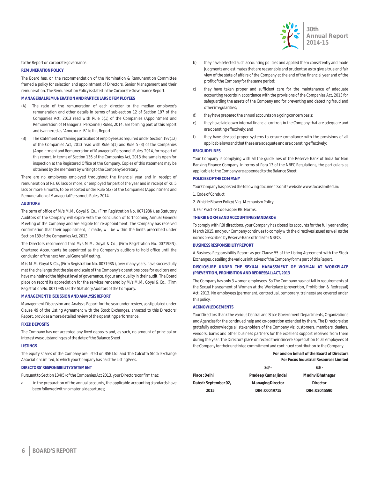

to the Report on corporate governance.

#### **REMUNERATION POLICY**

The Board has, on the recommendation of the Nomination & Remuneration Committee framed a policy for selection and appointment of Directors, Senior Management and their remuneration. The Remuneration Policy is stated in the Corporate Governance Report.

#### **MANAGERIAL REMUNERATION AND PARTICULARS OF EMPLOYEES**

- (A) The ratio of the remuneration of each director to the median employee's remuneration and other details in terms of sub-section 12 of Section 197 of the Companies Act, 2013 read with Rule 5(1) of the Companies (Appointment and Remuneration of Managerial Personnel) Rules, 2014, are forming part of this report and is annexed as "Annexure - B" to this Report.
- (B) The statement containing particulars of employees as required under Section 197(12) of the Companies Act, 2013 read with Rule 5(1) and Rule 5 (3) of the Companies (Appointment and Remuneration of Managerial Personnel) Rules, 2014, forms part of this report. In terms of Section 136 of the Companies Act, 2013 the same is open for inspection at the Registered Office of the Company. Copies of this statement may be obtained by the members by writing to the Company Secretary.

There are no employees employed throughout the financial year and in receipt of remuneration of Rs. 60 lacs or more, or employed for part of the year and in receipt of Rs. 5 lacs or more a month, to be reported under Rule 5(2) of the Companies (Appointment and Remuneration of Managerial Personnel) Rules, 2014.

#### **AUDITORS**

The term of office of M/s M.M. Goyal & Co., (Firm Registration No. 007198N), as Statutory Auditors of the Company will expire with the conclusion of forthcoming Annual General Meeting of the Company and are eligible for re-appointment. The Company has received confirmation that their appointment, if made, will be within the limits prescribed under Section 139 of the Companies Act, 2013.

The Directors recommend that M/s M.M. Goyal & Co., (Firm Registration No. 007198N), Chartered Accountants be appointed as the Company's auditors to hold office until the conclusion of the next Annual General Meeting.

M/s M.M. Goyal & Co., (Firm Registration No. 007198N), over many years, have successfully met the challenge that the size and scale of the Company's operations pose for auditors and have maintained the highest level of governance, rigour and quality in their audit. The Board place on record its appreciation for the services rendered by M/s M.M. Goyal & Co., (Firm Registration No. 007198N) as the Statutory Auditors of the Company.

#### **MANAGEMENT DISCUSSION AND ANALYSIS REPORT**

Management Discussion and Analysis Report for the year under review, as stipulated under Clause 49 of the Listing Agreement with the Stock Exchanges, annexed to this Directors' Report, provides a more detailed review of the operating performance.

#### **FIXED DEPOSITS**

The Company has not accepted any fixed deposits and, as such, no amount of principal or interest was outstanding as of the date of the Balance Sheet.

#### **LISTINGS**

The equity shares of the Company are listed on BSE Ltd. and The Calcutta Stock Exchange Association Limited, to which your Company has paid the Listing Fees.

#### **DIRECTORS' RESPONSIBILITY STATEMENT**

Pursuant to Section 134(5) of the Companies Act 2013, your Directors confirm that:

a in the preparation of the annual accounts, the applicable accounting standards have been followed with no material departures;

- b) they have selected such accounting policies and applied them consistently and made judgments and estimates that are reasonable and prudent so as to give a true and fair view of the state of affairs of the Company at the end of the financial year and of the profit of the Company for the same period;
- c) they have taken proper and sufficient care for the maintenance of adequate accounting records in accordance with the provisions of the Companies Act, 2013 for safeguarding the assets of the Company and for preventing and detecting fraud and other irregularities;
- d) they have prepared the annual accounts on a going concern basis;
- e) they have laid down internal financial controls in the Company that are adequate and are operating effectively; and
- f) they have devised proper systems to ensure compliance with the provisions of all applicable laws and that these are adequate and are operating effectively;

#### **RBI GUIDELINES**

Your Company is complying with all the guidelines of the Reserve Bank of India for Non Banking Finance Company. In terms of Para 13 of the NBFC Regulations, the particulars as applicable to the Company are appended to the Balance Sheet.

#### **POLICIES OF THE COMPANY**

Your Company has posted the following documents on its website www.focuslimited.in:

- 1. Code of Conduct
- 2. Whistle Blower Policy/ Vigil Mechanism Policy
- 3. Fair Practice Code as per RBI Norms.

#### **THE RBI NORMS AND ACCOUNTING STANDARDS**

To comply with RBI directions, your Company has closed its accounts for the full year ending March 2015, and your Company continues to comply with the directives issued as well as the norms prescribed by Reserve Bank of India for NBFCs.

#### **BUSINESS RESPONSIBILITY REPORT**

A Business Responsibility Report as per Clause 55 of the Listing Agreement with the Stock Exchanges, detailing the various initiatives of the Company forms part of this Report.

#### **DISCLOSURE UNDER THE SEXUAL HARASSMENT OF WOMAN AT WORKPLACE (PREVENTION, PROHIBITION AND REDRESSAL) ACT, 2013**

The Company has only 3 women employees. So The Company has not fall in requirements of the Sexual Harassment of Women at the Workplace (prevention, Prohibition & Redressal) Act, 2013. No employees (permanent, contractual, temporary, trainees) are covered under this policy.

#### **ACKNOWLEDGEMENTS**

Your Directors thank the various Central and State Government Departments, Organizations and Agencies for the continued help and co-operation extended by them. The Directors also gratefully acknowledge all stakeholders of the Company viz. customers, members, dealers, vendors, banks and other business partners for the excellent support received from them during the year. The Directors place on record their sincere appreciation to all employees of the Company for their unstinted commitment and continued contribution to the Company.

> **For and on behalf of the Board of Directors For Focus Industrial Resources Limited**

|                      |                      | FUI FUCUS INQUISTI RI RESUGILES LINI |
|----------------------|----------------------|--------------------------------------|
|                      | $Sd$ .               | $Sd$ /-                              |
| Place: Delhi         | Pradeep Kumar Jindal | Madhvi Bhatnagar                     |
| Dated: September 02, | Managing Director    | <b>Director</b>                      |
| 2015                 | DIN: 00049715        | DIN: 02045590                        |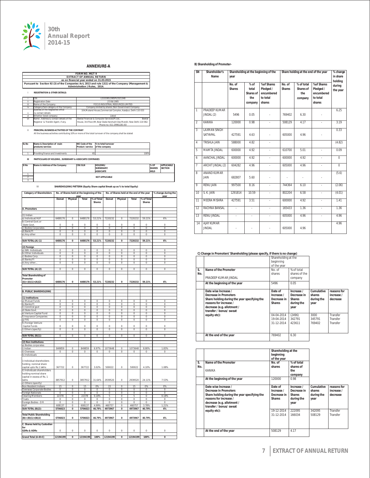

#### **ANNEXURE-A**

|     |                                                                                                                                    | as on financial vear ended on 31,03,2015                                                                                                                              |  |  |  |  |  |
|-----|------------------------------------------------------------------------------------------------------------------------------------|-----------------------------------------------------------------------------------------------------------------------------------------------------------------------|--|--|--|--|--|
|     | Pursuant to Section 92 (3) of the Companies Act, 2013 and rule 12(1) of the Company (Management &<br>Administration ) Rules, 2014. |                                                                                                                                                                       |  |  |  |  |  |
|     | REGISTRATION & OTHER DETAILS:                                                                                                      |                                                                                                                                                                       |  |  |  |  |  |
|     | CIN                                                                                                                                | L15319DL1985PLC021348                                                                                                                                                 |  |  |  |  |  |
| ii  | <b>Registration Date</b>                                                                                                           | 27/06/1985                                                                                                                                                            |  |  |  |  |  |
| iii | Name of the Company                                                                                                                | FOCUS INDUSTRIAL RESOURCES LIMITED.                                                                                                                                   |  |  |  |  |  |
| iv  | Category/Sub-category of the Company                                                                                               | Company limited by shares .Non Government Company                                                                                                                     |  |  |  |  |  |
| v   | Address of the Registered office<br>& contact details                                                                              | 104, Mukand House, Commercial Complex, Azadpur, Delhi 110 033                                                                                                         |  |  |  |  |  |
| vi  | Whether listed company                                                                                                             | Listed                                                                                                                                                                |  |  |  |  |  |
| vii | Name . Address & contact details of the<br>Registrar & Transfer Agent, if any.                                                     | Beetal Financial & Computer Services(P) Ltd.,<br><b>Beetal</b><br>House, 3rd Floor.99, Near Dada Harshukh Das Mandir, New Delhi-110 062.<br>Phone no: 011-29961281-83 |  |  |  |  |  |

II **PRINCIPAL BUSINESS ACTIVITIES OF THE COMPANY** All the business activities contributing 10% or more of the total turnover of the company shall be stated

| SL No | Name & Description of main<br>products/services           | Product /service | NIC Code of the 5% to total turnover<br>of the company |  |
|-------|-----------------------------------------------------------|------------------|--------------------------------------------------------|--|
|       |                                                           |                  |                                                        |  |
|       | Providing finance and investments                         | 65               | 100%                                                   |  |
| Ш     | PARTICULARS OF HOLDING . SUBSIDIARY & ASSOCIATE COMPANIES |                  |                                                        |  |

| SI <sub>No</sub>         | Name & Address of the Company | CIN/GLN | HOLDING/       | % OF          | APPLICABLE     |
|--------------------------|-------------------------------|---------|----------------|---------------|----------------|
|                          |                               |         | SUBSIDIARY/    | <b>SHARES</b> | <b>SECTION</b> |
|                          |                               |         | ASSOCIATE      | HELD          |                |
|                          |                               |         |                |               |                |
|                          |                               |         | NOT APPLICABLE |               |                |
| <b>Contract Contract</b> |                               |         |                |               |                |

IV **SHAREHOLDING PATTERN (Equity Share capital Break up as % to total Equity)**

| Category of Shareholders                            | No. of Shares held at the beginning of the<br>No. of Shares held at the end of the year<br>year |                            |                           |                            |                            | % change during the<br>year |                            |                               |                               |
|-----------------------------------------------------|-------------------------------------------------------------------------------------------------|----------------------------|---------------------------|----------------------------|----------------------------|-----------------------------|----------------------------|-------------------------------|-------------------------------|
|                                                     | Demat                                                                                           | Physical                   | Total                     | % of Total<br>Shares       | Demat                      | Physical                    | Total                      | % of Total<br>Shares          |                               |
| A. Promoters                                        |                                                                                                 |                            |                           |                            |                            |                             |                            |                               |                               |
|                                                     |                                                                                                 |                            |                           |                            |                            |                             |                            |                               |                               |
| (1) Indian                                          |                                                                                                 |                            |                           |                            |                            |                             |                            |                               |                               |
| a) Individual/HUF<br>b) Central Govt.or             | 6488176                                                                                         | 0                          | 6488176                   | 53.21%                     | 7220232                    | $\overline{0}$              | 7220232                    | 59.21%                        | 6%                            |
| State Govt.                                         | 0                                                                                               | $\bf{0}$                   | 0                         | 0                          | $\bf{0}$                   | $\mathbf{0}$                | $\Omega$                   | 0                             | $\mathbf 0$                   |
| c) Bodies Corporates<br>d) Bank/Fl                  | $\mathbf 0$<br>0                                                                                | $\bf 0$<br>0               | $\bf 0$<br>0              | $\mathbf 0$<br>$\bf{0}$    | $\mathbf 0$<br>$\bf{0}$    | $\mathbf 0$<br>0            | $\mathbf 0$<br>0           | $\bf 0$<br>$\bf{0}$           | $\bf 0$<br>$\bf{0}$           |
| e) Any other                                        | 0                                                                                               | $\bf{0}$                   | 0                         | $\overline{0}$             | $\bf{0}$                   | 0                           | 0                          | 0                             | 0                             |
| SUB TOTAL: (A) (1)                                  | 6488176                                                                                         | $\bf{0}$                   | 6488176                   | 53.21%                     | 7220232                    | $\mathbf 0$                 | 7220232                    | 59.21%                        | 6%                            |
| (2) Foreign                                         |                                                                                                 |                            |                           |                            |                            |                             |                            |                               |                               |
| a) NRI- Individuals                                 | $\mathbf 0$                                                                                     | $\mathbf 0$                | $\mathbf 0$               | $\mathbf{0}$               | $\mathbf 0$                | $\mathbf 0$                 | Ó                          | $\mathbf 0$                   | $\mathbf 0$                   |
| b) Other Individuals                                | 0                                                                                               | $\bf{0}$                   | 0                         | 0                          | $\bf{0}$                   | 0                           | 0                          | 0                             | $\bf{0}$                      |
| c) Bodies Corp.                                     | $\mathbf 0$                                                                                     | $\bf 0$                    | 0                         | $\mathbf 0$                | $\bf{0}$                   | $\mathbf 0$                 | 0                          | 0                             | $\bf{0}$                      |
| d) Banks/FI                                         | 0                                                                                               | 0                          | 0                         | $\bf{0}$                   | 0                          | 0                           | 0                          | $\bf{0}$                      | $\bf{0}$                      |
| e) Any other.                                       | 0                                                                                               | 0                          | $\bf 0$                   | $\,0\,$                    | 0                          | 0                           | 0                          | $\,0\,$                       | $\,0\,$                       |
| SUB TOTAL (A) (2)                                   | $\mathbf 0$                                                                                     | $\mathbf 0$                | $\bf{0}$                  | $\mathbf 0$                | $\bf{0}$                   | $\mathbf 0$                 | $\mathbf 0$                | $\bf{0}$                      | $\bf{0}$                      |
| Total Shareholding of                               |                                                                                                 |                            |                           |                            |                            |                             |                            |                               |                               |
| Promoter<br>$(A) = (A)(1) + (A)(2)$                 | 6488176                                                                                         | $\bf{0}$                   | 6488176                   | 53.21%                     | 7220232                    | 0                           | 7220232                    | 59.21%                        | 6%                            |
| <b>B. PUBLIC SHAREHOLDING</b>                       |                                                                                                 |                            |                           |                            |                            |                             |                            |                               |                               |
|                                                     |                                                                                                 |                            |                           |                            |                            |                             |                            |                               |                               |
| (1) Institutions                                    |                                                                                                 |                            |                           |                            |                            |                             |                            |                               |                               |
| a) Mutual Funds<br>b) Banks/FI                      | 0<br>$\overline{0}$                                                                             | 0<br>$\overline{0}$        | $\bf 0$<br>$\overline{0}$ | $\bf{0}$<br>$\overline{0}$ | $\bf{0}$<br>$\mathbf 0$    | 0<br>0                      | 0<br>$\bf{0}$              | $\bf 0$<br>$\overline{0}$     | $\bf 0$<br>$\overline{0}$     |
| C) Cenntral govt                                    | $\overline{0}$                                                                                  | $\overline{0}$             | 0                         | $\overline{0}$             | $\overline{0}$             | $\overline{0}$              | $\overline{0}$             | $\overline{0}$                | $\overline{0}$                |
| d) State Govt.                                      | 0                                                                                               | $\overline{0}$             | 0                         | 0                          | $\bf{0}$                   | 0                           | 0                          | $\Omega$                      | 0                             |
| e) Venture Capital Fund                             | $\overline{0}$                                                                                  | $\overline{0}$             | 0                         | 0                          | $\overline{0}$             | 0                           | O                          | 0                             | $\overline{0}$                |
| f) Insurance Companies                              | 0                                                                                               | 0                          | 0                         | 0                          | $\bf{0}$                   | 0                           | 0                          | $\bf{0}$                      | $\bf{0}$                      |
| q) FIIS                                             | 0                                                                                               | $\bf{0}$                   | $\bf 0$                   | $\bf{0}$                   | $\bf{0}$                   | 0                           | $\bf{0}$                   | $\mathbf 0$                   | $\bf 0$                       |
| h) Foreign Venture                                  |                                                                                                 |                            |                           |                            |                            |                             |                            |                               |                               |
| Capital Funds<br>i) Others (specify)                | 0<br>$\overline{0}$                                                                             | $\bf{0}$<br>$\overline{0}$ | O<br>$\overline{0}$       | $\Omega$<br>$\overline{0}$ | $\bf{0}$<br>$\overline{0}$ | 0<br>$\overline{0}$         | $\Omega$<br>$\overline{0}$ | $\mathbf 0$<br>$\overline{0}$ | $\mathbf 0$<br>$\overline{0}$ |
|                                                     |                                                                                                 |                            |                           |                            |                            |                             |                            |                               |                               |
| SUB TOTAL (B)(1):                                   | $\overline{0}$                                                                                  | $\overline{0}$             | $\overline{0}$            | $\overline{0}$             | $\overline{0}$             | $\overline{0}$              | $\overline{0}$             | $\overline{0}$                | $\overline{0}$                |
| (2) Non Institutions<br>a) Bodies corporates        |                                                                                                 |                            |                           |                            |                            |                             |                            |                               |                               |
| i) Indian                                           | 849859                                                                                          | $\overline{0}$             | 849859                    | 6.97%                      | 1073648                    | 0                           | 1073648                    | 8.80%                         | 1.83%                         |
| ii) Overseas                                        | $\overline{0}$                                                                                  | $\overline{0}$             | $\overline{0}$            | $\overline{0}$             | $\overline{0}$             | $\overline{0}$              | $\overline{0}$             | $\overline{0}$                | $\overline{0}$                |
| b) Individuals                                      |                                                                                                 |                            |                           |                            |                            |                             |                            |                               |                               |
|                                                     |                                                                                                 |                            |                           |                            |                            |                             |                            |                               |                               |
| i) Individual shareholders<br>holding nominal share |                                                                                                 |                            |                           |                            |                            |                             |                            |                               |                               |
| capital upto Rs.1 lakhs                             | 367722                                                                                          | $\ddot{\mathbf{0}}$        | 367722                    | 3.02%                      | 500022                     | $\mathbf 0$                 | 500022                     | 4.10%                         | 1.08%                         |
| ii) Individuals shareholders                        |                                                                                                 |                            |                           |                            |                            |                             |                            |                               |                               |
| holding nominal share                               |                                                                                                 |                            |                           |                            |                            |                             |                            |                               |                               |
| capital in excess of Rs. 1                          |                                                                                                 |                            |                           |                            |                            |                             |                            |                               |                               |
| lakhs                                               | 3857912                                                                                         | 0                          | 3857912                   | 31.64%                     | 2939520                    | 0                           | 2939520                    | 24.11%                        | 7.53%                         |
| c) Others (specify)                                 |                                                                                                 |                            |                           |                            |                            |                             |                            |                               |                               |
| Non Resident Indians                                | 15                                                                                              | $\overline{0}$             | 15                        | 0%                         | 15                         | $\overline{0}$              | 15                         | 0%                            | 0%                            |
| Overseas Corporate Bodies                           | $\overline{0}$                                                                                  | $\overline{0}$             | $\overline{0}$            | $\bf{0}$                   | $\mathbf 0$                | $\overline{0}$              | 0                          | $\bf 0$                       | $\overline{0}$                |
| Foreign Nationals                                   | $\overline{0}$                                                                                  | $\overline{0}$             | $\overline{0}$            | $\overline{0}$             | $\overline{0}$             | $\overline{0}$              | $\overline{0}$             | $\overline{0}$                | $\overline{0}$                |
| Clearing Members                                    | 22378                                                                                           | $\overline{0}$             | 22378                     | 0.18%                      | 5                          | $\overline{0}$              | 5                          | $\overline{0}$                | 0.18%                         |
| Trusts                                              | $\overline{0}$                                                                                  | $\overline{0}$             | 0                         | $\overline{0}$             | $\overline{0}$             | $\overline{0}$              | $\overline{0}$             | $\overline{0}$                | $\overline{0}$                |
| Foreign Bodies - D R                                | 0                                                                                               | $\bf{0}$                   | 0                         | 0                          | $\Omega$                   | 0                           | 0                          | $\mathbf 0$                   | $\mathbf 0$                   |
| HUF                                                 | 608137                                                                                          | $\bf{0}$                   | 608137                    | 4.99%                      | 460757                     | 0                           | 460757                     | 3.78%                         | 1.21%                         |
| SUB TOTAL (B)(2):                                   | 5706023                                                                                         | $\overline{0}$             | 5706023                   | 46.79%                     | 4973967                    | $\overline{0}$              | 4973967                    | 40.79%                        | 6%                            |
| Total Public Shareholding                           |                                                                                                 |                            |                           |                            |                            |                             |                            |                               |                               |
| $(B) = (B)(1) + (B)(2)$                             | 5706023                                                                                         | $\bf{0}$                   | 5706023                   | 46.79%                     | 4973967                    | 0                           | 4973967                    | 40.79%                        | 6%                            |
| C. Shares held by Custodian                         |                                                                                                 |                            |                           |                            |                            |                             |                            |                               |                               |
| for<br><b>GDRs &amp; ADRs</b>                       | 0                                                                                               | $\bf{0}$                   | $\bf{0}$                  | $\mathbf{0}$               | $\mathbf 0$                | 0                           | $\mathbf 0$                | $\bf{0}$                      | $\bf{0}$                      |
|                                                     |                                                                                                 |                            |                           |                            |                            |                             |                            |                               |                               |
| Grand Total (A+B+C)                                 | 12194199                                                                                        | $\overline{0}$             | 12194199                  | 100%                       | 12194199                   | 0                           | 12194199                   | 100%                          | 0                             |

**B) Shareholding of Promoter-**

| SN             | Shareholding at the beginning of the<br>Share holding at the end of the year<br>Shareholder's<br><b>Name</b><br>year |         |                  |                        | % change<br>in share |            |                        |                |
|----------------|----------------------------------------------------------------------------------------------------------------------|---------|------------------|------------------------|----------------------|------------|------------------------|----------------|
|                |                                                                                                                      |         |                  |                        |                      |            |                        | holding        |
|                |                                                                                                                      | No. of  | % of             | %of Shares             | No. of               | % of total | %of Shares             | during         |
|                |                                                                                                                      | Shares  | total            | Pledged /              | <b>Shares</b>        | Shares of  | Pledged /              | the year       |
|                |                                                                                                                      |         | Shares of<br>the | encumbered<br>to total |                      | the        | encumbered<br>to total |                |
|                |                                                                                                                      |         | company          | shares                 |                      | company    | shares                 |                |
|                |                                                                                                                      |         |                  |                        |                      |            |                        |                |
| $\mathbf{1}$   | PRADFFP KUMAR                                                                                                        |         |                  |                        |                      |            |                        | 6.25           |
|                | JINDAL (2)                                                                                                           | 5496    | 0.05             |                        | 769402               | 6.30       |                        |                |
| $\overline{2}$ | KANIKA                                                                                                               | 120000  | 0.98             | ÷,                     | 508129               | 4.17       | ×.                     | 3.19           |
| $\overline{3}$ | <b>LAXMAN SINGH</b>                                                                                                  |         |                  |                        |                      |            |                        | 0.33           |
|                | SATYAPAI                                                                                                             | 427591  | 4.63             |                        | 605000               | 4.96       |                        |                |
| $\overline{4}$ | TRISHLA JAIN                                                                                                         | 588000  | 4.82             | ä,                     |                      |            |                        | (4.82)         |
| 5              | MAMTA JINDAL                                                                                                         | 600000  | 4.92             |                        | 610700               | 5.01       |                        | 0.09           |
| 6              | AANCHAL JINDAL                                                                                                       | 600000  | 4.92             | ÷                      | 600000               | 4.92       | ×.                     | $\overline{0}$ |
| $\overline{7}$ | ARCHIT JINDAL (2)                                                                                                    | 604282  | 4.96             |                        | 605000               | 4.96       |                        | $\overline{0}$ |
| $\overline{8}$ | ANAND KUMAR                                                                                                          |         |                  |                        |                      |            |                        | (5.6)          |
|                | JAIN                                                                                                                 | 682807  | 5.60             |                        |                      | ä,         |                        |                |
| $\overline{Q}$ | <b>RENU JAIN</b>                                                                                                     | 997500  | 8.16             | ÷                      | 744364               | 6.10       |                        | (2.06)         |
| 10             | S. K. JAIN                                                                                                           | 1291814 | 10.59            | ÷                      | 802204               | 6.58       | ÷.                     | (4.01)         |
| 11             | MFFRA MISHRA                                                                                                         | 427591  | 3.51             | ÷,                     | 600000               | 4.92       |                        | 1.41           |
| 12             | RACHNA BANSAL                                                                                                        | ÷,      | ÷                | ä,                     | 165433               | 1.36       | ÷.                     | 1.36           |
| 13             | RENU JINDAL                                                                                                          | ä,      |                  |                        | 605000               | 4.96       |                        | 4.96           |
| 14             | <b>AJAY KUMAR</b>                                                                                                    |         |                  |                        |                      |            |                        | 4.96           |
|                | <b>JINDAL</b>                                                                                                        |         |                  |                        | 605000               | 4.96       |                        |                |

**C) Change in Promoters' Shareholding (please specify, if there is no change)**

|           |                                                                                                                                                                                  | Shareholding at the<br>beginning<br>of the year |                                                                  |                                            |                                       |
|-----------|----------------------------------------------------------------------------------------------------------------------------------------------------------------------------------|-------------------------------------------------|------------------------------------------------------------------|--------------------------------------------|---------------------------------------|
| S.<br>No. | Name of the Promoter<br>PRADEEP KUMAR JINDAI                                                                                                                                     | No. of<br>shares                                | % of total<br>shares of the<br>company                           |                                            |                                       |
|           | At the beginning of the year                                                                                                                                                     | 5496                                            | 0.05                                                             |                                            |                                       |
|           | Date wise Increase /<br>Decrease in Promoters<br>Share holding during the year specifying the<br>reasons for increase /<br>decrease (e.g. allotment /<br>transfer / bonus/ sweat | Date of<br>Increase /<br>Decrease in<br>Shares  | Increase /<br>Decrease in<br><b>Shares</b><br>during the<br>year | Cumulative<br>shares<br>during the<br>year | reasons for<br>increase /<br>decrease |
|           | equity etc):                                                                                                                                                                     | 04-04-2014<br>19-04-2014<br>31-12-2014          | (2496)<br>342791<br>423611                                       | 3000<br>345791<br>769402                   | Transfer<br>Transfer<br>Transfer      |
|           | At the end of the year                                                                                                                                                           | 769402                                          | 6.30                                                             |                                            |                                       |

| S.<br>No. | Name of the Promoter<br>KANIKA                                                                                                                                                   | Shareholding at the<br>beginning<br>of the year<br>No. of<br>shares | % of total<br>shares of<br>the.<br>company                       |                                            |                                       |
|-----------|----------------------------------------------------------------------------------------------------------------------------------------------------------------------------------|---------------------------------------------------------------------|------------------------------------------------------------------|--------------------------------------------|---------------------------------------|
|           | At the beginning of the year                                                                                                                                                     | 120000                                                              | 0.98                                                             |                                            |                                       |
|           | Date wise Increase /<br>Decrease in Promoters<br>Share holding during the year specifying the<br>reasons for increase /<br>decrease (e.g. allotment /<br>transfer / bonus/ sweat | Date of<br>Increase /<br>Decrease in<br><b>Shares</b>               | Increase /<br>Decrease in<br><b>Shares</b><br>during the<br>year | Cumulative<br>shares<br>during the<br>year | reasons for<br>increase /<br>decrease |
|           | equity etc):                                                                                                                                                                     | 19-12-2014<br>31-12-2014                                            | 222095<br>166034                                                 | 342095<br>508129                           | Transfer<br>Transfer                  |
|           | At the end of the year                                                                                                                                                           | 508129                                                              | 4.17                                                             |                                            |                                       |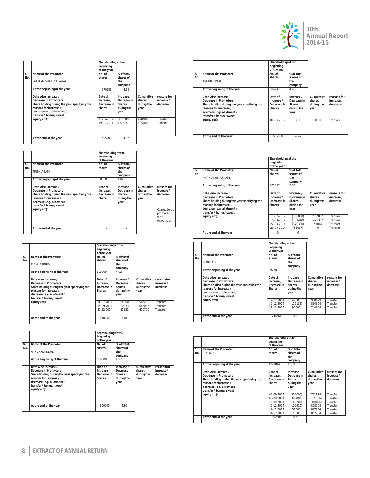

| S.<br>No. | Name of the Promoter                                                                                                                                                             | Shareholding at the<br>beginning<br>of the year<br>No. of<br>shares | % of total<br>shares of                                          |                                            |                                       |
|-----------|----------------------------------------------------------------------------------------------------------------------------------------------------------------------------------|---------------------------------------------------------------------|------------------------------------------------------------------|--------------------------------------------|---------------------------------------|
|           | LAXMAN SINGH SATYAPAL                                                                                                                                                            |                                                                     | the<br>company                                                   |                                            |                                       |
|           | At the beginning of the year                                                                                                                                                     | 570686                                                              | 4.68                                                             |                                            |                                       |
|           | Date wise Increase /<br>Decrease in Promoters<br>Share holding during the year specifying the<br>reasons for increase /<br>decrease (e.g. allotment /<br>transfer / bonus/ sweat | Date of<br>Incrases/<br>Decrease in<br><b>Shares</b>                | Increase /<br>Decrease in<br><b>Shares</b><br>during the<br>year | Cumulative<br>shares<br>during the<br>year | reasons for<br>increase /<br>decrease |
|           | equity etc):                                                                                                                                                                     | 11-07-2014<br>19-09-2014                                            | (100000)<br>134314                                               | 470686<br>605000                           | Transfer<br>Transfer                  |
|           | At the end of the year                                                                                                                                                           | 605000                                                              | 4.96                                                             |                                            |                                       |

| S.<br>No. | Name of the Promoter<br>TRISHI A JAIN                                                                                                                                            | Shareholding at the<br>beginning<br>of the year<br>No. of<br>shares | % of total<br>shares of<br>the<br>company                        |                                            |                                                 |
|-----------|----------------------------------------------------------------------------------------------------------------------------------------------------------------------------------|---------------------------------------------------------------------|------------------------------------------------------------------|--------------------------------------------|-------------------------------------------------|
|           | At the beginning of the year                                                                                                                                                     | 588000                                                              | 4.82                                                             |                                            |                                                 |
|           | Date wise Increase /<br>Decrease in Promoters<br>Share holding during the year specifying the<br>reasons for increase /<br>decrease (e.g. allotment /<br>transfer / bonus/ sweat | Date of<br>Increase /<br>Decrease in<br><b>Shares</b>               | Increase /<br>Decrease in<br><b>Shares</b><br>during the<br>year | Cumulative<br>shares<br>during the<br>year | reasons for<br>increase /<br>decrease           |
|           | equity etc):                                                                                                                                                                     |                                                                     |                                                                  |                                            | Ceased to be<br>promoter<br>w.e.f<br>04.07.2014 |
|           | At the end of the year                                                                                                                                                           |                                                                     |                                                                  |                                            |                                                 |

|           |                                                                                                                                                                                  | Shareholding at the                                   |                                                                  |                                            |                                       |
|-----------|----------------------------------------------------------------------------------------------------------------------------------------------------------------------------------|-------------------------------------------------------|------------------------------------------------------------------|--------------------------------------------|---------------------------------------|
| S.<br>No. | Name of the Promoter                                                                                                                                                             | No. of<br>shares                                      | % of total<br>shares of                                          |                                            |                                       |
|           | MAMTA JINDAI                                                                                                                                                                     |                                                       | the<br>company                                                   |                                            |                                       |
|           | At the beginning of the year                                                                                                                                                     | 600000                                                | 4.92                                                             |                                            |                                       |
|           | Date wise Increase /<br>Decrease in Promoters<br>Share holding during the year specifying the<br>reasons for increase /<br>decrease (e.g. allotment /<br>transfer / bonus/ sweat | Date of<br>Increase /<br>Decrease in<br><b>Shares</b> | Increase /<br>Decrease in<br><b>Shares</b><br>during the<br>year | Cumulative<br>shares<br>during the<br>year | reasons for<br>increase /<br>decrease |
|           | equity etc):                                                                                                                                                                     | 18-07-2014<br>19-09-2014<br>31-12-2014                | (34800)<br>80833<br>(35333)                                      | 565200<br>646033<br>610700                 | Transfer<br>Transfer<br>Transfer      |
|           | At the end of the year                                                                                                                                                           | 610700                                                | 5.01                                                             |                                            |                                       |

|           | Shareholding at the<br>beginning<br>of the year                                                                                                                                  |                                                       |                                                                  |                                            |                                       |
|-----------|----------------------------------------------------------------------------------------------------------------------------------------------------------------------------------|-------------------------------------------------------|------------------------------------------------------------------|--------------------------------------------|---------------------------------------|
| S.<br>No. | Name of the Promoter<br>AANCHAI IINDAI                                                                                                                                           | No. of<br>shares                                      | % of total<br>shares of<br>the<br>company                        |                                            |                                       |
|           | At the beginning of the year                                                                                                                                                     | 600000                                                | 4.92                                                             |                                            |                                       |
|           | Date wise Increase /<br>Decrease in Promoters<br>Share holding during the year specifying the<br>reasons for increase /<br>decrease (e.g. allotment /<br>transfer / bonus/ sweat | Date of<br>Increase /<br>Decrease in<br><b>Shares</b> | Increase /<br>Decrease in<br><b>Shares</b><br>during the<br>year | Cumulative<br>shares<br>during the<br>year | reasons for<br>increase /<br>decrease |
|           | equity etc):                                                                                                                                                                     |                                                       |                                                                  |                                            | ٠                                     |
|           | At the end of the year                                                                                                                                                           | 600000                                                | 4.92                                                             |                                            |                                       |

|     |                                              | Shareholding at the |               |            |             |
|-----|----------------------------------------------|---------------------|---------------|------------|-------------|
|     |                                              | beginning           |               |            |             |
|     |                                              | of the year         |               |            |             |
| S.  | Name of the Promoter                         | No. of              | % of total    |            |             |
| No. |                                              | shares              | shares of     |            |             |
|     | ARCHIT JINDAI                                |                     | the.          |            |             |
|     |                                              |                     | company       |            |             |
|     | At the beginning of the year                 | 604282              | 4.96          |            |             |
|     |                                              |                     |               |            |             |
|     | Date wise Increase /                         | Date of             | Increase /    | Cumulative | reasons for |
|     | Decrease in Promoters                        | Increase /          | Decrease in   | shares     | increase /  |
|     | Share holding during the year specifying the | Decrease in         | <b>Shares</b> | during the | decrease    |
|     | reasons for increase /                       | <b>Shares</b>       | during the    | year       |             |
|     | decrease (e.g. allotment /                   |                     | year          |            |             |
|     | transfer / bonus/ sweat                      |                     |               |            |             |
|     | equity etc):                                 | 04-04-2014          | 718           | 0.00       | Transfer    |
|     |                                              |                     |               |            |             |
|     |                                              |                     |               |            |             |
|     |                                              |                     |               |            |             |
|     | At the end of the year                       | 605000              | 4.96          |            |             |
|     |                                              |                     |               |            |             |

| S.<br>No. | Name of the Promoter<br>ANAND KUMAR JAIN<br>At the beginning of the year<br>Date wise Increase /                                                                                 | Shareholding at the<br>beginning<br>of the year<br>No. of<br>shares<br>682807<br>Date of | % of total<br>shares of<br>the<br>company<br>5.60<br>Increase /  | Cumulative                                 | reasons for                                  |
|-----------|----------------------------------------------------------------------------------------------------------------------------------------------------------------------------------|------------------------------------------------------------------------------------------|------------------------------------------------------------------|--------------------------------------------|----------------------------------------------|
|           | Decrease in Promoters<br>Share holding during the year specifying the<br>reasons for increase /<br>decrease (e.g. allotment /<br>transfer / bonus/ sweat                         | Increase /<br>Decrease in<br><b>Shares</b>                                               | Decrease in<br><b>Shares</b><br>during the<br>year               | shares<br>during the<br>year               | increase /<br>decrease                       |
|           | equity etc):                                                                                                                                                                     | 11-07-2014<br>15-08-2014<br>22-08-2014<br>29-08-2014                                     | (100000)<br>(161440)<br>(370300)<br>(51067)                      | 582807<br>421367<br>51067<br>$\Omega$      | Transfer<br>Transfer<br>Transfer<br>Transfer |
|           | At the end of the year                                                                                                                                                           | $\Omega$                                                                                 | $\Omega$                                                         |                                            |                                              |
|           |                                                                                                                                                                                  | Shareholding at the<br>beginning<br>of the year                                          |                                                                  |                                            |                                              |
| S.<br>No. | Name of the Promoter<br><b>RENU JAIN</b>                                                                                                                                         | No. of<br>shares                                                                         | % of total<br>shares of<br>the<br>company                        |                                            |                                              |
|           | At the beginning of the year                                                                                                                                                     | 997500                                                                                   | 8.16                                                             |                                            |                                              |
|           | Date wise Increase /<br>Decrease in Promoters<br>Share holding during the year specifying the<br>reasons for increase /<br>decrease (e.g. allotment /<br>transfer / bonus/ sweat | Date of<br>Increase /<br>Decrease in<br><b>Shares</b>                                    | Increase /<br>Decrease in<br><b>Shares</b><br>during the<br>year | Cumulative<br>shares<br>during the<br>year | reasons for<br>increase /<br>decrease        |
|           | equity etc):                                                                                                                                                                     | 12-12-2014<br>19-12-2014<br>31-12-2014                                                   | (47001)<br>(116135)<br>(90000)                                   | 950499<br>834364<br>744364                 | Transfer<br>Transfer<br>Transfer             |
|           | At the end of the year                                                                                                                                                           | 744364                                                                                   | 6.10                                                             |                                            |                                              |

|     |                                              | Shareholding at the |               |            |             |
|-----|----------------------------------------------|---------------------|---------------|------------|-------------|
|     |                                              | beginning           |               |            |             |
|     |                                              | of the year         |               |            |             |
| S.  | Name of the Promoter                         | No. of              | % of total    |            |             |
| No. | S. K. JAIN                                   | shares              | shares of     |            |             |
|     |                                              |                     | the           |            |             |
|     |                                              |                     | company       |            |             |
|     | At the beginning of the year                 | 1291814             | 10.59         |            |             |
|     |                                              |                     |               |            |             |
|     | Date wise Increase /                         | Date of             | Increase /    | Cumulative | reasons for |
|     | Decrease in Promoters                        | Increase /          | Decrease in   | shares     | increase /  |
|     | Share holding during the year specifying the | Decrease in         | <b>Shares</b> | during the | decrease    |
|     | reasons for increase /                       | <b>Shares</b>       | during the    | year       |             |
|     | decrease (e.g. allotment /                   |                     | year          |            |             |
|     | transfer / bonus/ sweat                      |                     |               |            |             |
|     | equity etc):                                 | 05-09-2014          | (500000)      | 791814     | Transfer    |
|     |                                              |                     |               | 1177814    | Transfer    |
|     |                                              | 05-09-2014          | 386000        |            |             |
|     |                                              | 12-09-2014          | (169700)      | 1008114    | Transfer    |
|     |                                              | 12-12-2014          | (129910)      | 878204     | Transfer    |
|     |                                              | 19-12-2014          | (51000)       | 827204     | Transfer    |
|     |                                              | 31-12-2014          | (25000)       | 802204     | Transfer    |
|     | At the end of the year                       | 802204              | 6.58          |            |             |
|     |                                              |                     |               |            |             |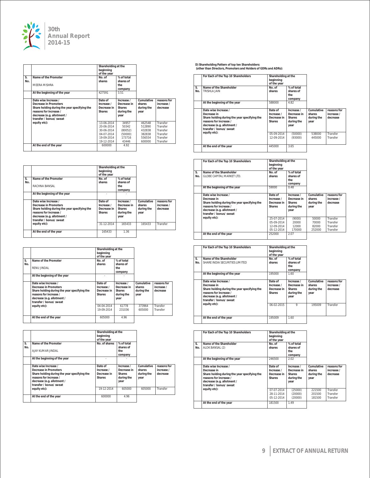

|     |                                              | Shareholding at the |             |            |             |
|-----|----------------------------------------------|---------------------|-------------|------------|-------------|
|     |                                              | beginning           |             |            |             |
|     |                                              | of the year         |             |            |             |
| S.  | Name of the Promoter                         | No. of              | % of total  |            |             |
| No. |                                              | shares              | shares of   |            |             |
|     | MFFRA MISHRA                                 |                     | the         |            |             |
|     |                                              |                     | company     |            |             |
|     | At the beginning of the year                 | 427591              | 3.51        |            |             |
|     |                                              |                     |             |            |             |
|     | Date wise Increase /                         | Date of             | Increase /  | Cumulative | reasons for |
|     | Decrease in Promoters                        | Increase /          | Decrease in | shares     | increase /  |
|     | Share holding during the year specifying the | Decrease in         | Shares      | during the | decrease    |
|     | reasons for increase /                       | <b>Shares</b>       | during the  | year       |             |
|     | decrease (e.g. allotment /                   |                     | year        |            |             |
|     | transfer / bonus/ sweat                      |                     |             |            |             |
|     | equity etc):                                 | 13-06-2014          | 34957       | 462548     | Transfer    |
|     |                                              | 20-06-2014          | 50342       | 512890     | Transfer    |
|     |                                              | 30-06-2014          | (80052)     | 432838     | Transfer    |
|     |                                              | 04-07-2014          | (50000)     | 382838     | Transfer    |
|     |                                              | 19-09-2014          | 173716      | 556554     | Transfer    |
|     |                                              | 19-12-2014          | 43446       | 600000     | Transfer    |
|     | At the end of the year                       | 600000              | 4.92        |            |             |
|     |                                              |                     |             |            |             |

| S.<br>No. | Name of the Promoter<br>RACHNA BANSAL                                                                                                                                            | Shareholding at the<br>beginning<br>of the year<br>% of total<br>No. of<br>shares of<br>shares<br>the |                                                                  |                                            |                                       |
|-----------|----------------------------------------------------------------------------------------------------------------------------------------------------------------------------------|-------------------------------------------------------------------------------------------------------|------------------------------------------------------------------|--------------------------------------------|---------------------------------------|
|           |                                                                                                                                                                                  |                                                                                                       | company                                                          |                                            |                                       |
|           | At the beginning of the year                                                                                                                                                     |                                                                                                       |                                                                  |                                            |                                       |
|           | Date wise Increase /<br>Decrease in Promoters<br>Share holding during the year specifying the<br>reasons for increase /<br>decrease (e.g. allotment /<br>transfer / bonus/ sweat | Date of<br>Increase /<br>Decrease in<br><b>Shares</b>                                                 | Increase /<br>Decrease in<br><b>Shares</b><br>during the<br>year | Cumulative<br>shares<br>during the<br>year | reasons for<br>increase /<br>decrease |
|           | equity etc):                                                                                                                                                                     | 31-12-2014                                                                                            | 165433                                                           | 165433                                     | Transfer                              |
|           | At the end of the year                                                                                                                                                           | 165433                                                                                                | 1.36                                                             |                                            |                                       |

|           |                                                                                                                                                                                  | Shareholding at the<br>beginning<br>of the year       |                                                                  |                                            |                                       |
|-----------|----------------------------------------------------------------------------------------------------------------------------------------------------------------------------------|-------------------------------------------------------|------------------------------------------------------------------|--------------------------------------------|---------------------------------------|
| S.<br>No. | Name of the Promoter                                                                                                                                                             | No. of<br>shares                                      | % of total<br>shares of                                          |                                            |                                       |
|           | RENU JINDAI                                                                                                                                                                      |                                                       | the<br>company                                                   |                                            |                                       |
|           | At the beginning of the year                                                                                                                                                     |                                                       |                                                                  |                                            |                                       |
|           | Date wise Increase /<br>Decrease in Promoters<br>Share holding during the year specifying the<br>reasons for increase /<br>decrease (e.g. allotment /<br>transfer / bonus/ sweat | Date of<br>Increase /<br>Decrease in<br><b>Shares</b> | Increase /<br>Decrease in<br><b>Shares</b><br>during the<br>year | Cumulative<br>shares<br>during the<br>year | reasons for<br>increase /<br>decrease |
|           | equity etc):                                                                                                                                                                     | 04-04-2014<br>19-09-2014                              | 61778<br>231036                                                  | 373964<br>605000                           | Transfer<br>Transfer                  |
|           | At the end of the year                                                                                                                                                           | 605000                                                | 4.96                                                             |                                            |                                       |

|           |                                                                                                                                                                                  | Shareholding at the<br>beginning<br>of the year       |                                                                  |                                            |                                       |
|-----------|----------------------------------------------------------------------------------------------------------------------------------------------------------------------------------|-------------------------------------------------------|------------------------------------------------------------------|--------------------------------------------|---------------------------------------|
| S.<br>No. | Name of the Promoter                                                                                                                                                             | No. of shares                                         | % of total<br>shares of                                          |                                            |                                       |
|           | A JAY KUMAR JINDAI                                                                                                                                                               |                                                       | the<br>company                                                   |                                            |                                       |
|           | At the beginning of the year                                                                                                                                                     |                                                       |                                                                  |                                            |                                       |
|           | Date wise Increase /<br>Decrease in Promoters<br>Share holding during the year specifying the<br>reasons for increase /<br>decrease (e.g. allotment /<br>transfer / bonus/ sweat | Date of<br>Increase /<br>Decrease in<br><b>Shares</b> | Increase /<br>Decrease in<br><b>Shares</b><br>during the<br>year | Cumulative<br>shares<br>during the<br>year | reasons for<br>increase /<br>decrease |
|           | equity etc):                                                                                                                                                                     | 19-12-2014                                            | 605000                                                           | 605000                                     | Transfer                              |
|           | At the end of the year                                                                                                                                                           | 600000                                                | 4.96                                                             |                                            |                                       |

**D) Shareholding Pattern of top ten Shareholders: (other than Directors, Promoters and Holders of GDRs and ADRs):**

| S.  | For Each of the Top 10 Shareholders                                                                                                                                    | Shareholding at the<br>beginning<br>of the year       |                                                                  |                                            |                                       |
|-----|------------------------------------------------------------------------------------------------------------------------------------------------------------------------|-------------------------------------------------------|------------------------------------------------------------------|--------------------------------------------|---------------------------------------|
| No. | Name of the Shareholder<br>TRISHI A JAIN                                                                                                                               | No. of<br>shares                                      | % of total<br>shares of<br>the<br>company                        |                                            |                                       |
|     | At the beginning of the year                                                                                                                                           | 588000                                                | 4.82                                                             |                                            |                                       |
|     | Date wise Increase /<br>Decrease in<br>Share holding during the year specifying the<br>reasons for increase /<br>decrease (e.g. allotment /<br>transfer / bonus/ sweat | Date of<br>Increase /<br>Decrease in<br><b>Shares</b> | Increase /<br>Decrease in<br><b>Shares</b><br>during the<br>year | Cumulative<br>shares<br>during the<br>year | reasons for<br>increase /<br>decrease |
|     | equity etc):                                                                                                                                                           | 05-09-2014<br>12-09-2014                              | (50000)<br>(93000)                                               | 538000<br>445000                           | Transfer<br>Transfer                  |
|     | At the end of the year                                                                                                                                                 | 445000                                                | 3.65                                                             |                                            |                                       |

|     | For Each of the Top 10 Shareholders          | Shareholding at the |               |            |             |
|-----|----------------------------------------------|---------------------|---------------|------------|-------------|
|     |                                              | beginning           |               |            |             |
|     |                                              | of the year         |               |            |             |
| S.  | Name of the Shareholder                      | No. of              | % of total    |            |             |
| No. | GLOBE CAPITAL MARKET LTD.                    | shares              | shares of     |            |             |
|     |                                              |                     | the           |            |             |
|     |                                              |                     | company       |            |             |
|     | At the beginning of the year                 | 59000               | 0.48          |            |             |
|     |                                              |                     |               |            |             |
|     | Date wise Increase /                         | Date of             | Increase /    | Cumulative | reasons for |
|     | Decrease in                                  | Increase /          | Decrease in   | shares     | increase /  |
|     | Share holding during the year specifying the | Decrease in         | <b>Shares</b> | during the | decrease    |
|     | reasons for increase /                       | <b>Shares</b>       | during the    | year       |             |
|     | decrease (e.g. allotment /                   |                     | year          |            |             |
|     | transfer / bonus/ sweat                      |                     |               |            |             |
|     | equity etc):                                 | 25-07-2014          | (9000)        | 50000      | Transfer    |
|     |                                              | 05-09-2014          | 20000         | 70000      | Transfer    |
|     |                                              | 12-09-2014          | 12000         | 82000      | Transfer    |
|     |                                              | 05-12-2014          | 170000        | 252000     | Transfer    |
|     |                                              |                     |               |            |             |
|     | At the end of the year                       | 252000              | 2.07          |            |             |
|     |                                              |                     |               |            |             |

|           | For Each of the Top 10 Shareholders                                                                                                                                    | Shareholding at the<br>beginning<br>of the year       |                                                                  |                                            |                                       |
|-----------|------------------------------------------------------------------------------------------------------------------------------------------------------------------------|-------------------------------------------------------|------------------------------------------------------------------|--------------------------------------------|---------------------------------------|
| S.<br>No. | Name of the Shareholder<br>SHARE INDIA SECURITIES LIMITED                                                                                                              | No. of<br>shares                                      | % of total<br>shares of<br>the<br>company                        |                                            |                                       |
|           | At the beginning of the year                                                                                                                                           | 195000                                                | 1.60                                                             |                                            |                                       |
|           | Date wise Increase /<br>Decrease in<br>Share holding during the year specifying the<br>reasons for increase /<br>decrease (e.g. allotment /<br>transfer / bonus/ sweat | Date of<br>Increase /<br>Decrease in<br><b>Shares</b> | Increase /<br>Decrease in<br><b>Shares</b><br>during the<br>year | Cumulative<br>shares<br>during the<br>year | reasons for<br>increase /<br>decrease |
|           | equity etc):                                                                                                                                                           | $06 - 02 - 2015$                                      | 9                                                                | 195009                                     | Transfer                              |
|           | At the end of the year                                                                                                                                                 | 195009                                                | 1.60                                                             |                                            |                                       |

| S.<br>No. | For Each of the Top 10 Shareholders<br>Name of the Shareholder<br>ALOK BANSAL (2)                                                                                      | Shareholding at the<br>beginning<br>of the year<br>% of total<br>No. of<br>shares of<br>shares<br>the |                                                                  |                                            |                                       |
|-----------|------------------------------------------------------------------------------------------------------------------------------------------------------------------------|-------------------------------------------------------------------------------------------------------|------------------------------------------------------------------|--------------------------------------------|---------------------------------------|
|           |                                                                                                                                                                        |                                                                                                       | company                                                          |                                            |                                       |
|           | At the beginning of the year                                                                                                                                           | 246500                                                                                                | 2.02                                                             |                                            |                                       |
|           | Date wise Increase /<br>Decrease in<br>Share holding during the year specifying the<br>reasons for increase /<br>decrease (e.g. allotment /<br>transfer / bonus/ sweat | Date of<br>Increase /<br>Decrease in<br><b>Shares</b>                                                 | Increase /<br>Decrease in<br><b>Shares</b><br>during the<br>year | Cumulative<br>shares<br>during the<br>year | reasons for<br>increase /<br>decrease |
|           | equity etc):                                                                                                                                                           | 07-07-2014<br>28-11-2014<br>05-12-2014                                                                | (25000)<br>(20000)<br>(20000)                                    | 221500<br>201500<br>181500                 | Transfer<br>Transfer<br>Transfer      |
|           | At the end of the year                                                                                                                                                 | 181500                                                                                                | 1.49                                                             |                                            |                                       |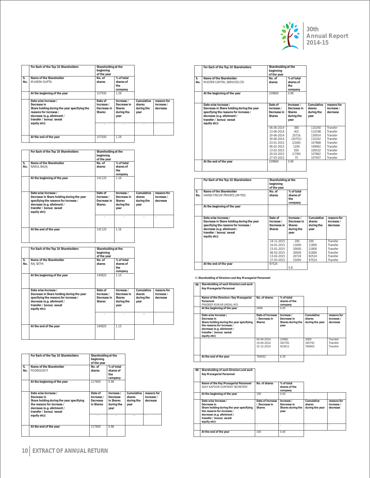

|           | For Each of the Top 10 Shareholders                                                                                                                                    | Shareholding at the<br>beginning<br>of the year       |                                                                  |                                            |                                       |
|-----------|------------------------------------------------------------------------------------------------------------------------------------------------------------------------|-------------------------------------------------------|------------------------------------------------------------------|--------------------------------------------|---------------------------------------|
| S.<br>No. | Name of the Shareholder<br>MUKESH GUPTA                                                                                                                                | No. of<br>shares                                      | % of total<br>shares of<br>the<br>company                        |                                            |                                       |
|           | At the beginning of the year                                                                                                                                           | 157500                                                | 1.29                                                             |                                            |                                       |
|           | Date wise Increase /<br>Decrease in<br>Share holding during the year specifying the<br>reasons for increase /<br>decrease (e.g. allotment /<br>transfer / bonus/ sweat | Date of<br>Increase /<br>Decrease in<br><b>Shares</b> | Increase /<br>Decrease in<br><b>Shares</b><br>during the<br>year | Cumulative<br>shares<br>during the<br>year | reasons for<br>increase /<br>decrease |
|           | equity etc):                                                                                                                                                           |                                                       |                                                                  |                                            |                                       |
|           | At the end of the year                                                                                                                                                 | 157500                                                | 1.29                                                             |                                            |                                       |

|     | For Each of the Top 10 Shareholders       | Shareholding at the |               |            |             |
|-----|-------------------------------------------|---------------------|---------------|------------|-------------|
|     |                                           | beginning           |               |            |             |
|     |                                           | of the year         |               |            |             |
| S.  | Name of the Shareholder                   | No. of              | % of total    |            |             |
| No. | NAKUL BAJAJ                               | shares              | shares of     |            |             |
|     |                                           |                     | the           |            |             |
|     |                                           |                     | company       |            |             |
|     | At the beginning of the year              | 141120              | 1.16          |            |             |
|     |                                           |                     |               |            |             |
|     |                                           |                     |               |            |             |
|     |                                           |                     |               |            |             |
|     | Date wise Increase /                      | Date of             | Increase /    | Cumulative | reasons for |
|     | Decrease in Share holding during the year | Increase /          | Decrease in   | shares     | increase /  |
|     | specifying the reasons for increase /     | Decrease in         | <b>Shares</b> | during the | decrease    |
|     | decrease (e.g. allotment /                | <b>Shares</b>       | during the    | year       |             |
|     | transfer / bonus/ sweat                   |                     | year          |            |             |
|     | equity etc):                              |                     |               |            |             |
|     |                                           |                     |               |            | ä,          |
|     |                                           |                     |               |            |             |
|     |                                           |                     |               |            |             |
|     | At the end of the year                    | 141120              | 1.16          |            |             |
|     |                                           |                     |               |            |             |
|     |                                           |                     |               |            |             |
|     |                                           |                     |               |            |             |

|           | For Each of the Top 10 Shareholders                                                                                                                                                 | Shareholding at the<br>beginning<br>of the year       |                                                                  |                                            |                                       |
|-----------|-------------------------------------------------------------------------------------------------------------------------------------------------------------------------------------|-------------------------------------------------------|------------------------------------------------------------------|--------------------------------------------|---------------------------------------|
| S.<br>No. | Name of the Shareholder<br><b>RAJ SETHI</b>                                                                                                                                         | No. of<br>shares                                      | % of total<br>shares of<br>the<br>company                        |                                            |                                       |
|           | At the beginning of the year                                                                                                                                                        | 140820                                                | 1.15                                                             |                                            |                                       |
|           | Date wise Increase /<br>Decrease in Share holding during the year<br>specifying the reasons for increase /<br>decrease (e.g. allotment /<br>transfer / bonus/ sweat<br>equity etc): | Date of<br>Increase /<br>Decrease in<br><b>Shares</b> | Increase /<br>Decrease in<br><b>Shares</b><br>during the<br>year | Cumulative<br>shares<br>during the<br>year | reasons for<br>increase /<br>decrease |
|           |                                                                                                                                                                                     |                                                       |                                                                  |                                            | ٠                                     |
|           | At the end of the year                                                                                                                                                              | 140820                                                | 1.15                                                             |                                            |                                       |

|           | For Each of the Top 10 Shareholders                                                                                                                                    | Shareholding at the<br>beginning<br>of the year |                                                           |                                            |                                       |
|-----------|------------------------------------------------------------------------------------------------------------------------------------------------------------------------|-------------------------------------------------|-----------------------------------------------------------|--------------------------------------------|---------------------------------------|
| S.<br>No. | Name of the Shareholder<br>POONGODI P.                                                                                                                                 | No. of<br>shares                                | % of total<br>shares of<br>the<br>company                 |                                            |                                       |
|           | At the beginning of the year                                                                                                                                           | 117600                                          | 0.96                                                      |                                            |                                       |
|           | Date wise Increase /<br>Decrease in<br>Share holding during the year specifying<br>the reasons for increase /<br>decrease (e.g. allotment /<br>transfer / bonus/ sweat | Date of<br>Increase /<br>Decrease<br>in Shares  | Increase /<br>Decrease<br>in Shares<br>during the<br>year | Cumulative<br>shares<br>during the<br>year | reasons for<br>increase /<br>decrease |
|           | equity etc):                                                                                                                                                           |                                                 |                                                           |                                            |                                       |
|           | At the end of the year                                                                                                                                                 | 117600                                          | 0.96                                                      |                                            |                                       |

|                       | For Each of the Top 10 Shareholders                                                                                                                                                 | Shareholding at the<br>beginning<br>of the year                                                                            |                                                                          |                                                                                        |                                                                                                          |
|-----------------------|-------------------------------------------------------------------------------------------------------------------------------------------------------------------------------------|----------------------------------------------------------------------------------------------------------------------------|--------------------------------------------------------------------------|----------------------------------------------------------------------------------------|----------------------------------------------------------------------------------------------------------|
| $\overline{S}$<br>No. | Name of the Shareholder<br>MASTER CAPITAL SERVICES LTD                                                                                                                              | No. of<br>shares                                                                                                           | % of total<br>shares of<br>the<br>company                                |                                                                                        |                                                                                                          |
|                       | At the beginning of the year                                                                                                                                                        | 109860                                                                                                                     | 0.90                                                                     |                                                                                        |                                                                                                          |
|                       | Date wise Increase /<br>Decrease in Share holding during the year<br>specifying the reasons for increase /<br>decrease (e.g. allotment /<br>transfer / bonus/ sweat<br>equity etc): | Date of<br>Increase /<br>Decrease in<br><b>Shares</b>                                                                      | Increase /<br>Decrease in<br><b>Shares</b><br>during the<br>year         | Cumulative<br>shares<br>during the<br>year                                             | reasons for<br>increase /<br>decrease                                                                    |
|                       |                                                                                                                                                                                     | 06-06-2014<br>13-06-2014<br>20-06-2014<br>30-06-2014<br>23-01-2015<br>06-02-2015<br>13-02-2015<br>20-03-2015<br>27-03-2015 | 380<br>(42)<br>20716<br>(20752)<br>(2300)<br>1200<br>500<br>(1700)<br>75 | 110240<br>110198<br>130914<br>110162<br>107868<br>109062<br>109532<br>107862<br>107937 | Transfer<br>Transfer<br>Transfer<br>Transfer<br>Transfer<br>Transfer<br>Transfer<br>Transfer<br>Transfer |
|                       | At the end of the year                                                                                                                                                              | 109860                                                                                                                     | 0.90                                                                     |                                                                                        |                                                                                                          |

|           | For Each of the Top 10 Shareholders                                                                                                                                                 | Shareholding at the<br>beginning<br>of the year                                  |                                                                  |                                                  |                                                                      |
|-----------|-------------------------------------------------------------------------------------------------------------------------------------------------------------------------------------|----------------------------------------------------------------------------------|------------------------------------------------------------------|--------------------------------------------------|----------------------------------------------------------------------|
| S.<br>No. | Name of the Shareholder<br>HARSH FINCAP PRIVATE LIMITED                                                                                                                             | No. of<br>shares                                                                 | % of total<br>shares of<br>the<br>company                        |                                                  |                                                                      |
|           | At the beginning of the year                                                                                                                                                        | ÷                                                                                |                                                                  |                                                  |                                                                      |
|           | Date wise Increase /<br>Decrease in Share holding during the year<br>specifying the reasons for increase /<br>decrease (e.g. allotment /<br>transfer / bonus/ sweat<br>equity etc): | Date of<br>Increase /<br>Decrease in<br><b>Shares</b>                            | Increase /<br>Decrease in<br><b>Shares</b><br>during the<br>year | Cumulative<br>shares<br>during the<br>year       | reasons for<br>increase /<br>decrease                                |
|           |                                                                                                                                                                                     | 14-11-2015<br>16-01-2015<br>23-01-2015<br>06-02-2015<br>13-02-2015<br>27-03-2015 | 200<br>11600<br>20000<br>30000<br>20724<br>15000                 | 200<br>11800<br>31800<br>61800<br>82524<br>97524 | Transfer<br>Transfer<br>Transfer<br>Transfer<br>Transfer<br>Transfer |
|           | At the end of the year                                                                                                                                                              | 97524                                                                            | 0.8                                                              |                                                  |                                                                      |

#### E) *Shareholding of Directors and Key Managerial Personnel:*

|  | SN Shareholding of each Directors and each |
|--|--------------------------------------------|

| Key Managerial Personnel                                                                                                                                                               |                                             |                                                        |                                         |                                       |
|----------------------------------------------------------------------------------------------------------------------------------------------------------------------------------------|---------------------------------------------|--------------------------------------------------------|-----------------------------------------|---------------------------------------|
| Name of the Directors /Key Managerial<br>Personnel<br>PRADEEP KUMAR JINDAL-MD                                                                                                          | No. of shares                               | % of total<br>shares of the<br>company                 |                                         |                                       |
| At the beginning of the year                                                                                                                                                           | 5496                                        | 0.05                                                   |                                         |                                       |
| Date wise Increase /<br>Decrease in<br>Share holding during the year specifying<br>the reasons for increase /<br>decrease (e.g. allotment /<br>transfer / bonus/ sweat<br>equity etc): | Date of Increase<br>/ Decrease in<br>Shares | Increase /<br>Decrease in<br>Shares during the<br>year | Cumulative<br>shares<br>during the year | reasons for<br>increase /<br>decrease |
|                                                                                                                                                                                        | 04-04-2014<br>19-04-2014<br>31-12-2014      | (2496)<br>342791<br>423611                             | 3000<br>345791<br>769402                | Transfer<br>Transfer<br>Transfer      |
| At the end of the year                                                                                                                                                                 | 769402                                      | 6.30                                                   |                                         |                                       |

| <b>SN</b> | Shareholding of each Directors and each<br>Key Managerial Personnel                                                                                                                    |                                                    |                                                        |                                         |                                       |
|-----------|----------------------------------------------------------------------------------------------------------------------------------------------------------------------------------------|----------------------------------------------------|--------------------------------------------------------|-----------------------------------------|---------------------------------------|
|           | Name of the Key Managerial Personnel<br>SILKY KAPOOR-COMPANY SECRETARY                                                                                                                 | No. of shares                                      | % of total<br>shares of the<br>company                 |                                         |                                       |
|           | At the beginning of the year                                                                                                                                                           | 100                                                | 0.00                                                   |                                         |                                       |
|           | Date wise Increase /<br>Decrease in<br>Share holding during the year specifying<br>the reasons for increase /<br>decrease (e.g. allotment /<br>transfer / bonus/ sweat<br>equity etc): | Date of Increase<br>/ Decrease in<br><b>Shares</b> | Increase /<br>Decrease in<br>Shares during the<br>year | Cumulative<br>shares<br>during the year | reasons for<br>increase /<br>decrease |
|           |                                                                                                                                                                                        |                                                    |                                                        |                                         |                                       |
|           | At the end of the year                                                                                                                                                                 | 100                                                | 0.00                                                   |                                         |                                       |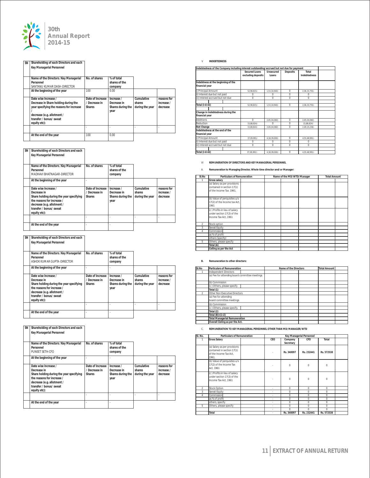

| SN | Shareholding of each Directors and each<br>Key Managerial Personnel                                                                                                               |                                                    |                                                        |                                         |                                       |
|----|-----------------------------------------------------------------------------------------------------------------------------------------------------------------------------------|----------------------------------------------------|--------------------------------------------------------|-----------------------------------------|---------------------------------------|
|    | Name of the Directors /Key Managerial<br>Personnel<br>SANTANU KUMAR DASH-DIRECTOR                                                                                                 | No. of shares                                      | % of total<br>shares of the<br>company                 |                                         |                                       |
|    | At the beginning of the year                                                                                                                                                      | 100                                                | 0.00                                                   |                                         |                                       |
|    | Date wise Increase /<br>Decrease in Share holding during the<br>year specifying the reasons for increase<br>decrease (e.g. allotment /<br>transfer / bonus/ sweat<br>equity etc): | Date of Increase<br>/ Decrease in<br><b>Shares</b> | Increase /<br>Decrease in<br>Shares during the<br>year | Cumulative<br>shares<br>during the year | reasons for<br>increase /<br>decrease |
|    |                                                                                                                                                                                   |                                                    |                                                        |                                         |                                       |
|    | At the end of the year                                                                                                                                                            | 100                                                | 0.00                                                   |                                         |                                       |

| <b>SN</b> | Shareholding of each Directors and each<br>Key Managerial Personnel                                                                                                                    |                                                    |                                                        |                                         |                                       |
|-----------|----------------------------------------------------------------------------------------------------------------------------------------------------------------------------------------|----------------------------------------------------|--------------------------------------------------------|-----------------------------------------|---------------------------------------|
|           | Name of the Directors /Key Managerial<br>Personnel<br>MADHAVI BHATNAGAR-DIRECTOR                                                                                                       | No. of shares                                      | % of total<br>shares of the<br>company                 |                                         |                                       |
|           | At the beginning of the year                                                                                                                                                           |                                                    |                                                        |                                         |                                       |
|           | Date wise Increase /<br>Decrease in<br>Share holding during the year specifying<br>the reasons for increase /<br>decrease (e.g. allotment /<br>transfer / bonus/ sweat<br>equity etc): | Date of Increase<br>/ Decrease in<br><b>Shares</b> | Increase /<br>Decrease in<br>Shares during the<br>year | Cumulative<br>shares<br>during the year | reasons for<br>increase /<br>decrease |
|           |                                                                                                                                                                                        |                                                    |                                                        |                                         |                                       |
|           | At the end of the year                                                                                                                                                                 |                                                    |                                                        |                                         |                                       |

| <b>SN</b> | Shareholding of each Directors and each                                                                                                                                                |                                                    |                                                        |                                                |                                       |
|-----------|----------------------------------------------------------------------------------------------------------------------------------------------------------------------------------------|----------------------------------------------------|--------------------------------------------------------|------------------------------------------------|---------------------------------------|
|           | Key Managerial Personnel                                                                                                                                                               |                                                    |                                                        |                                                |                                       |
|           |                                                                                                                                                                                        |                                                    |                                                        |                                                |                                       |
|           | Name of the Directors /Key Managerial<br>Personnel<br>ASHOK KUMAR GUPTA-DIRECTOR                                                                                                       | No. of shares                                      | % of total<br>shares of the<br>company                 |                                                |                                       |
|           | At the beginning of the year                                                                                                                                                           |                                                    |                                                        |                                                |                                       |
|           | Date wise Increase /<br>Decrease in<br>Share holding during the year specifying<br>the reasons for increase /<br>decrease (e.g. allotment /<br>transfer / bonus/ sweat<br>equity etc): | Date of Increase<br>/ Decrease in<br><b>Shares</b> | Increase /<br>Decrease in<br>Shares during the<br>year | <b>Cumulative</b><br>shares<br>during the year | reasons for<br>increase /<br>decrease |
|           |                                                                                                                                                                                        |                                                    |                                                        |                                                |                                       |
|           | At the end of the year                                                                                                                                                                 |                                                    |                                                        |                                                |                                       |

| SN | Shareholding of each Directors and each<br>Key Managerial Personnel                                                                                                                    |                                                    |                                                        |                                         |                                       |
|----|----------------------------------------------------------------------------------------------------------------------------------------------------------------------------------------|----------------------------------------------------|--------------------------------------------------------|-----------------------------------------|---------------------------------------|
|    | Name of the Directors /Key Managerial<br>Personnel<br>PUNFFT SFTH-CFO                                                                                                                  | No. of shares                                      | % of total<br>shares of the<br>company                 |                                         |                                       |
|    | At the beginning of the year                                                                                                                                                           | ÷,                                                 |                                                        |                                         |                                       |
|    | Date wise Increase /<br>Decrease in<br>Share holding during the year specifying<br>the reasons for increase /<br>decrease (e.g. allotment /<br>transfer / bonus/ sweat<br>equity etc): | Date of Increase<br>/ Decrease in<br><b>Shares</b> | Increase /<br>Decrease in<br>Shares during the<br>year | Cumulative<br>shares<br>during the year | reasons for<br>increase /<br>decrease |
|    |                                                                                                                                                                                        |                                                    |                                                        |                                         |                                       |
|    | At the end of the year                                                                                                                                                                 |                                                    |                                                        |                                         |                                       |

V **INDEBTEDNESS**

| Indebtedness of the Company including interest outstanding/accrued but not due for payment |                    |               |             |                 |  |
|--------------------------------------------------------------------------------------------|--------------------|---------------|-------------|-----------------|--|
|                                                                                            | Secured Loans      | Unsecured     | Deposits    | Total           |  |
|                                                                                            | excluding deposits | Loans         |             | Indebtedness    |  |
|                                                                                            |                    |               |             |                 |  |
| Indebtness at the beginning of the                                                         |                    |               |             |                 |  |
| financial year                                                                             |                    |               |             |                 |  |
| i) Principal Amount                                                                        | 52.98.815/-        | 1.53.34.940/  | $\Omega$    | 2.06.33.755/    |  |
| ii) Interest due but not paid                                                              | $\Omega$           | 0             | $\Omega$    | $\Omega$        |  |
| iii) Interest accrued but not due                                                          | $\Omega$           | $\Omega$      | $\mathbf 0$ | $\Omega$        |  |
|                                                                                            |                    |               |             |                 |  |
| Total (i+ii+iii)                                                                           | 52.98.815/-        | 1.53.34.940/  | $\mathbf 0$ | 2,06,33,755/-   |  |
|                                                                                            |                    |               |             |                 |  |
| Change in Indebtedness during the                                                          |                    |               |             |                 |  |
| financial year                                                                             |                    |               |             |                 |  |
| Additions                                                                                  | $\Omega$           | 2.65.04.060/  | $\Omega$    | $2.65.04.060/-$ |  |
| Reduction                                                                                  | 15.88.824/-        | $\Omega$      | $\Omega$    | 15.88.824/-     |  |
| Net Change                                                                                 | 15.88.824/-        | 2.65.04.060/  | $\mathbf 0$ | $2.49.15.236/-$ |  |
| Indebtedness at the end of the                                                             |                    |               |             |                 |  |
| financial year                                                                             |                    |               |             |                 |  |
| i) Principal Amount                                                                        | 37.09.991/-        | 4.18.39.000/- | $\Omega$    | 4.55.48.991/-   |  |
| ii) Interest due but not paid                                                              | $\Omega$           | $\Omega$      | $\Omega$    | $\Omega$        |  |
| iii) Interest accrued but not due                                                          | $\Omega$           | $\Omega$      | $\Omega$    | $\Omega$        |  |
|                                                                                            |                    |               |             |                 |  |
| Total (i+ii+iii)                                                                           | 37.09.991/-        | 4.18.39.000/- | $\Omega$    | 4.55.48.991/-   |  |

VI **REMUNERATION OF DIRECTORS AND KEY MANAGERIAL PERSONNEL**

A. **Remuneration to Managing Director, Whole time director and/or Manager:**

| SI.No         | Particulars of Remuneration                                                            | Name of the MD/WTD/Manager |  |  | <b>Total Amount</b> |  |
|---------------|----------------------------------------------------------------------------------------|----------------------------|--|--|---------------------|--|
|               | Gross salary                                                                           |                            |  |  |                     |  |
|               | (a) Salary as per provisions<br>contained in section 17(1)<br>of the Income Tax. 1961. |                            |  |  |                     |  |
|               | (b) Value of perquisites u/s<br>17(2) of the Income tax Act,<br>1961                   |                            |  |  |                     |  |
|               | (c) Profits in lieu of salary<br>under section 17(3) of the<br>Income Tax Act, 1961    |                            |  |  |                     |  |
| $\mathcal{P}$ | Stock option                                                                           |                            |  |  |                     |  |
| 3             | <b>Sweat Equity</b>                                                                    |                            |  |  |                     |  |
| 4             | Commission                                                                             |                            |  |  |                     |  |
|               | as % of profit                                                                         |                            |  |  |                     |  |
|               | others (specify)                                                                       |                            |  |  |                     |  |
| 5             | Others, please specify                                                                 |                            |  |  |                     |  |
|               | Total (A)                                                                              |                            |  |  |                     |  |
|               | Ceiling as per the Act                                                                 |                            |  |  |                     |  |

**B. Remuneration to other directors:**

| SI.No | Particulars of Remuneration                       | Name of the Directors | <b>Total Amount</b> |  |
|-------|---------------------------------------------------|-----------------------|---------------------|--|
|       | <b>Independent Directors</b>                      |                       |                     |  |
|       | (a) Fee for attending board committee meetings    |                       |                     |  |
|       | (b) Commission                                    |                       |                     |  |
|       | (c) Others, please specify                        |                       |                     |  |
|       | Total (1)                                         |                       |                     |  |
|       | Other Non Executive Directors                     |                       |                     |  |
|       | (a) Fee for attending<br>board committee meetings |                       |                     |  |
|       | (b) Commission                                    |                       |                     |  |
|       | (c) Others, please specify.                       |                       |                     |  |
|       | Total (2)                                         |                       |                     |  |
|       | Total $(B)=(1+2)$                                 |                       |                     |  |
|       | <b>Total Managerial Remuneration</b>              |                       |                     |  |
|       | Overall Cieling as per the Act.                   |                       |                     |  |

C. **REMUNERATION TO KEY MANAGERIAL PERSONNEL OTHER THAN MD/MANAGER/WTD**

| SI. No.        | Particulars of Remuneration                                                                   | Key Managerial Personnel |                      |            |                |  |  |
|----------------|-----------------------------------------------------------------------------------------------|--------------------------|----------------------|------------|----------------|--|--|
|                | Gross Salary                                                                                  | CEO                      | Company<br>Secretary | CFO        | Total          |  |  |
|                | (a) Salary as per provisions<br>contained in section 17(1)<br>of the Income Tax Act.<br>1961. |                          | Rs. 340097           | Rs. 232441 | Rs. 572538     |  |  |
|                | (b) Value of perquisites u/s<br>17(2) of the Income Tax<br>Act, 1961                          |                          | $\Omega$             | O          | $\Omega$       |  |  |
|                | (c) Profits in lieu of salary<br>under section 17(3) of the<br>Income Tax Act, 1961           |                          | $\Omega$             | $\Omega$   | $\Omega$       |  |  |
| $\overline{2}$ | <b>Stock Option</b>                                                                           | ٠                        | $\overline{0}$       | $\Omega$   | $\overline{0}$ |  |  |
| 3              | <b>Sweat Equity</b>                                                                           | ٠                        | 0                    | $\Omega$   | 0              |  |  |
| 4              | Commission                                                                                    |                          | $\overline{0}$       | $\Omega$   | $\mathbf 0$    |  |  |
|                | as % of profit                                                                                | ٠                        | $\mathbf 0$          | $\Omega$   | $\mathbf 0$    |  |  |
|                | others, specify                                                                               | ٠                        | $\overline{0}$       | $\Omega$   | $\mathbf 0$    |  |  |
| 5              | Others, please specify                                                                        | $\sim$                   | $\mathbf 0$          | $\Omega$   | 0              |  |  |
|                |                                                                                               | ٠                        | $\overline{0}$       | $\Omega$   | $\overline{0}$ |  |  |
|                | Total                                                                                         | ٠                        | Rs. 340097           | Rs. 232441 | Rs. 572538     |  |  |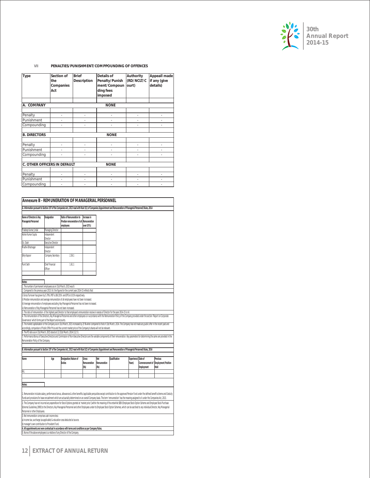

#### VII **PENALTIES/PUNISHMENT/COMPPOUNDING OF OFFENCES**

| Type                         | Section of<br>the<br>Companies<br>Act | <b>Brief</b><br>Description | Details of<br>Penalty/Punish<br>ment/Compoun<br>ding fees<br>imposed | Authority<br>(RD/NCLT/C<br>ourt) | Appeall made<br>if any (give<br>details) |  |  |
|------------------------------|---------------------------------------|-----------------------------|----------------------------------------------------------------------|----------------------------------|------------------------------------------|--|--|
| A. COMPANY                   |                                       |                             | <b>NONE</b>                                                          |                                  |                                          |  |  |
|                              |                                       |                             |                                                                      |                                  |                                          |  |  |
| Penalty                      | ×,                                    | ä,                          | ٠                                                                    | ×,                               | i.                                       |  |  |
| Punishment                   |                                       |                             |                                                                      |                                  |                                          |  |  |
| Compounding                  | ٠                                     |                             |                                                                      |                                  |                                          |  |  |
|                              |                                       |                             |                                                                      |                                  |                                          |  |  |
| <b>B. DIRECTORS</b>          |                                       |                             | <b>NONE</b>                                                          |                                  |                                          |  |  |
|                              |                                       |                             |                                                                      |                                  |                                          |  |  |
| Penalty                      |                                       | i,                          |                                                                      |                                  |                                          |  |  |
| Punishment                   |                                       | ×,                          |                                                                      |                                  |                                          |  |  |
| Compounding                  |                                       |                             |                                                                      |                                  |                                          |  |  |
|                              |                                       |                             |                                                                      |                                  |                                          |  |  |
| C. OTHER OFFICERS IN DEFAULT |                                       |                             | <b>NONE</b>                                                          |                                  |                                          |  |  |
|                              |                                       |                             |                                                                      |                                  |                                          |  |  |
| Penalty                      | ٠                                     | ٠                           | $\overline{\phantom{a}}$                                             | ٠                                | ٠                                        |  |  |
| Punishment                   |                                       | ٠                           | ٠                                                                    |                                  |                                          |  |  |
| Compounding                  |                                       |                             |                                                                      |                                  |                                          |  |  |

|                                                                          |                            | Annexure B - REMUNERATION OF MANAGERIAL PERSONNEL                                                                                                                                                      |                               |                             |               |                              |                               |                                         |
|--------------------------------------------------------------------------|----------------------------|--------------------------------------------------------------------------------------------------------------------------------------------------------------------------------------------------------|-------------------------------|-----------------------------|---------------|------------------------------|-------------------------------|-----------------------------------------|
|                                                                          |                            | A. Information pursuant to Section 197 of the Companies Act, 2013 read with Rule 5(1) of Companies (Appointment and Remuneration of Managerial Personnel) Rules, 2014                                  |                               |                             |               |                              |                               |                                         |
| Name of Directors & Key<br>Managerial Personnel                          | Designation                | Ratio of Remuneration to<br>Median remuneration of all Remuneration                                                                                                                                    | Increase in                   |                             |               |                              |                               |                                         |
|                                                                          |                            | employees                                                                                                                                                                                              | over LY(%)                    |                             |               |                              |                               |                                         |
| Pradeep Kumar Jindal                                                     | Managing Director          |                                                                                                                                                                                                        |                               |                             |               |                              |                               |                                         |
| Ashok Kumar Gupta                                                        | Independent<br>Director    |                                                                                                                                                                                                        |                               |                             |               |                              |                               |                                         |
| S.k. Dash                                                                | <b>Executive Director</b>  |                                                                                                                                                                                                        |                               |                             |               |                              |                               |                                         |
| Madhvi Bhatnagar                                                         | Independent                |                                                                                                                                                                                                        |                               |                             |               |                              |                               |                                         |
|                                                                          | Director                   |                                                                                                                                                                                                        |                               |                             |               |                              |                               |                                         |
| Silky Kapoor                                                             | Company Secretary          | 236:1                                                                                                                                                                                                  |                               |                             |               |                              |                               |                                         |
| <b>Punit Seth</b>                                                        | Chief Financial<br>Officer | 1.61:1                                                                                                                                                                                                 |                               |                             |               |                              |                               |                                         |
| Votes                                                                    |                            |                                                                                                                                                                                                        |                               |                             |               |                              |                               |                                         |
| The number of permanent employees as on 31st March, 2015 was 9.          |                            |                                                                                                                                                                                                        |                               |                             |               |                              |                               |                                         |
|                                                                          |                            | Compared to the previous year 2013-14, the figures for the current year 2014-15 reflects that:                                                                                                         |                               |                             |               |                              |                               |                                         |
|                                                                          |                            | Gross Turnover has grown by 5.79%, PBT is (86.35)% and EPS is 0.01% respectively.                                                                                                                      |                               |                             |               |                              |                               |                                         |
|                                                                          |                            | ii) Median remuneration and average remuneration of all employees have not been increased.<br>iil) Average remuneration of employees excluding Key Managerial Personnel has not been increased.        |                               |                             |               |                              |                               |                                         |
| iv) Remuneration of Key Managerial Personnel has not been increased.     |                            |                                                                                                                                                                                                        |                               |                             |               |                              |                               |                                         |
|                                                                          |                            | The ratio of remuneration of the highest paid Director to that employee's remuneration receive in excess of Director for the year 2014-15 is nil                                                       |                               |                             |               |                              |                               |                                         |
|                                                                          |                            | 4. The remuneration of the Directors, Key Managerial Personnel and other employees is in accordance with the Remuneration Policy of the Company provided under the section 'Report on Corporate        |                               |                             |               |                              |                               |                                         |
| Governance' which forms part of the Report and Accounts.                 |                            |                                                                                                                                                                                                        |                               |                             |               |                              |                               |                                         |
|                                                                          |                            | 5. The market capitalisation of the Company as on 31st March, 2015 increased by 25 % when compared to that of 31st March, 2014. The Company has not made any public offer in the recent past and       |                               |                             |               |                              |                               |                                         |
|                                                                          |                            | accordingly, comparison of Public Offer Price and the current market price of the Company's shares will not be relevant.                                                                               |                               |                             |               |                              |                               |                                         |
| The PE ratio as on 31st March, 2015 stood at 12 (31st March, 2014:112.5) |                            |                                                                                                                                                                                                        |                               |                             |               |                              |                               |                                         |
|                                                                          |                            | 7. Performance Bonus of Executive Directors and Commission of Non-Executive Directors are the variable components of their remuneration. Key parameters for determining the same are provided in the   |                               |                             |               |                              |                               |                                         |
| Remuneration Policy of the Company.                                      |                            |                                                                                                                                                                                                        |                               |                             |               |                              |                               |                                         |
|                                                                          |                            |                                                                                                                                                                                                        |                               |                             |               |                              |                               |                                         |
|                                                                          |                            | B. Information pursuant to Section 197 of the Companies Act, 2013 read with Rule 5(2) of Companies (Appointment and Remuneration of Managerial Personnel) Rules, 2014                                  |                               |                             |               |                              |                               |                                         |
| Name                                                                     | Age                        | Designation/Nature of<br>Duties                                                                                                                                                                        | Gross<br>Remuneration<br>(Rs) | Net<br>Remuneration<br>(Rs) | Qualification | Experience(Date of<br>Years) | Commencement of<br>Employment | Previous<br>Employment/Position<br>Held |
| NIL                                                                      |                            |                                                                                                                                                                                                        |                               |                             |               |                              |                               |                                         |
|                                                                          |                            |                                                                                                                                                                                                        |                               |                             |               |                              |                               |                                         |
|                                                                          |                            |                                                                                                                                                                                                        |                               |                             |               |                              |                               |                                         |
| Notes:                                                                   |                            |                                                                                                                                                                                                        |                               |                             |               |                              |                               |                                         |
|                                                                          |                            |                                                                                                                                                                                                        |                               |                             |               |                              |                               |                                         |
|                                                                          |                            | Remuneration includes salary, performance bonus, allowances & other benefits /applicable perquisites except contribution to the approved Pension Fund under the defined benefit scheme and Gratuity    |                               |                             |               |                              |                               |                                         |
|                                                                          |                            | Funds and provisions for leave encashment which are actuarially determined on an overall Company basis. The term 'remuneration' has the meaning assigned to it under the Companies Act, 2013.          |                               |                             |               |                              |                               |                                         |
|                                                                          |                            | 2. The Company has not incurred any expenditure for Stock Options granted at 'market price' [within the meaning of the erstwhile SEBI (Employee Stock Option Scheme and Employee Stock Purchase        |                               |                             |               |                              |                               |                                         |
|                                                                          |                            | .<br>Scheme) Guidelines,1999) to the Directors, Key Managerial Personnel and other Employees under its Employee Stock Option Schemes, which can be ascribed to any individual Director, Key Managerial |                               |                             |               |                              |                               |                                         |
| Personnel or other Employees.                                            |                            |                                                                                                                                                                                                        |                               |                             |               |                              |                               |                                         |
| 3. Net remuneration comprises cash income less :                         |                            |                                                                                                                                                                                                        |                               |                             |               |                              |                               |                                         |
|                                                                          |                            | a) income tax, surcharge (as applicable) & education cess deducted at source.                                                                                                                          |                               |                             |               |                              |                               |                                         |
| b) manager's own contribution to Provident Fund.                         |                            |                                                                                                                                                                                                        |                               |                             |               |                              |                               |                                         |
|                                                                          |                            | All appointments are/were contractual in accordance with terms and conditions as per Company Rules.                                                                                                    |                               |                             |               |                              |                               |                                         |
|                                                                          |                            | None of the above employees is a relative of any Director of the Company                                                                                                                               |                               |                             |               |                              |                               |                                         |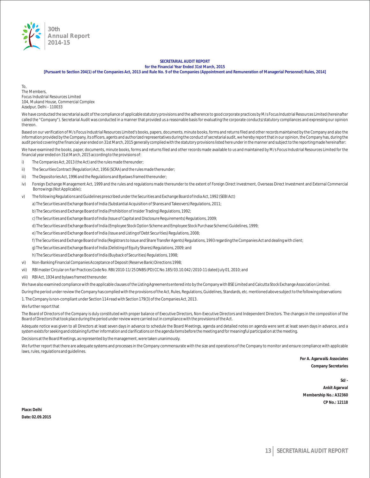

#### **SECRETARIAL AUDIT REPORT**

**for the Financial Year Ended 31st March, 2015 [Pursuant to Section 204(1) of the Companies Act, 2013 and Rule No. 9 of the Companies (Appointment and Remuneration of Managerial Personnel) Rules, 2014]**

To, The Members, Focus Industrial Resources Limited 104, Mukand House, Commercial Complex Azadpur, Delhi - 110033

We have conducted the secretarial audit of the compliance of applicable statutory provisions and the adherence to good corporate practices by M/s Focus Industrial Resources Limited (hereinafter called the "Company"). Secretarial Audit was conducted in a manner that provided us a reasonable basis for evaluating the corporate conducts/statutory compliances and expressing our opinion thereon.

Based on our verification of M/s Focus Industrial Resources Limited's books, papers, documents, minute books, forms and returns filed and other records maintained by the Company and also the information provided by the Company, its officers, agents and authorized representatives during the conduct of secretarial audit, we hereby report that in our opinion, the Company has, during the audit period covering the financial year ended on 31st March, 2015 generally complied with the statutory provisions listed here under in the manner and subject to the reporting made hereinafter:

We have examined the books, paper, documents, minute books, forms and returns filed and other records made available to us and maintained by M/s Focus Industrial Resources Limited for the financial year ended on 31st March, 2015 according to the provisions of:

- i) The Companies Act, 2013 (the Act) and the rules made thereunder;
- ii) The Securities Contract (Regulation) Act, 1956 (SCRA) and the rules made thereunder;
- iii) The Depositories Act, 1996 and the Regulations and Byelaws framed thereunder;
- iv) Foreign Exchange Management Act, 1999 and the rules and regulations made thereunder to the extent of Foreign Direct Investment, Overseas Direct Investment and External Commercial Borrowings (Not Applicable);
- v) The following Regulations and Guidelines prescribed under the Securities and Exchange Board of India Act, 1992 (SEBI Act)
	- a) The Securities and Exchange Board of India (Substantial Acquisition of Shares and Takeovers) Regulations, 2011;
		- b) The Securities and Exchange Board of India (Prohibition of Insider Trading) Regulations, 1992;
		- c) The Securities and Exchange Board of India (Issue of Capital and Disclosure Requirements) Regulations, 2009;
		- d) The Securities and Exchange Board of India (Employee Stock Option Scheme and Employee Stock Purchase Scheme) Guidelines, 1999;
		- e) The Securities and Exchange Board of India (Issue and Listing of Debt Securities) Regulations, 2008;
		- f) The Securities and Exchange Board of India (Registrars to Issue and Share Transfer Agents) Regulations, 1993 regarding the Companies Act and dealing with client;

g) The Securities and Exchange Board of India (Delisting of Equity Shares) Regulations, 2009; and

- h) The Securities and Exchange Board of India (Buyback of Securities) Regulations, 1998;
- vi) Non-Banking Financial Companies Acceptance of Deposit (Reserve Bank) Directions 1998;
- vii) RBI master Circular on Fair Practices Code No. RBI/2010-11/25 DNBS (PD) CC No.185/03.10.042 /2010-11 dated July 01, 2010; and
- viii) RBI Act, 1934 and bylaws framed thereunder.

We have also examined compliance with the applicable clauses of the Listing Agreements entered into by the Company with BSE Limited and Calcutta Stock Exchange Association Limited.

During the period under review the Company has complied with the provisions of the Act, Rules, Regulations, Guidelines, Standards, etc. mentioned abovesubject to the following observations:

1. The Company is non-compliant under Section 114 read with Section 179(3) of the Companies Act, 2013.

We further report that

The Board of Directors of the Company is duly constituted with proper balance of Executive Directors, Non-Executive Directors and Independent Directors. The changes in the composition of the Board of Directors that took place during the period under review were carried out in compliance with the provisions of the Act.

Adequate notice was given to all Directors at least seven days in advance to schedule the Board Meetings, agenda and detailed notes on agenda were sent at least seven days in advance, and a system exists for seeking and obtaining further information and clarifications on the agenda items before the meeting and for meaningful participation at the meeting.

Decisions at the Board Meetings, as represented by the management, were taken unanimously.

We further report that there are adequate systems and processes in the Company commensurate with the size and operations of the Company to monitor and ensure compliance with applicable laws, rules, regulations and guidelines.

> **For A. Agarwal& Associates Company Secretaries**

**Sd/- Ankit Agarwal Membership No.: A32360 CP No.: 12118**

**Place: Delhi Date: 02.09.2015**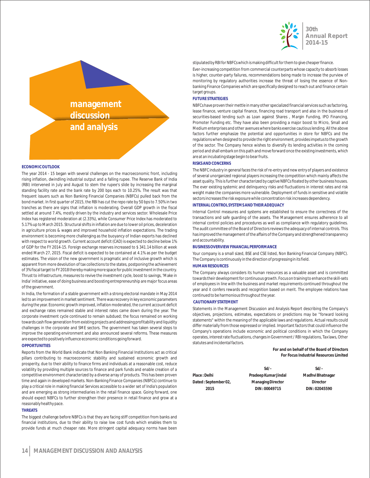



#### **ECONOMIC OUTLOOK**

The year 2014 - 15 began with several challenges on the macroeconomic front, including rising inflation, dwindling industrial output and a falling rupee. The Reserve Bank of India (RBI) intervened in July and August to stem the rupee's slide by increasing the marginal standing facility rate and the bank rate by 200 bps each to 10.25%. The result was that frequent issuers such as Non Banking Financial Companies (NBFCs) pulled back from the bond market. In first quarter of 2015, the RBI has cut the repo rate by 50 bps to 7.50% in two tranches as there are signs that inflation is moderating. Overall GDP growth in the fiscal settled at around 7.4%, mostly driven by the industry and services sector. Wholesale Price Index has registered moderation at (2.33%), while Consumer Price Index has moderated to 5.17% up to March 2015. Structural shifts in inflation are due to lower oil prices, deceleration in agriculture prices & wages and improved household inflation expectations. The trading environment is becoming more challenging as the buoyancy of Indian exports has declined with respect to world growth. Current account deficit (CAD) is expected to decline below 1% of GDP for the FY 2014-15. Foreign exchange reserves increased to \$ 341.14 billion at week ended March 27, 2015. Fiscal deficit is expected to be contained at 4.1% as per the budget estimates. The vision of the new government is pragmatic and of inclusive growth which is apparent from more devolution of tax collections to the states, postponing the achievement of 3% fiscal target to FY 2018 thereby making more space for public investment in the country. Thrust to infrastructure, measures to revive the investment cycle, boost to savings, 'Make in India' initiative, ease of doing business and boosting entrepreneurship are major focus areas of the government.

In India, the formation of a stable government with a strong electoral mandate in May 2014 led to an improvement in market sentiment. There was recovery in key economic parameters during the year. Economic growth improved, inflation moderated, the current account deficit and exchange rates remained stable and interest rates came down during the year. The corporate investment cycle continued to remain subdued; the focus remained on working towards cash flow generation from existing projects and addressing profitability and liquidity challenges in the corporate and SME sectors. The government has taken several steps to improve the operating environment and also announced several reforms. These measures are expected to positively influence economic conditions going forward.

#### **OPPORTUNITIES**

Reports from the World Bank indicate that Non Banking Financial Institutions act as critical pillars contributing to macroeconomic stability and sustained economic growth and prosperity, due to their ability to finance firms and individuals at a reasonable cost, reduce volatility by providing multiple sources to finance and park funds and enable creation of a competitive environment characterized by a diverse array of products. This has been proven time and again in developed markets. Non-Banking Finance Companies (NBFCs) continue to play a critical role in making financial Services accessible to a wider set of India's population and are emerging as strong intermediaries in the retail finance space. Going forward, one should expect NBFCs to further strengthen their presence in retail finance and grow at a reasonably healthy pace.

#### **THREATS**

The biggest challenge before NBFCs is that they are facing stiff competition from banks and financial institutions, due to their ability to raise low cost funds which enables them to provide funds at much cheaper rate. More stringent capital adequacy norms have been stipulated by RBI for NBFCs which is making difficult for them to give cheaper finance.

Ever-increasing competition from commercial counterparts whose capacity to absorb losses is higher, counter-party failures, recommendations being made to increase the purview of monitoring by regulatory authorities increase the threat of losing the essence of Nonbanking Finance Companies which are specifically designed to reach out and finance certain target groups.

#### **FUTURE STRATEGIES**

NBFCs have proven their mettle in many other specialized financial services such as factoring, lease finance, venture capital finance, financing road transport and also in the business of securities-based lending such as Loan against Shares , Margin Funding, IPO Financing, Promoter Funding etc. They have also been providing a major boost to Micro, Small and Medium enterprises and other avenues where banks exercise cautious lending. All the above factors further emphasize the potential and opportunities in store for NBFCs and the regulations when designed to provide the right environment, provides impetus to the growth of the sector. The Company hence wishes to diversify its lending activities in the coming period and shall embark on this path and move forward once the existing investments, which are at an incubating stage begin to bear fruits.

#### **RISKS AND CONCERNS**

The NBFC industry in general faces the risk of re-entry and new entry of players and existence of several unorganized regional players increasing the competition which mainly affects the asset quality. This is further characterized by captive NBFCs floated by other business houses. The ever existing systemic and delinquency risks and fluctuations in interest rates and risk weight make the companies more vulnerable. Deployment of funds in sensitive and volatile sectors increases the risk exposure while concentration risk increases dependency.

#### **INTERNAL CONTROL SYSTEMS AND THEIR ADEQUACY**

Internal Control measures and systems are established to ensure the correctness of the transactions and safe guarding of the assets. The Management ensures adherence to all internal control policies and procedures as well as compliance with regulatory guidelines. The audit committee of the Board of Directors reviews the adequacy of internal controls. This has improved the management of the affairs of the Company and strengthened transparency and accountability.

#### **BUSINESS OVERVIEW FINANCIAL PERFORMANCE**

Your company is a small sized, BSE and CSE listed, Non Banking Financial Company (NBFC). The Company is continuously in the direction of progressing in its field.

#### **HUMAN RESOURCES**

The Company always considers its human resources as a valuable asset and is committed towards their development for continuous growth. Focus on training to enhance the skill-sets of employees in line with the business and market requirements continued throughout the year and it confers rewards and recognition based on merit. The employee relations have continued to be harmonious throughout the year.

#### **CAUTIONARY STATEMENT**

Statements in the Management Discussion and Analysis Report describing the Company's objectives, projections, estimates, expectations or predictions may be "forward looking statements" within the meaning of the applicable laws and regulations. Actual results could differ materially from those expressed or implied. Important factors that could influence the Company's operations include economic and political conditions in which the Company operates, interest rate fluctuations, changes in Government / RBI regulations, Tax laws, Other statutes and incidental factors.

> **For and on behalf of the Board of Directors For Focus Industrial Resources Limited**

|                      | $Sd$ .               | $Sd$ .           |
|----------------------|----------------------|------------------|
| Place : Delhi        | Pradeep Kumar Jindal | Madhvi Bhatnagar |
| Dated: September 02, | Managing Director    | Director         |
| 2015                 | DIN: 00049715        | DIN: 02045590    |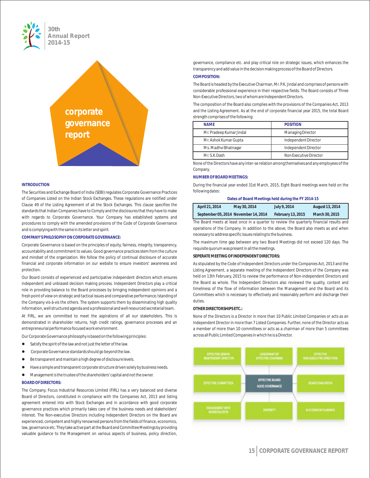



#### **INTRODUCTION**

The Securities and Exchange Board of India (SEBI) regulates Corporate Governance Practices of Companies Listed on the Indian Stock Exchanges. These regulations are notified under Clause 49 of the Listing Agreement of all the Stock Exchanges. This clause specifies the standards that Indian Companies have to Comply and the disclosures that they have to make with regards to Corporate Governance. Your Company has established systems and procedures to comply with the amended provisions of the Code of Corporate Governance and is complying with the same in its letter and spirit.

#### **COMPANY'S PHILOSOPHY ON CORPORATE GOVERNANCE:**

Corporate Governance is based on the principles of equity, fairness, integrity, transparency, accountability and commitment to values. Good governance practices stem from the culture and mindset of the organization. We follow the policy of continual disclosure of accurate financial and corporate information on our website to ensure investors' awareness and protection.

Our Board consists of experienced and participative independent directors which ensures independent and unbiased decision making process. Independent Directors play a critical role in providing balance to the Board processes by bringing independent opinions and a fresh point of view on strategic and tactical issues and comparative performance /standing of the Company vis-à-vis the others. The system supports them by disseminating high quality information, well structured agenda and a professional and well resourced secretarial team.

At FIRL, we are committed to meet the aspirations of all our stakeholders. This is demonstrated in shareholder returns, high credit ratings, governance processes and an entrepreneurial performance focused work environment.

Our Corporate Governance philosophy is based on the following principles:<br>• Satisfy the spirit of the law and not just the letter of the law.

- 
- Corporate Governance standards should go beyond the law.
- **e** Be transparent and maintain a high degree of disclosure levels.
- $\bullet$  Have a simple and transparent corporate structure driven solely by business needs. lHave a simple and transparent corporate structure driven solely by business needs. Management is the trustee of the shareholders' capital and not the owner.
- 

#### **BOARD OF DIRECTORS:**

The Company, Focus Industrial Resources Limited (FIRL) has a very balanced and diverse Board of Directors, constituted in compliance with the Companies Act, 2013 and listing agreement entered into with Stock Exchanges and in accordance with good corporate governance practices which primarily takes care of the business needs and stakeholders' interest. The Non-executive Directors including Independent Directors on the Board are experienced, competent and highly renowned persons from the fields of finance, economics, law, governance etc. They take active part at the Board and Committee Meetings by providing valuable guidance to the Management on various aspects of business, policy direction,

governance, compliance etc. and play critical role on strategic issues, which enhances the transparency and add value in the decision making process of the Board of Directors.

#### **COMPOSITION:**

The Board is headed by the Executive Chairman, Mr. P.K. Jindal and comprises of persons with considerable professional experience in their respective fields. The Board consists of Three Non-Executive Directors, two of whom are Independent Directors.

The composition of the Board also complies with the provisions of the Companies Act, 2013 and the Listing Agreement. As at the end of corporate financial year 2015, the total Board strength comprises of the following:

| Mr. Pradeep Kumar Jindal<br>Managing Director<br>Independent Director<br>Mr. Ashok Kumar Gupta<br>Independent Director<br>Ms. Madhvi Bhatnagar<br>Non Executive Director<br>Mr. S.K.Dash | <b>NAME</b> | <b>POSITION</b> |
|------------------------------------------------------------------------------------------------------------------------------------------------------------------------------------------|-------------|-----------------|
|                                                                                                                                                                                          |             |                 |
|                                                                                                                                                                                          |             |                 |
|                                                                                                                                                                                          |             |                 |
|                                                                                                                                                                                          |             |                 |

None of the Directors have any inter-se relation among themselves and any employees of the Company.

#### **NUMBER OF BOARD MEETINGS:**

During the financial year ended 31st March, 2015, Eight Board meetings were held on the following dates:

#### **Dates of Board Meetings held during the FY 2014-15**

| April 21, 2014                       | May 30, 2014 | July 9, 2014      | August 13, 2014 |
|--------------------------------------|--------------|-------------------|-----------------|
| September 05, 2014 November 14, 2014 |              | February 13, 2015 | March 30, 2015  |

The Board meets at least once in a quarter to review the quarterly financial results and operations of the Company. In addition to the above, the Board also meets as and when necessary to address specific issues relating to the business.

The maximum time gap between any two Board Meetings did not exceed 120 days. The requisite quorum was present in all the meetings.

**SEPERATE MEETING OF INDEPENDENT DIRECTORS:**

As stipulated by the Code of Independent Directors under the Companies Act, 2013 and the Listing Agreement, a separate meeting of the Independent Directors of the Company was held on 13th February, 2015 to review the performance of Non-independent Directors and the Board as whole. The Independent Directors also reviewed the quality, content and timeliness of the flow of information between the Management and the Board and its Committees which is necessary to effectively and reasonably perform and discharge their duties.

#### **OTHER DIRECTORSHIPS ETC.:**

None of the Directors is a Director in more than 10 Public Limited Companies or acts as an Independent Director in more than 7 Listed Companies. Further, none of the Director acts as a member of more than 10 committees or acts as a chairman of more than 5 committees across all Public Limited Companies in which he is a Director.

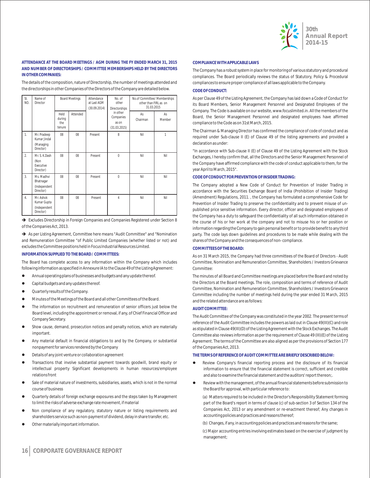

#### **ATTENDANCE AT THE BOARD MEETINGS / AGM DURING THE FY ENDED MARCH 31, 2015 AND NUMBER OF DIRECTORSHIPS / COMMITTEE MEMBERSHIPS HELD BY THE DIRECTORS IN OTHER COMPANIES:**

The details of the composition, nature of Directorship, the number of meetings attended and the directorships in other Companies of the Directors of the Company are detailed below.

| SI.<br>NO. | Name of<br><b>Board Meetings</b><br>Attendance<br>at Last AGM<br>Director<br>(30.09.2014) |                                 | No. of<br>other<br>Directorships | No.of Committee/ Memberships<br>other than FIRL as on<br>31.03.2015 |                |              |     |
|------------|-------------------------------------------------------------------------------------------|---------------------------------|----------------------------------|---------------------------------------------------------------------|----------------|--------------|-----|
|            |                                                                                           | Held<br>during<br>the<br>tenure | in other<br>Attended<br>as on    | Companies<br>(31.03.2015)                                           | As<br>Chairman | As<br>Member |     |
| 1.         | Mr. Pradeep<br>Kumar Jindal<br>(Managing<br>Director)                                     | 08                              | 08                               | Present                                                             | 8              | Nil          | 1   |
| 2.         | Mr. S. K.Dash<br>(Non<br><b>Executive</b><br>Director)                                    | 08                              | 08                               | Present                                                             | $\theta$       | Nil          | Nil |
| 3.         | Ms. Madhvi<br>Bhatnagar<br>(Independent<br>Director)                                      | 08                              | 08                               | Present                                                             | $\theta$       | Nil          | Nil |
| 4.         | Mr. Ashok<br>Kumar Gupta<br>(Independent<br>Director)                                     | 08                              | 08                               | Present                                                             | 4              | Nil          | Nil |

 $\rightarrow$  Excludes Directorship in Foreign Companies and Companies Registered under Section 8 of the Companies Act, 2013.

→ As per Listing Agreement, Committee here means "Audit Committee" and "Nomination and Remuneration Committee "of Public Limited Companies (whether listed or not) and excludes the Committee positions held in Focus Industrial Resources Limited.

#### **INFORMATION SUPPLIED TO THE BOARD / COMMITTEES:**

The Board has complete access to any information within the Company which includes

- following information as specified in Annexure IA to the Clause 49 of the Listing Agreement:<br>● Annual operating plans of businesses and budgets and any update thereof. lAnnual operating plans of businesses and budgets and any update thereof.
- Capital budgets and any updates thereof.<br>Quarterly results of the Company.
- 
- Minutes of the Meetings of the Board and all other Committees of the Board.
- lMinutes of the Meetings of the Board and all other Committees of the Board. The information on recruitment and remuneration of senior officers just below the Board level, including the appointment or removal, if any, of Chief Financial Officer and
- lCompany Secretary. Show cause, demand, prosecution notices and penalty notices, which are materially
- limportant. Any material default in financial obligations to and by the Company, or substantial nonpayment for services rendered by the Company<br>Details of any joint venture or collaboration agreement
- 
- Details of any joint venture or collaboration agreement<br>● Transactions that involve substantial payment towards goodwill, brand equity or intellectual property Significant developments in human resources/employee
- lrelations front Sale of material nature of investments, subsidiaries, assets, which is not in the normal
- lcourse of business Quarterly details of foreign exchange exposures and the steps taken by Management
- to limit the risks of adverse exchange rate movement, if material<br>● Non compliance of any regulatory, statutory nature or listing requirements and shareholders service such as non-payment of dividend, delay in share transfer, etc.
- Other materially important information.

#### **COMPLIANCE WITH APPLICABLE LAWS**

**CODE OF CONDUCT:** The Company has a robust system in place for monitoring of various statutory and procedural compliances. The Board periodically reviews the status of Statutory, Policy & Procedural compliances to ensure proper compliance of all laws applicable to the Company.

As per Clause 49 of the Listing Agreement, the Company has laid down a Code of Conduct for its Board Members, Senior Management Personnel and Designated Employees of the Company. The Code is available on our website, www.focuslimited.in. All the members of the Board, the Senior Management Personnel and designated employees have affirmed compliance to the Code as on 31st March, 2015.

The Chairman & Managing Director has confirmed the compliance of code of conduct and as required under Sub-clause II (E) of Clause 49 of the listing agreements and provided a declaration as under:

"In accordance with Sub-clause II (E) of Clause 49 of the Listing Agreement with the Stock Exchanges, I hereby confirm that, all the Directors and the Senior Management Personnel of the Company have affirmed compliance with the code of conduct applicable to them, for the year April to March, 2015".

#### **CODE OF CONDUCT FOR PREVENTION OF INSIDER TRADING:**

The Company adopted a New Code of Conduct for Prevention of Insider Trading in accordance with the Securities Exchange Board of India (Prohibition of Insider Trading) (Amendment) Regulations, 2011. , the Company has formulated a comprehensive Code for Prevention of Insider Trading to preserve the confidentiality and to prevent misuse of unpublished price sensitive information. Every director, officer and designated employees of the Company has a duty to safeguard the confidentiality of all such information obtained in the course of his or her work at the company and not to misuse his or her position or information regarding the Company to gain personal benefit or to provide benefit to any third party. The code lays down guidelines and procedures to be made while dealing with the shares of the Company and the consequences of non- compliance.

#### **COMMITTEES OF THE BOARD:**

As on 31 March 2015, the Company had three committees of the Board of Directors - Audit Committee, Nomination and Remuneration Committee, Shareholders / Investors Grievance Committee:

The minutes of all Board and Committee meetings are placed before the Board and noted by the Directors at the Board meetings. The role, composition and terms of reference of Audit Committee, Nomination and Remuneration Committee, Shareholders / Investors Grievance Committee including the number of meetings held during the year ended 31 March, 2015 and the related attendance are as follows:

#### **AUDIT COMMITTEE:**

The Audit Committee of the Company was constituted in the year 2002. The present terms of reference of the Audit Committee includes the powers as laid out in Clause 49(III)(C) and role as stipulated in Clause 49(III)(D) of the Listing Agreement with the Stock Exchanges. The Audit Committee also reviews information as per the requirement of Clause 49 (III)(E) of the Listing Agreement. The terms of the Committee are also aligned as per the provisions of Section 177 of the Companies Act, 2013.

#### **THE TERMS OF REFERENCE OF AUDIT COMMITTEE ARE BRIEFLY DESCRIBED BELOW:**

- Review Company's financial reporting process and the disclosure of its financial information to ensure that the financial statement is correct, sufficient and credible
- land also to examine the financial statement and the auditors' report thereon;. Review with the management, of the annual financial statements before submission to the Board for approval, with particular reference to:

(a) Matters required to be included in the Director's Responsibility Statement forming part of the Board's report in terms of clause (c) of sub-section 3 of Section 134 of the Companies Act, 2013 or any amendment or re-enactment thereof; Any changes in accounting policies and practices and reasons thereof;

(b) Changes, if any, in accounting policies and practices and reasons for the same;

(c) Major accounting entries involving estimates based on the exercise of judgment by management;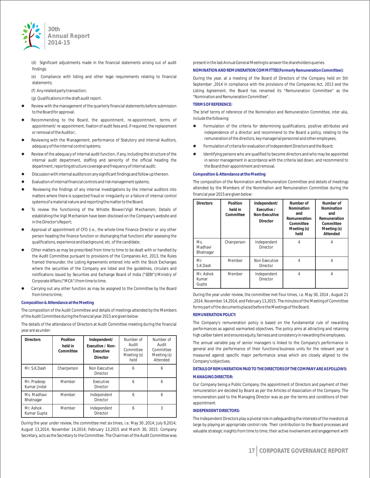

(d) Significant adjustments made in the financial statements arising out of audit findings;

(e) Compliance with listing and other legal requirements relating to financial statements;

(f) Any related party transaction;

- 
- l(g) Qualifications in the draft audit report. Review with the management of the quarterly financial statements before submission
- lto the Board for approval. Recommending to the Board, the appointment, re-appointment, terms of appointment/ re-appointment, fixation of audit fees and, if required, the replacement
- lor removal of the Auditor;. Reviewing with the Management, performance of Statutory and Internal Auditors,
- ladequacy of the internal control systems; Review of the adequacy of internal audit function, if any, including the structure of the internal audit department, staffing and seniority of the official heading the department, reporting structure coverage and frequency of internal audit;<br>Discussion with internal auditors on any significant findings and follow up thereon.
- 
- Evaluation of internal financial controls and risk management systems;
- lEvaluation of internal financial controls and risk management systems; Reviewing the findings of any internal investigations by the internal auditors into matters where there is suspected fraud or irregularity or a failure of internal control
- lsystems of a material nature and reporting the matter to the Board. To review the functioning of the Whistle Blower/Vigil Mechanism; Details of establishing the Vigil Mechanism have been disclosed on the Company's website and
- lin the Director's Report; Approval of appointment of CFO (i.e., the whole-time Finance Director or any other person heading the finance function or discharging that function) after assessing the
- lqualifications, experience and background, etc. of the candidate; Other matters as may be prescribed from time to time to be dealt with or handled by the Audit Committee pursuant to provisions of the Companies Act, 2013, the Rules framed thereunder, the Listing Agreements entered into with the Stock Exchanges where the securities of the Company are listed and the guidelines, circulars and notifications issued by Securities and Exchange Board of India ("SEBI")/Ministry of
- lCorporate Affairs ("MCA") from time to time. Carrying out any other function as may be assigned to the Committee by the Board from time to time:

#### **Composition & Attendance at the Meeting**

The composition of the Audit Committee and details of meetings attended by the Members of the Audit Committee during the financial year 2015 are given below:

The details of the attendance of Directors at Audit Committee meeting during the financial year are as under:

| <b>Directors</b>            | Position<br>held in<br>Committee | Independent/<br>Executive / Non-<br><b>Fxecutive</b><br>Director | Number of<br>Audit<br>Committee<br>Meeting (s)<br>held | Number of<br>Audit<br>Committee<br>Meeting (s)<br>Attended |
|-----------------------------|----------------------------------|------------------------------------------------------------------|--------------------------------------------------------|------------------------------------------------------------|
| Mr. S.K.Dash                | Chairperson                      | Non Executive<br>Director                                        | 6                                                      | 6                                                          |
| Mr. Pradeep<br>Kumar Jindal | Member                           | <b>Fxecutive</b><br>Director                                     | 6                                                      | 6                                                          |
| Ms. Madhavi<br>Bhatnagar    | Member                           | Independent<br>Director                                          | 6                                                      | 6                                                          |
| Mr. Ashok<br>Kumar Gupta    | Member                           | Independent<br>Director                                          | 6                                                      | 3                                                          |

During the year under review, the committee met six times, i.e. May 30 ,2014; July 9,2014; August 13,2014; November 14,2014; February 13,2015 and March 30, 2015. Company Secretary, acts as the Secretary to the Committee. The Chairman of the Audit Committee was

present in the last Annual General Meeting to answer the shareholders queries. **NOMINATION AND REMUNERATION COMMITTEE(Formerly Remuneration Committee):**

During the year, at a meeting of the Board of Directors of the Company held on 5th September ,2014 in compliance with the provisions of the Companies Act, 2013 and the Listing Agreement, the Board has renamed its "Remuneration Committee" as the "Nomination and Remuneration Committee".

#### **TERMS OF REFERENCE:**

The brief terms of reference of the Nomination and Remuneration Committee, inter alia,

- linclude the following: Formulation of the criteria for determining qualifications, positive attributes and independence of a director and recommend to the Board a policy, relating to the remuneration of the directors, key managerial personnel and other employees;<br>Formulation of criteria for evaluation of Independent Directors and the Board;
- 
- lFormulation of criteria for evaluation of Independent Directors and the Board; Identifying persons who are qualified to become directors and who may be appointed in senior management in accordance with the criteria laid down, and recommend to the Board their appointment and removal.

#### **Composition & Attendance at the Meeting**

The composition of the Nomination and Remuneration Committee and details of meetings attended by the Members of the Nomination and Remuneration Committee during the financial year 2015 are given below:

| <b>Directors</b>            | Position<br>held in<br>Committee | Independent/<br>Fxecutive /<br>Non-Executive<br>Director | Number of<br>Nomination<br>and<br>Remuneration<br>Committee<br>Meeting (s)<br>held | Number of<br>Nomination<br>and<br>Remuneration<br>Committee<br>Meeting (s)<br>Attended |
|-----------------------------|----------------------------------|----------------------------------------------------------|------------------------------------------------------------------------------------|----------------------------------------------------------------------------------------|
| Ms.<br>Madhavi<br>Bhatnagar | Chairperson                      | Independent<br>Director                                  | 4                                                                                  | 4                                                                                      |
| Mr.<br>S.K.Dash             | Member                           | Non Executive<br>Director                                | 4                                                                                  | 4                                                                                      |
| Mr. Ashok<br>Kumar<br>Gupta | Member                           | Independent<br>Director                                  | 4                                                                                  | 4                                                                                      |

During the year under review, the committee met Four times, i.e. May 30, 2014 ; August 21 ,2014, November 14,2014; and February 13,2015. The minutes of the Meeting of Committee forms part of the documents placed before the Meetings of the Board.

#### **REMUNERATION POLICY:**

The Company's remuneration policy is based on the fundamental rule of rewarding performances as against earmarked objectives. The policy aims at attracting and retaining high caliber talent and ensures equity, fairness and consistency in rewarding the employees.

The annual variable pay of senior managers is linked to the Company's performance in general and the performance of their functions/business units for the relevant year is measured against specific major performance areas which are closely aligned to the Company's objectives.

#### **DETAILS OF REMUNERATION PAID TO THE DIRECTORS OF THE COMPANY ARE AS FOLLOWS: MANAGING DIRECTOR:**

Our Company being a Public Company, the appointment of Directors and payment of their remuneration are decided by Board as per the Articles of Association of the Company. The remuneration paid to the Managing Director was as per the terms and conditions of their appointment.

#### **INDEPENDENT DIRECTORS:**

The Independent Directors play a pivotal role in safeguarding the interests of the investors at large by playing an appropriate control role. Their contribution to the Board processes and valuable strategic insights from time to time; their active involvement and engagement with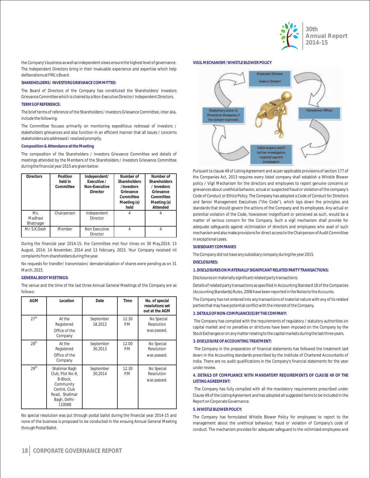

the Company's business as well as independent views ensure the highest level of governance. The Independent Directors bring in their invaluable experience and expertise which help deliberations at FIRL's Board.

#### **SHAREHOLDERS / INVESTORS GRIEVANCE COMMITTEE:**

The Board of Directors of the Company has constituted the Shareholders/ Investors Grievance Committee which is chaired by a Non-Executive Director/ Independent Directors.

#### **TERMS OF REFERENCE:**

The brief terms of reference of the Shareholders / Investors Grievance Committee, inter alia, include the following:

The Committee focuses primarily on monitoring expeditious redressal of investors / stakeholders grievances and also function in an efficient manner that all issues / concerns stakeholders are addressed / resolved promptly.

#### **Composition & Attendance at the Meeting**

The composition of the Shareholders / Investors Grievance Committee and details of meetings attended by the Members of the Shareholders / Investors Grievance Committee during the financial year 2015 are given below:

| <b>Directors</b> | Position    | Independent/  | Number of           | Number of    |
|------------------|-------------|---------------|---------------------|--------------|
|                  | held in     | Fxecutive /   | <b>Shareholders</b> | Shareholders |
|                  | Committee   | Non-Executive | /Investors          | / Investors  |
|                  |             | Director      | Grievance           | Grievance    |
|                  |             |               | Committee           | Committee    |
|                  |             |               | Meeting (s)         | Meeting (s)  |
|                  |             |               | held                | Attended     |
| Ms.              | Chairperson | Independent   | 4                   |              |
| Madhavi          |             | Director      |                     |              |
| Bhatnagar        |             |               |                     |              |
| Mr. S.K.Dash     | Member      | Non Executive | 4                   |              |
|                  |             | Director      |                     |              |

During the financial year 2014-15, the Committee met four times on 30 May,2014; 13 August, 2014; 14 November, 2014 and 13 February, 2015. Your Company received nil complaints from shareholders during the year.

No requests for transfer/ transmission/ dematerialization of shares were pending as on 31 March, 2015.

#### **GENERAL BODY MEETINGS:**

The venue and the time of the last three Annual General Meetings of the Company are as follows:

| AGM              | Location                                                                                                               | Date                 | Time         | No. of special<br>resolutions set<br>out at the AGM |
|------------------|------------------------------------------------------------------------------------------------------------------------|----------------------|--------------|-----------------------------------------------------|
| 27 <sup>th</sup> | At the<br>Registered<br>Office of the<br>Company                                                                       | September<br>18.2012 | 12.30<br>P.M | No Special<br>Resolution<br>was passed.             |
| 28 <sup>th</sup> | At the<br>Registered<br>Office of the<br>Company                                                                       | September<br>30.2013 | 12.00<br>P.M | No Special<br>Resolution<br>was passed.             |
| 29 <sup>th</sup> | Shalimar Bagh<br>Club, Plot No-9,<br>B-Block.<br>Community<br>Centre, Club<br>Road, Shalimar<br>Bagh, Delhi-<br>110088 | September<br>30.2014 | 12.30<br>P.M | No Special<br>Resolution<br>was passed.             |

No special resolution was put through postal ballot during the financial year 2014-15 and none of the business is proposed to be conducted in the ensuing Annual General Meeting through Postal Ballot.

#### **VIGIL MECHANISM/WHISTLE BLOWER POLICY**



Pursuant to clause 49 of Listing Agreement and as per applicable provisions of section 177 of the Companies Act, 2013 requires every listed company shall establish a Whistle Blower policy / Vigil Mechanism for the directors and employees to report genuine concerns or grievances about unethical behavior, actual or suspected fraud or violation of the company's Code of Conduct or Ethics Policy. The Company has adopted a Code of Conduct for Directors and Senior Management Executives ("the Code"), which lays down the principles and standards that should govern the actions of the Company and its employees. Any actual or potential violation of the Code, howsoever insignificant or perceived as such, would be a matter of serious concern for the Company. Such a vigil mechanism shall provide for adequate safeguards against victimization of directors and employees who avail of such mechanism and also make provisions for direct access to the Chairperson of Audit Committee in exceptional cases.

#### **SUBSIDIARY COMPANIES**

The Company did not have any subsidiary company during the year 2015.

#### **DISCLOSURES:**

#### **1. DISCLOSURES ON MATERIALLY SIGNIFICANT RELATED PARTY TRANSACTIONS:**

#### Disclosures on materially significant related party transactions:

Details of related party transactions as specified in Accounting Standard 18 of the Companies (Accounting Standards) Rules, 2006 have been reported in the Notes to the Accounts.

The Company has not entered into any transactions of material nature with any of its related parties that may have potential conflict with the interest of the Company.

#### **2. DETAILS OF NON-COMPLIANCE(S) BY THE COMPANY:**

 The Company has complied with the requirements of regulatory / statutory authorities on capital market and no penalties or strictures have been imposed on the Company by the Stock Exchanges or on any matter relating to the capital markets during the last three years.

#### **3. DISCLOSURE OF ACCOUNTING TREATMENT:**

The Company in the preparation of financial statements has followed the treatment laid down in the Accounting standards prescribed by the Institute of Chartered Accountants of India. There are no audit qualifications in the Company's financial statements for the year under review.

#### **4. DETAILS OF COMPLIANCE WITH MANDATORY REQUIREMENTS OF CLAUSE 49 OF THE LISTING AGREEMENT:**

The Company has fully complied with all the mandatory requirements prescribed under Clause 49 of the Listing Agreement and has adopted all suggested items to be included in the Report on Corporate Governance.

#### **5. WHISTLE BLOWER POLICY:**

The Company has formulated Whistle Blower Policy for employees to report to the management about the unethical behaviour, fraud or violation of Company's code of conduct. The mechanism provides for adequate safeguard to the victimized employees and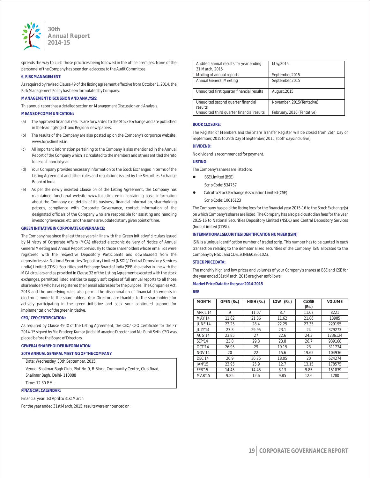

spreads the way to curb those practices being followed in the office premises. None of the personnel of the Company has been denied access to the Audit Committee.

#### **6. RISK MANAGEMENT:**

As required by revised Clause 49 of the listing agreement effective from October 1, 2014, the Risk Management Policy has been formulated by Company.

#### **MANAGEMENT DISCUSSION AND ANALYSIS:**

This annual report has a detailed section on Management Discussion and Analysis.

#### **MEANS OF COMMUNICATION:**

- (a) The approved financial results are forwarded to the Stock Exchange and are published in the leading English and Regional newspapers.
- (b) The results of the Company are also posted up on the Company's corporate website: www.focuslimited.in.
- (c) All important information pertaining to the Company is also mentioned in the Annual Report of the Company which is circulated to the members and others entitled thereto for each financial year.
- (d) Your Company provides necessary information to the Stock Exchanges in terms of the Listing Agreement and other rules and regulations issued by the Securities Exchange Board of India.
- (e) As per the newly inserted Clause 54 of the Listing Agreement, the Company has maintained functional website www.focuslimited.in containing basic information about the Company e.g. details of its business, financial information, shareholding pattern, compliance with Corporate Governance, contact information of the designated officials of the Company who are responsible for assisting and handling investor grievances, etc. and the same are updated at any given point of time.

#### **GREEN INITIATIVE IN CORPORATE GOVERNANCE:**

The Company has since the last three years in line with the 'Green Initiative' circulars issued by Ministry of Corporate Affairs (MCA) effected electronic delivery of Notice of Annual General Meeting and Annual Report previously to those shareholders whose email ids were registered with the respective Depository Participants and downloaded from the depositories viz. National Securities Depository Limited (NSDL)/ Central Depository Services (India) Limited (CDSL). Securities and Exchange Board of India (SEBI) have also in line with the MCA circulars and as provided in Clause 32 of the Listing Agreement executed with the stock exchanges, permitted listed entities to supply soft copies of full annual reports to all those shareholders who have registered their email addresses for the purpose. The Companies Act, 2013 and the underlying rules also permit the dissemination of financial statements in electronic mode to the shareholders. Your Directors are thankful to the shareholders for actively participating in the green initiative and seek your continued support for implementation of the green initiative.

#### **CEO/ CFO CERTIFICATION:**

As required by Clause 49 IX of the Listing Agreement, the CEO/ CFO Certificate for the FY 2014-15 signed by Mr. Pradeep Kumar Jindal, Managing Director and Mr. Punit Seth, CFO was placed before the Board of Directors.

#### **GENERAL SHAREHOLDER INFORMATION**

#### **30TH ANNUAL GENERAL MEETING OF THE COMPANY:**

Date: Wednesday, 30th September, 2015

Venue: Shalimar Bagh Club, Plot No-9, B-Block, Community Centre, Club Road, Shalimar Bagh, Delhi- 110088

Time: 12.30 P.M.

#### **FINANCIAL CALENDAR:**

Financial year: 1st April to 31st March

For the year ended 31st March, 2015, results were announced on:

| Audited annual results for year ending<br>31 March, 2015 | May, 2015                  |
|----------------------------------------------------------|----------------------------|
| Mailing of annual reports                                | September, 2015            |
| Annual General Meeting                                   | September, 2015            |
| Unaudited first quarter financial results                | August, 2015               |
| Unaudited second quarter financial<br>results            | November, 2015 (Tentative) |
| Unaudited third quarter financial results                | February, 2016 (Tentative) |

#### **BOOK CLOSURE:**

The Register of Members and the Share Transfer Register will be closed from 26th Day of September, 2015 to 29th Day of September, 2015, (both days inclusive).

#### **DIVIDEND:**

No dividend is recommended for payment.

#### **LISTING:**

The Company's shares are listed on:

- BSE Limited (BSE)
- Scrip Code: 534757<br>● Calcutta Stock Exchange Association Limited (CSE)

#### Scrip Code: 10016123

The Company has paid the listing fees for the financial year 2015-16 to the Stock Exchange(s) on which Company's shares are listed. The Company has also paid custodian fees for the year 2015-16 to National Securities Depository Limited (NSDL) and Central Depository Services (India) Limited (CDSL).

#### **INTERNATIONAL SECURITIES IDENTIFICATION NUMBER (ISIN)**

ISIN is a unique identification number of traded scrip. This number has to be quoted in each transaction relating to the dematerialized securities of the Company. ISIN allocated to the Company by NSDL and CDSL is INE603E01023.

#### **STOCK PRICE DATA:**

The monthly high and low prices and volumes of your Company's shares at BSE and CSE for the year ended 31st March, 2015 are given as follows:

#### **Market Price Data for the year 2014-2015**

**BSE**

| <b>MONTH</b>      | OPEN (Rs.) | HIGH (Rs.) | (Rs.)<br>LOW | <b>CLOSE</b><br>(Rs.) | <b>VOLUME</b> |
|-------------------|------------|------------|--------------|-----------------------|---------------|
| APRIL'14          | 9          | 11.07      | 8.7          | 11.07                 | 8221          |
| <b>MAY'14</b>     | 11.62      | 21.86      | 11.62        | 21.86                 | 13985         |
| JUNF'14           | 22.25      | 28.4       | 22.25        | 27.35                 | 229195        |
| JULY'14           | 27.3       | 29.95      | 23.1         | 24                    | 379273        |
| AUG'14            | 23.85      | 27         | 22.6         | 24.3                  | 1236124       |
| SFP'14            | 23.8       | 29.8       | 23.8         | 26.7                  | 939168        |
| OCT'14            | 26.95      | 29         | 19.15        | 23                    | 311774        |
| <b>NOV'14</b>     | 20         | 22         | 15.6         | 19.65                 | 104936        |
| DEC <sup>14</sup> | 20.9       | 30.75      | 18.05        | 20                    | 624274        |
| JAN'15            | 23.95      | 25.9       | 12.7         | 13.15                 | 178575        |
| FEB'15            | 14.45      | 14.45      | 8.13         | 9.85                  | 151839        |
| <b>MAR'15</b>     | 9.85       | 12.6       | 9.85         | 12.6                  | 1280          |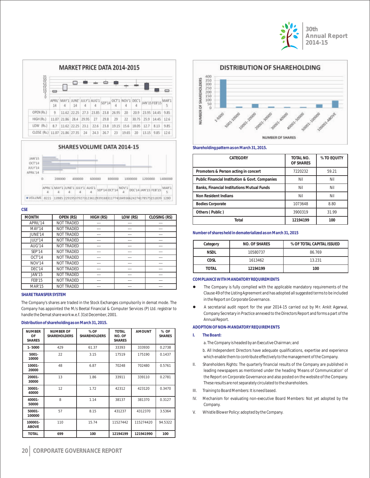



**SHARES VOLUME DATA 2014-15** 



#### **CSE**

| <b>MONTH</b>  | OPEN (RS)         | HIGH (RS) | LOW (RS) | CLOSING (RS) |
|---------------|-------------------|-----------|----------|--------------|
| APRIL'14      | <b>NOT TRADED</b> |           |          |              |
| <b>MAY'14</b> | <b>NOT TRADED</b> |           |          |              |
| JUNE'14       | <b>NOT TRADED</b> |           |          |              |
| JULY'14       | <b>NOT TRADED</b> |           |          |              |
| AUG'14        | <b>NOT TRADED</b> |           | ---      |              |
| <b>SFP'14</b> | <b>NOT TRADED</b> | ---       |          | ---          |
| OCT'14        | <b>NOT TRADED</b> |           |          |              |
| <b>NOV'14</b> | <b>NOT TRADED</b> |           |          |              |
| DFC'14        | <b>NOT TRADED</b> |           |          |              |
| JAN'15        | NOT TRADED        |           |          |              |
| <b>FEB'15</b> | <b>NOT TRADED</b> |           |          |              |
| <b>MAR'15</b> | <b>NOT TRADED</b> |           |          |              |

#### **SHARE TRANSFER SYSTEM**

The Company's shares are traded in the Stock Exchanges compulsorily in demat mode. The Company has appointed the M/s Beetal Financial & Computer Services (P) Ltd. registrar to handle the Demat share work w.e.f. 31st December, 2001.

#### **Distributionof shareholding as on March 31, 2015.**

| <b>NUMBER</b><br>OF<br><b>SHARES</b> | <b>NUMBER OF</b><br><b>SHARFHOLDERS</b> | % OF<br><b>SHAREHOLDERS</b> | <b>TOTAL</b><br>NO. OF<br><b>SHARES</b> | <b>AMOUNT</b> | % OF<br><b>SHARES</b> |
|--------------------------------------|-----------------------------------------|-----------------------------|-----------------------------------------|---------------|-----------------------|
| $1 - 5000$                           | 429                                     | 61.37                       | 33393                                   | 333930        | 0.2738                |
| $5001 -$<br>10000                    | 22                                      | 3.15                        | 17519                                   | 175190        | 0.1437                |
| $10001 -$<br>20000                   | 48                                      | 6.87                        | 70248                                   | 702480        | 0.5761                |
| $20001 -$<br>30000                   | 13                                      | 1.86                        | 33911                                   | 339110        | 0.2781                |
| $30001 -$<br>40000                   | 12                                      | 1.72                        | 42312                                   | 423120        | 0.3470                |
| 40001-<br>50000                      | 8                                       | 1.14                        | 38137                                   | 381370        | 0.3127                |
| $50001 -$<br>100000                  | 57                                      | 8.15                        | 431237                                  | 4312370       | 3.5364                |
| 100001-<br><b>ABOVE</b>              | 110                                     | 15.74                       | 11527442                                | 115274420     | 94.5322               |
| <b>TOTAL</b>                         | 699                                     | 100                         | 12194199                                | 121941990     | 100                   |



#### **Shareholding pattern as on March 31, 2015.**

| CATEGORY                                       | TOTAL NO.<br>OF SHARFS | % TO FOUITY |
|------------------------------------------------|------------------------|-------------|
| Promoters & Person acting in concert           | 7220232                | 59.21       |
| Public Financial Institution & Govt. Companies | Nil                    | Nil         |
| Banks, Financial Institutions Mutual Funds     | Nil                    | Nil         |
| Non Resident Indians                           | Nil                    | Nil         |
| <b>Bodies Corporate</b>                        | 1073648                | 8.80        |
| Others (Public)                                | 3900319                | 31.99       |
| Total                                          | 12194199               | 100         |

#### **Number of shares held in dematerialized as on March 31, 2015**

| Category    | NO. OF SHARES | % OF TOTAL CAPITAL ISSUED |
|-------------|---------------|---------------------------|
| <b>NSDL</b> | 10580737      | 86.769                    |
| <b>CDSL</b> | 1613462       | 13.231                    |
| TOTAL       | 12194199      | 100                       |

#### **COMPLIANCE WITH MANDATORY REQUIREMENTS**

- **•** The Company is fully complied with the applicable mandatory requirements of the Clause 49 of the Listing Agreement and has adopted all suggested terms to be included
- lin the Report on Corporate Governance. A secretarial audit report for the year 2014-15 carried out by Mr. Ankit Agarwal, Company Secretary in Practice annexed to the Directors Report and forms a part of the Annual Report.

#### **ADOPTION OF NON-MANDATORY REQUIREMENTS**

**I. The Board:**

a. The Company is headed by an Executive Chairman; and

b. All Independent Directors have adequate qualifications, expertise and experience which enable them to contribute effectively to the management of the Company.

- II. Shareholders Rights: The quarterly financial results of the Company are published in leading newspapers as mentioned under the heading 'Means of Communication' of the Report on Corporate Governance and also posted on the website of the Company. These results are not separately circulated to the shareholders.
- III. Training to Board Members: It is need based.
- IV. Mechanism for evaluating non-executive Board Members: Not yet adopted by the Company.
- V. Whistle Blower Policy: adopted by the Company.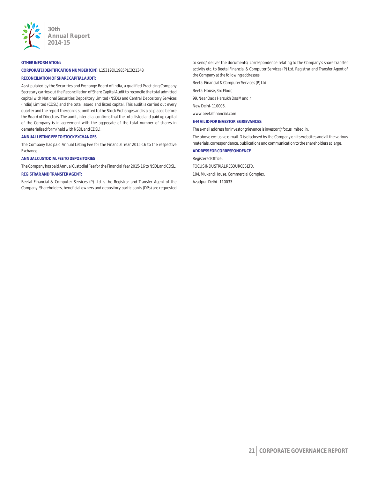

#### **OTHER INFORMATION:**

#### **CORPORATE IDENTIFICATION NUMBER (CIN)** : L15319DL1985PLC021348 **RECONCILIATION OF SHARE CAPITAL AUDIT:**

As stipulated by the Securities and Exchange Board of India, a qualified Practicing Company Secretary carries out the Reconciliation of Share Capital Audit to reconcile the total admitted capital with National Securities Depository Limited (NSDL) and Central Depository Services (India) Limited (CDSL) and the total issued and listed capital. This audit is carried out every quarter and the report thereon is submitted to the Stock Exchanges and is also placed before the Board of Directors. The audit, inter alia, confirms that the total listed and paid up capital of the Company is in agreement with the aggregate of the total number of shares in dematerialised form (held with NSDL and CDSL).

#### **ANNUAL LISTING FEE TO STOCK EXCHANGES**

The Company has paid Annual Listing Fee for the Financial Year 2015-16 to the respective Exchange.

#### **ANNUAL CUSTODIAL FEE TO DEPOSITORIES**

**REGISTRAR AND TRANSFER AGENT:** The Company has paid Annual Custodial Fee for the Financial Year 2015-16 to NSDL and CDSL.

Beetal Financial & Computer Services (P) Ltd is the Registrar and Transfer Agent of the Company. Shareholders, beneficial owners and depository participants (DPs) are requested

to send/ deliver the documents/ correspondence relating to the Company's share transfer activity etc. to Beetal Financial & Computer Services (P) Ltd, Registrar and Transfer Agent of the Company at the following addresses:

Beetal Financial & Computer Services (P) Ltd

Beetal House, 3rd Floor,

99, Near Dada Harsukh Das Mandir,

New Delhi- 110006.

www.beetalfinancial.com

#### **E-MAIL ID FOR INVESTOR'S GRIEVANCES:**

The e-mail address for investor grievance is investor@focuslimited.in.

The above exclusive e-mail iD is disclosed by the Company on its websites and all the various materials, correspondence, publications and communication to the shareholders at large.

**ADDRESS FOR CORRESPONDENCE**

Registered Office:

FOCUS INDUSTRIAL RESOURCES LTD.

104, Mukand House, Commercial Complex,

Azadpur, Delhi - 110033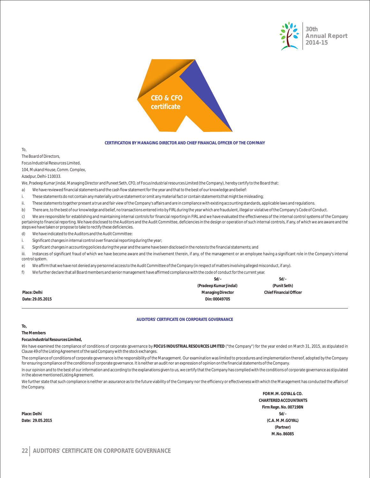



#### **CERTIFICATION BY MANAGING DIRECTOR AND CHIEF FINANCIAL OFFICER OF THE COMPANY**

#### To,

The Board of Directors,

Focus Industrial Resources Limited,

104, Mukand House, Comm. Complex,

Azadpur, Delhi-110033.

We, Pradeep Kumar Jindal, Managing Director and Puneet Seth, CFO, of Focus Industrial resources Limited (the Company), hereby certify to the Board that:

- a) We have reviewed financial statements and the cash flow statement for the year and that to the best of our knowledge and belief:
- i. These statements do not contain any materially untrue statement or omit any material fact or contain statements that might be misleading;
- ii. These statements together present a true and fair view of the Company's affairs and are in compliance with existing accounting standards, applicable laws and regulations.

b) There are, to the best of our knowledge and belief, no transactions entered into by FIRL during the year which are fraudulent, illegal or violative of the Company's Code of Conduct.

c) We are responsible for establishing and maintaining internal controls for financial reporting in FIRL and we have evaluated the effectiveness of the internal control systems of the Company pertaining to financial reporting.We have disclosed to the Auditors and the Audit Committee, deficiencies in the design or operation of such internal controls, if any, of which we are aware and the steps we have taken or propose to take to rectify these deficiencies.

d) We have indicated to the Auditors and the Audit Committee:

i. Significant changes in internal control over financial reporting during the year;

ii. Significant changes in accounting policies during the year and the same have been disclosed in the notes to the financial statements; and

iii. Instances of significant fraud of which we have become aware and the involvement therein, if any, of the management or an employee having a significant role in the Company's internal control system.

e) We affirm that we have not denied any personnel access to the Audit Committee of the Company (in respect of matters involving alleged misconduct, if any).

f) We further declare that all Board members and senior management have affirmed compliance with the code of conduct for the current year.

|                  | $Sd$ .                 | $Sd$ /-                 |
|------------------|------------------------|-------------------------|
|                  | (Pradeep Kumar Jindal) | (Punit Seth)            |
| Place: Delhi     | Managing Director      | Chief Financial Officer |
| Date: 29.05.2015 | Din: 00049705          |                         |

#### **AUDITORS' CERTIFICATE ON CORPORATE GOVERNANCE**

**To,**

**The Members**

**Focus IndustrialResources Limited,**

We have examined the compliance of conditions of corporate governance by FOCUS INDUSTRIAL RESOURCES LIMITED ("the Company") for the year ended on March 31, 2015, as stipulated in Clause 49 of the Listing Agreement of the said Company with the stock exchanges.

The compliance of conditions of corporate governance is the responsibility of the Management. Our examination was limited to procedures and implementation thereof, adopted by the Company for ensuring compliance of the conditions of corporate governance. It is neither an audit nor an expression of opinion on the financial statements of the Company.

In our opinion and to the best of our information and according to the explanations given to us, we certify that the Company has complied with the conditions of corporate governance as stipulated in the above mentioned Listing Agreement.

We further state that such compliance is neither an assurance as to the future viability of the Company nor the efficiency or effectiveness with which the Management has conducted the affairs of the Company.

**Place: Delhi Sd/-**

**FOR M.M. GOYAL & CO. CHARTERED ACCOUNTANTS Firm Regn. No. 007198N Date: 29.05.2015 (C.A. M.M.GOYAL) (Partner) M.No. 86085**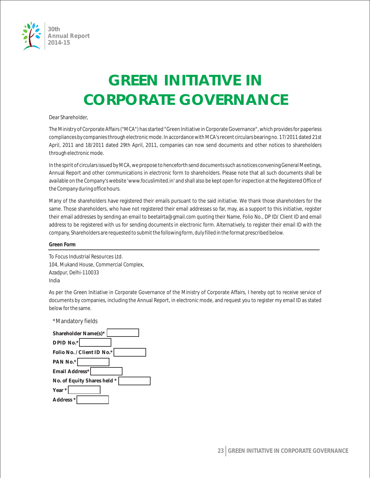

## **GREEN INITIATIVE IN CORPORATE GOVERNANCE**

#### Dear Shareholder,

The Ministry of Corporate Affairs ("MCA") has started "Green Initiative in Corporate Governance", which provides for paperless compliances by companies through electronic mode. In accordance with MCA's recent circulars bearing no. 17/2011 dated 21st April, 2011 and 18/2011 dated 29th April, 2011, companies can now send documents and other notices to shareholders through electronic mode.

In the spirit of circulars issued by MCA, we propose to henceforth send documents such as notices convening General Meetings, Annual Report and other communications in electronic form to shareholders. Please note that all such documents shall be available on the Company's website 'www.focuslimited.in' and shall also be kept open for inspection at the Registered Office of the Company during office hours.

Many of the shareholders have registered their emails pursuant to the said initiative. We thank those shareholders for the same. Those shareholders, who have not registered their email addresses so far, may, as a support to this initiative, register their email addresses by sending an email to beetalrta@gmail.com quoting their Name, Folio No., DP ID/ Client ID and email address to be registered with us for sending documents in electronic form. Alternatively, to register their email ID with the company, Shareholders are requested to submit the following form, duly filled in the format prescribed below.

#### **Green Form**

\*Mandatory fields

To Focus Industrial Resources Ltd. 104, Mukand House, Commercial Complex, Azadpur, Delhi-110033 India

As per the Green Initiative in Corporate Governance of the Ministry of Corporate Affairs, I hereby opt to receive service of documents by companies, including the Annual Report, in electronic mode, and request you to register my email ID as stated below for the same.

| πνιαπαατοι γ πeιαs          |
|-----------------------------|
| Shareholder Name(s)*        |
| $DPID No.*$                 |
| Folio No. / Client ID No.*  |
| PAN No. $\ast$              |
| Email Address*              |
| No. of Equity Shares held * |
| Year $*$                    |
| Address                     |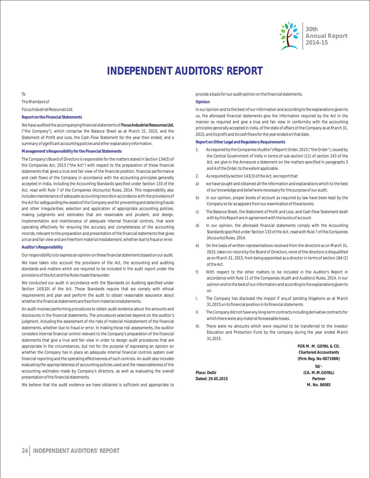

## **INDEPENDENT AUDITORS' REPORT**

To

#### The Members of

#### Focus Industrial Resources Ltd.

#### **Report on the Financial Statements**

We have audited the accompanying financial statements of Focus Industrial Resources Ltd. ("the Company"), which comprise the Balance Sheet as at March 31, 2015, and the Statement of Profit and Loss, the Cash Flow Statement for the year then ended, and a summary of significant accounting policies and other explanatory information.

#### **Management's Responsibility for the Financial Statements**

The Company's Board of Directors is responsible for the matters stated in Section 134(5) of the Companies Act, 2013 ("the Act") with respect to the preparation of these financial statements that gives a true and fair view of the financial position, financial performance and cash flows of the Company in accordance with the accounting principles generally accepted in India, including the Accounting Standards specified under Section 133 of the Act, read with Rule 7 of the Companies (Accounts) Rules, 2014. This responsibility also includes maintenance of adequate accounting records in accordance with the provisions of the Act for safeguarding the assets of the Company and for preventing and detecting frauds and other irregularities; selection and application of appropriate accounting policies; making judgments and estimates that are reasonable and prudent; and design, implementation and maintenance of adequate internal financial controls, that were operating effectively for ensuring the accuracy and completeness of the accounting records, relevant to the preparation and presentation of the financial statements that gives a true and fair view and are freefrom material misstatement, whether due to fraud or error.

#### **Auditor's Responsibility**

Our responsibility is to express an opinion on these financial statements based on our audit.

We have taken into account the provisions of the Act, the accounting and auditing standards and matters which are required to be included in the audit report under the provisions of the Act and the Rules made thereunder.

We conducted our audit in accordance with the Standards on Auditing specified under Section 143(10) of the Act. Those Standards require that we comply with ethical requirements and plan and perform the audit to obtain reasonable assurance about whether the financial statements are freefrom material misstatements.

An audit involves performing procedures to obtain audit evidence about the amounts and disclosures in the financial statements. The procedures selected depend on the auditor's judgment, including the assessment of the risks of material misstatement of the financial statements, whether due to fraud or error. In making those risk assessments, the auditor considers internal financial control relevant to the Company's preparation of the financial statements that give a true and fair view in order to design audit procedures that are appropriate in the circumstances, but not for the purpose of expressing an opinion on whether the Company has in place an adequate internal financial controls system over financial reporting and the operating effectiveness of such controls. An audit also includes evaluating the appropriateness of accounting policies used and the reasonableness of the accounting estimates made by Company's directors, as well as evaluating the overall presentation of the financial statements.

We believe that the audit evidence we have obtained is sufficient and appropriate to

### provide a basis for our audit opinion on the financial statements.

#### **Opinion**

In our opinion and to the best of our information and according to the explanations given to us, the aforesaid financial statements give the information required by the Act in the manner so required and give a true and fair view in conformity with the accounting principles generally accepted in India, of the state of affairs of the Company as at March 31, 2015, and its profit and its cash flows for the year ended on that date.

#### **Report on Other Legal and Regulatory Requirements**

- 1. As required by the Companies (Auditor's Report) Order, 2015 ("the Order"), issued by the Central Government of India in terms of sub-section (11) of section 143 of the Act, we give in the Annexure a statement on the matters specified in paragraphs 3 and 4 of the Order, to the extent applicable.
- 2. As required by section 143(3) of the Act, we report that:
- a) we have sought and obtained all the information and explanations which to the best of our knowledge and belief were necessary for the purpose of our audit;
- b) In our opinion, proper books of account as required by law have been kept by the Company so far as appears from our examination of those books.
- c) The Balance Sheet, the Statement of Profit and Loss, and Cash Flow Statement dealt with by this Report are in agreement with the books of account.
- d) In our opinion, the aforesaid financial statements comply with the Accounting Standards specified under Section 133 of the Act, read with Rule 7 of the Companies (Accounts) Rules, 2014.
- e) On the basis of written representations received from the directors as on March 31, 2015, taken on record by the Board of Directors, none of the directors is disqualified as on March 31, 2015, from being appointed as a director in terms of section 164 (2) of the Act.
- f) With respect to the other matters to be included in the Auditor's Report in accordance with Rule 11 of the Companies (Audit and Auditors) Rules, 2014, in our opinion and to the best of our information and according to the explanations given to us:
- I. The Company has disclosed the impact if any,of pending litigations as at March 31,2015 on its financial position in its financial statements
- II. The Company did not have any long-term contracts including derivative contracts for which there were any material foreseeable losses.
- III. There were no amounts which were required to be transferred to the Investor Education and Protection Fund by the company during the year ended March 31,2015.

**FOR M. M. GOYAL & CO. Chartered Accountants (Firm Reg. No-007198N) Sd/- Place: Delhi (CA. M.M.GOYAL) M. No. 86085**

**Dated: 29.05.2015 Partner**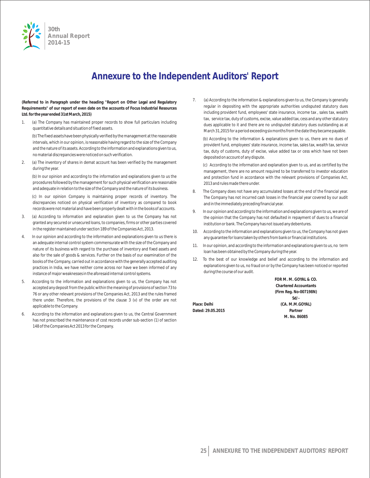

## **Annexure to the Independent Auditors' Report**

**(Referred to in Paragraph under the heading "Report on Other Legal and Regulatory Requirements" of our report of even date on the accounts of Focus Industrial Resources Ltd. for the year ended 31st March, 2015)**

1. (a) The Company has maintained proper records to show full particulars including quantitative details and situation of fixed assets.

(b) The fixed assets have been physically verified by the management at the reasonable intervals, which in our opinion, is reasonable having regard to the size of the Company and the nature of its assets. According to the information and explanations given to us, no material discrepancies were noticed on such verification.

2. (a) The inventory of shares in demat account has been verified by the management during the year.

(b) In our opinion and according to the information and explanations given to us the procedures followed by the management for such physical verification are reasonable and adequate in relation to the size of the Company and the nature of its business.

(c) In our opinion Company is maintaining proper records of inventory. The discrepancies noticed on physical verification of inventory as compared to book records were not material and have been properly dealt with in the books of accounts.

- 3. (a) According to information and explanation given to us the Company has not granted any secured or unsecured loans, to companies, firms or other parties covered in the register maintained under section 189 of the Companies Act, 2013.
- 4. In our opinion and according to the information and explanations given to us there is an adequate internal control system commensurate with the size of the Company and nature of its business with regard to the purchase of inventory and fixed assets and also for the sale of goods & services. Further on the basis of our examination of the books of the Company, carried out in accordance with the generally accepted auditing practices in India, we have neither come across nor have we been informed of any instance of major weaknesses in the aforesaid internal control systems.
- 5. According to the information and explanations given to us, the Company has not accepted any deposit from the public within the meaning of provisions of section 73 to 76 or any other relevant provisions of the Companies Act, 2013 and the rules framed there under. Therefore, the provisions of the clause 3 (v) of the order are not applicable to the Company.
- 6. According to the information and explanations given to us, the Central Government has not prescribed the maintenance of cost records under sub-section (1) of section 148 of the Companies Act 2013 for the Company.

7. (a) According to the information & explanations given to us, the Company is generally regular in depositing with the appropriate authorities undisputed statutory dues including provident fund, employees' state insurance, income tax , sales tax, wealth tax, service tax, duty of customs, excise, value added tax, cess and any other statutory dues applicable to it and there are no undisputed statutory dues outstanding as at March 31,2015 for a period exceeding six months from the date they became payable.

(b) According to the information & explanations given to us, there are no dues of provident fund, employees' state insurance, income tax, sales tax, wealth tax, service tax, duty of customs, duty of excise, value added tax or cess which have not been deposited on account of any dispute.

(c) According to the information and explanation given to us, and as certified by the management, there are no amount required to be transferred to investor education and protection fund in accordance with the relevant provisions of Companies Act, 2013 and rules made there under.

- 8. The Company does not have any accumulated losses at the end of the financial year. The Company has not incurred cash losses in the financial year covered by our audit and in the immediately preceding financial year.
- 9. In our opinion and according to the information and explanations given to us, we are of the opinion that the Company has not defaulted in repayment of dues to a financial institution or bank. The Company has not issued any debentures.
- 10. According to the information and explanations given to us, the Company has not given any guarantee for loans taken by others from bank or financial institutions.
- 11. In our opinion, and according to the information and explanations given to us, no term loan has been obtained by the Company during the year.
- 12. To the best of our knowledge and belief and according to the information and explanations given to us, no fraud on or by the Company has been noticed or reported during the course of our audit.

**FOR M. M. GOYAL & CO. Chartered Accountants (Firm Reg. No-007198N) Sd/- Place: Delhi (CA. M.M.GOYAL) Dated: 29.05.2015 Partner M. No. 86085**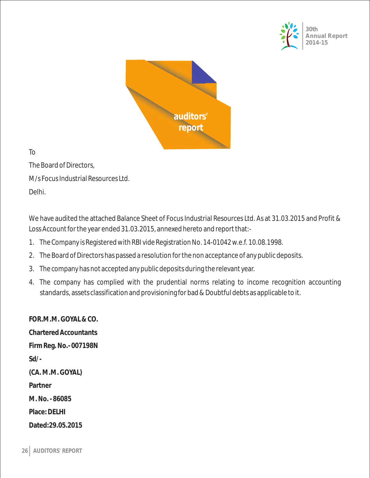



To

The Board of Directors,

M/s Focus Industrial Resources Ltd.

Delhi.

We have audited the attached Balance Sheet of Focus Industrial Resources Ltd. As at 31.03.2015 and Profit & Loss Account for the year ended 31.03.2015, annexed hereto and report that:-

- 1. The Company is Registered with RBI vide Registration No. 14-01042 w.e.f. 10.08.1998.
- 2. The Board of Directors has passed a resolution for the non acceptance of any public deposits.
- 3. The company has not accepted any public deposits during the relevant year.
- 4. The company has complied with the prudential norms relating to income recognition accounting standards, assets classification and provisioning for bad & Doubtful debts as applicable to it.

**FOR.M.M. GOYAL & CO. Chartered Accountants Firm Reg. No.- 007198N Sd/- (CA. M.M. GOYAL) Partner M. No. - 86085 Place: DELHI**

**Dated:29.05.2015**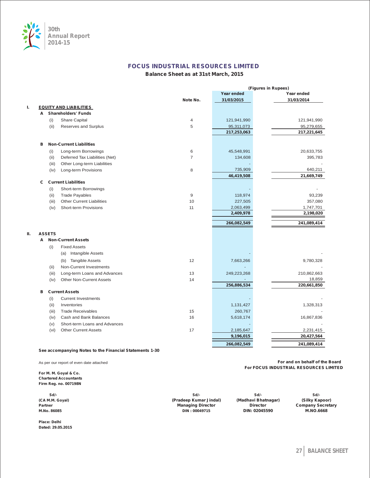

**Balance Sheet as at 31st March, 2015**

|    |               |                                  |                | (Figures in Rupees) |             |  |  |
|----|---------------|----------------------------------|----------------|---------------------|-------------|--|--|
|    |               |                                  |                | Year ended          | Year ended  |  |  |
|    |               |                                  | Note No.       | 31/03/2015          | 31/03/2014  |  |  |
| ı. |               | <b>EQUITY AND LIABILITIES</b>    |                |                     |             |  |  |
| A  |               | <b>Shareholders' Funds</b>       |                |                     |             |  |  |
|    | (i)           | <b>Share Capital</b>             | $\overline{4}$ | 121,941,990         | 121,941,990 |  |  |
|    | (ii)          | Reserves and Surplus             | 5              | 95,311,073          | 95,279,655  |  |  |
|    |               |                                  |                | 217,253,063         | 217,221,645 |  |  |
| в  |               | <b>Non-Current Liabilities</b>   |                |                     |             |  |  |
|    | (i)           | Long-term Borrowings             | 6              | 45,548,991          | 20,633,755  |  |  |
|    | (ii)          | Deferred Tax Liabilities (Net)   | $\overline{7}$ | 134,608             | 395,783     |  |  |
|    | (iii)         | Other Long-term Liabilities      |                |                     |             |  |  |
|    | (iv)          | Long-term Provisions             | 8              | 735,909             | 640,211     |  |  |
|    |               |                                  |                | 46,419,508          | 21,669,749  |  |  |
| c  |               | <b>Current Liabilities</b>       |                |                     |             |  |  |
|    | (i)           | Short-term Borrowings            |                |                     |             |  |  |
|    | (ii)          | <b>Trade Payables</b>            | 9              | 118,974             | 93,239      |  |  |
|    | (iii)         | <b>Other Current Liabilities</b> | 10             | 227,505             | 357,080     |  |  |
|    | (iv)          | Short-term Provisions            | 11             | 2,063,499           | 1,747,701   |  |  |
|    |               |                                  |                | 2,409,978           | 2,198,020   |  |  |
|    |               |                                  |                | 266,082,549         | 241,089,414 |  |  |
| н. | <b>ASSETS</b> |                                  |                |                     |             |  |  |
| A  |               | <b>Non-Current Assets</b>        |                |                     |             |  |  |
|    | (i)           | <b>Fixed Assets</b>              |                |                     |             |  |  |
|    |               | <b>Intangible Assets</b><br>(a)  |                |                     |             |  |  |
|    |               | (b) Tangible Assets              | 12             | 7,663,266           | 9,780,328   |  |  |
|    | (ii)          | Non-Current Investments          |                |                     |             |  |  |
|    | (iii)         | Long-term Loans and Advances     | 13             | 249,223,268         | 210,862,663 |  |  |
|    | (iv)          | <b>Other Non-Current Assets</b>  | 14             |                     | 18,859      |  |  |
|    |               |                                  |                | 256,886,534         | 220,661,850 |  |  |
| в  |               | <b>Current Assets</b>            |                |                     |             |  |  |
|    | (i)           | <b>Current Investments</b>       |                |                     |             |  |  |
|    | (ii)          | Inventories                      |                | 1,131,427           | 1,328,313   |  |  |
|    | (iii)         | <b>Trade Receivables</b>         | 15             | 260,767             |             |  |  |
|    | (iv)          | Cash and Bank Balances           | 16             | 5,618,174           | 16,867,836  |  |  |
|    | (v)           | Short-term Loans and Advances    |                | ÷                   |             |  |  |
|    | (vi)          | <b>Other Current Assets</b>      | 17             | 2,185,647           | 2,231,415   |  |  |
|    |               |                                  |                | 9,196,015           | 20,427,564  |  |  |
|    |               |                                  |                | 266,082,549         | 241,089,414 |  |  |

**See accompanying Notes to the Financial Statements 1-30**

As per our report of even date attached **For and on behalf of the Board**

**For M. M. Goyal & Co. Chartered Accountants Firm Reg. no. 007198N**

**30th**

**Annual Report 2014-15**

**Place: Delhi Dated: 29.05.2015**

**(CA M.M. Goyal) (Pradeep Kumar Jindal) (Madhavi Bhatnagar) (Silky Kapoor)** Partner **Company Partner Company Company Company Partner Company Company Company Company Company Company Company Company Company Company Company Company Company Company Company Com M.No. 86085 DIN : 00049715 DIN: 02045590 M.NO.6668**

**Sd/- Sd/- Sd/- Sd/-**

**Sd/-**

**For FOCUS INDUSTRIAL RESOURCES LIMITED**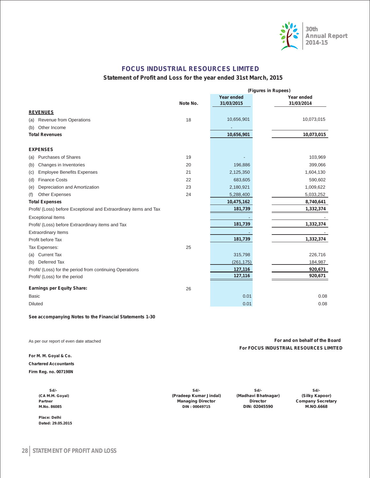

#### **Statement of Profit and Loss for the year ended 31st March, 2015**

|                                                                   |          | (Figures in Rupees)             |                          |  |
|-------------------------------------------------------------------|----------|---------------------------------|--------------------------|--|
|                                                                   | Note No. | <b>Year ended</b><br>31/03/2015 | Year ended<br>31/03/2014 |  |
| <b>REVENUES</b>                                                   |          |                                 |                          |  |
| Revenue from Operations<br>(a)                                    | 18       | 10,656,901                      | 10,073,015               |  |
| Other Income<br>(b)                                               |          |                                 |                          |  |
| <b>Total Revenues</b>                                             |          | 10,656,901                      | 10,073,015               |  |
| <b>EXPENSES</b>                                                   |          |                                 |                          |  |
| <b>Purchases of Shares</b><br>(a)                                 | 19       |                                 | 103,969                  |  |
| Changes in Inventories<br>(b)                                     | 20       | 196,886                         | 399,066                  |  |
| <b>Employee Benefits Expenses</b><br>(c)                          | 21       | 2,125,350                       | 1,604,130                |  |
| <b>Finance Costs</b><br>(d)                                       | 22       | 683,605                         | 590,602                  |  |
| Depreciation and Amortization<br>(e)                              | 23       | 2,180,921                       | 1,009,622                |  |
| <b>Other Expenses</b><br>(f)                                      | 24       | 5,288,400                       | 5,033,252                |  |
| <b>Total Expenses</b>                                             |          | 10,475,162                      | 8,740,641                |  |
| Profit/ (Loss) before Exceptional and Extraordinary items and Tax |          | 181,739                         | 1,332,374                |  |
| <b>Exceptional Items</b>                                          |          |                                 |                          |  |
| Profit/ (Loss) before Extraordinary items and Tax                 |          | 181,739                         | 1,332,374                |  |
| <b>Extraordinary Items</b>                                        |          |                                 |                          |  |
| Profit before Tax                                                 |          | 181,739                         | 1,332,374                |  |
| Tax Expenses:                                                     | 25       |                                 |                          |  |
| (a) Current Tax                                                   |          | 315,798                         | 226,716                  |  |
| Deferred Tax<br>(b)                                               |          | (261, 175)                      | 184,987                  |  |
| Profit/ (Loss) for the period from continuing Operations          |          | 127,116                         | 920,671                  |  |
| Profit/ (Loss) for the period                                     |          | 127,116                         | 920,671                  |  |
| <b>Earnings per Equity Share:</b>                                 | 26       |                                 |                          |  |
| <b>Basic</b>                                                      |          | 0.01                            | 0.08                     |  |
| <b>Diluted</b>                                                    |          | 0.01                            | 0.08                     |  |

**See accompanying Notes to the Financial Statements 1-30**

As per our report of even date attached **For and on behalf of the Board**

**For M. M. Goyal & Co.**

#### **Chartered Accountants**

**Firm Reg. no. 007198N**

Sd/-<br>**(CA M.M. Goyal)** 

**Place: Delhi Dated: 29.05.2015**  **For FOCUS INDUSTRIAL RESOURCES LIMITED**

 **/- Sd/- Sd/- Sd/- (CA M.M. Goyal) (Pradeep Kumar Jindal) (Madhavi Bhatnagar) (Silky Kapoor)** Partner **Company Secretary 19 and 2011 Managing Director <b>Company Secretary**<br>
DIN: 00049715 **DIN: 02045590** DIN: 02045590 M.NO.6668 **M.No. 86085 DIN : 00049715 DIN: 02045590 M.NO.6668**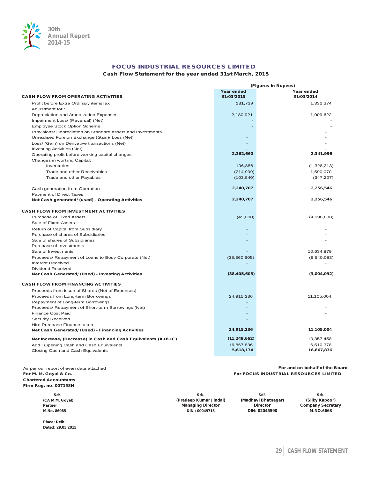

## **Cash Flow Statement for the year ended 31st March, 2015**

|                                                               | (Figures in Rupees)             |                          |  |
|---------------------------------------------------------------|---------------------------------|--------------------------|--|
| <b>CASH FLOW FROM OPERATING ACTIVITIES</b>                    | <b>Year ended</b><br>31/03/2015 | Year ended<br>31/03/2014 |  |
| Profit before Extra Ordinary itemsTax                         | 181,739                         | 1,332,374                |  |
| Adjustment for:                                               |                                 |                          |  |
| Depreciation and Amortization Expenses                        | 2,180,921                       | 1,009,622                |  |
| Impairment Loss/ (Reversal) (Net)                             |                                 |                          |  |
| <b>Employee Stock Option Scheme</b>                           |                                 |                          |  |
| Provisions/ Depreciation on Standard assets and Investments   |                                 |                          |  |
| Unrealised Foreign Exchange (Gain)/ Loss (Net)                |                                 |                          |  |
| Loss/ (Gain) on Derivative transactions (Net)                 |                                 |                          |  |
| <b>Investing Activities (Net)</b>                             |                                 |                          |  |
| Operating profit before working capital changes               | 2,362,660                       | 2,341,996                |  |
| Changes in working Capital:                                   |                                 |                          |  |
| Inventories                                                   | 196,886                         | (1,328,313)              |  |
| Trade and other Receivables                                   | (214, 999)                      | 1,590,070                |  |
| Trade and other Payables                                      | (103, 840)                      | (347, 207)               |  |
| Cash generation from Operation                                | 2,240,707                       | 2,256,546                |  |
| <b>Payment of Direct Taxes</b>                                |                                 |                          |  |
| Net Cash generated/ (used) - Operating Activities             | 2,240,707                       | 2,256,546                |  |
| <b>CASH FLOW FROM INVESTMENT ACTIVITIES</b>                   |                                 |                          |  |
| Purchase of Fixed Assets                                      | (45,000)                        | (4,098,888)              |  |
| Sale of Fixed Assets                                          |                                 |                          |  |
| Return of Capital from Subsidiary                             |                                 |                          |  |
| Purchase of shares of Subsidiaries                            |                                 |                          |  |
| Sale of shares of Subsidiaries                                |                                 |                          |  |
| Purchase of Investments                                       |                                 |                          |  |
| Sale of Investments                                           |                                 | 10,634,879               |  |
| Proceeds/ Repayment of Loans to Body Corporate (Net)          | (38, 360, 605)                  | (9,540,083)              |  |
| <b>Interest Received</b>                                      |                                 |                          |  |
| <b>Dividend Received</b>                                      |                                 |                          |  |
| Net Cash Generated/ (Used) - Investing Activities             | (38, 405, 605)                  | (3,004,092)              |  |
| <b>CASH FLOW FROM FINANCING ACTIVITIES</b>                    |                                 |                          |  |
| Proceeds from issue of Shares (Net of Expenses)               |                                 |                          |  |
| Proceeds from Long-term Borrowings                            | 24,915,236                      | 11,105,004               |  |
| Repayment of Long-term Borrowings                             |                                 |                          |  |
| Proceeds/ Repayment of Short-term Borrowings (Net)            |                                 |                          |  |
| Finance Cost Paid                                             |                                 |                          |  |
| <b>Security Received</b>                                      |                                 |                          |  |
| Hire Purchase Finance taken                                   |                                 |                          |  |
| Net Cash Generated/ (Used) - Financing Activities             | 24,915,236                      | 11,105,004               |  |
| Net Increase/ (Decrease) in Cash and Cash Equivalents (A+B+C) | (11, 249, 662)                  | 10,357,458               |  |
| Add: Opening Cash and Cash Equivalents                        | 16,867,836                      | 6,510,378                |  |
| Closing Cash and Cash Equivalents                             | 5,618,174                       | 16,867,836               |  |

**Chartered Accountants Firm Reg. no. 007198N**

**Place: Delhi Dated: 29.05.2015**

As per our report of even date attached **For and on behalf of the Board For M. M. Goyal & Co. For FOCUS INDUSTRIAL RESOURCES LIMITED**

| Sd/-            | Sd/-                     | Sd/-                | Sd/-                     |
|-----------------|--------------------------|---------------------|--------------------------|
| (CA M.M. Goyal) | (Pradeep Kumar Jindal)   | (Madhavi Bhatnagar) | (Silky Kapoor)           |
| Partner         | <b>Managing Director</b> | <b>Director</b>     | <b>Company Secretary</b> |
| M.No. 86085     | DIN: 00049715            | DIN: 02045590       | M.NO.6668                |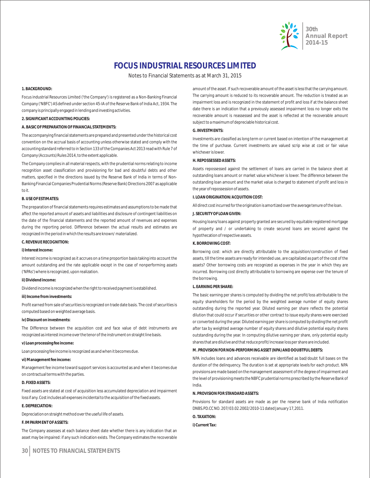

Notes to Financial Statements as at March 31, 2015

#### **1. BACKGROUND:**

Focus industrial Resources Limited ('the Company') is registered as a Non-Banking Financial Company ('NBFC') AS defined under section 45-IA of the Reserve Bank of India Act, 1934. The company is principally engaged in lending and investing activities.

#### **2. SIGNIFICANT ACCOUNTING POLICIES:**

#### **A. BASIC OF PREPARATION OF FINANCIAL STATEMENTS:**

The accompanying financial statements are prepared and presented under the historical cost convention on the accrual basis of accounting unless otherwise stated and comply with the accounting standard referred to in Section 133 of the Companies Act 2013 read with Rule 7 of Company (Accounts) Rules 2014, to the extent applicable.

The Company complies in all material respects, with the prudential norms relating to income recognition asset classification and provisioning for bad and doubtful debts and other matters, specified in the directions issued by the Reserve Bank of India in terms of Non-Banking Financial Companies Prudential Norms (Reserve Bank) Directions 2007 as applicable to it.

#### **B. USE OF ESTIMATES:**

The preparation of financial statements requires estimates and assumptions to be made that affect the reported amount of assets and liabilities and disclosure of contingent liabilities on the date of the financial statements and the reported amount of revenues and expenses during the reporting period. Difference between the actual results and estimates are recognized in the period in which the results are known/ materialized.

#### **C. REVENUE RECOGNITION:**

#### **i) Interest Income:**

Interest income is recognized as it accrues on a time proportion basis taking into account the amount outstanding and the rate applicable except in the case of nonperforming assets ('NPAs') whereis recognized, upon realization.

#### **ii) Dividend income:**

Dividend income is recognized when the right to received payment is established.

#### **iii) Income from investments:**

Profit earned from sale of securities is recognized on trade date basis. The cost of securities is computed based on weighted average basis.

#### **iv) Discount on investments:**

The Difference between the acquisition cost and face value of debt instruments are recognized as interest income over the tenor of the instrument on straight line basis.

#### **v) Loan processing fee income:**

Loan processing fee income is recognized as and when it becomes due.

#### **vi) Management fee income:**

Management fee income toward support services is accounted as and when it becomes due on contractual terms with the parties.

#### **D. FIXED ASSETS:**

Fixed assets are stated at cost of acquisition less accumulated depreciation and impairment loss if any. Cost includes all expenses incidental to the acquisition of the fixed assets. **E. DEPRECIATION:**

Depreciation on straight method over the useful life of assets.

#### **F. IMPAIRMENT OF ASSETS:**

The Company assesses at each balance sheet date whether there is any indication that an asset may be impaired: if any such indication exists. The Company estimates the recoverable amount of the asset. If such recoverable amount of the asset is less that the carrying amount. The carrying amount is reduced to its recoverable amount. The reduction is treated as an impairment loss and is recognized in the statement of profit and loss if at the balance sheet date there is an indication that a previously assessed impairment loss no longer exits the recoverable amount is reassessed and the asset is reflected at the recoverable amount subject to a maximum of depreciable historical cost.

#### **G. INVESTMENTS:**

Investments are classified as long term or current based on intention of the management at the time of purchase. Current investments are valued scrip wise at cost or fair value whichever is lower.

#### **H. REPOSSESSED ASSETS:**

Assets repossessed against the settlement of loans are carried in the balance sheet at outstanding loans amount or market value whichever is lower. The difference between the outstanding loan amount and the market value is charged to statement of profit and loss in the year of repossession of assets.

**I. LOAN ORIGINATION/ACQUITION COST:**

All direct cost incurred for the origination is amortized over the average tenure of the loan.

**J. SECURITY OF LOAN GIVEN:**

Housing loans/loans against property granted are secured by equitable registered mortgage of property and / or undertaking to create secured loans are secured against the hypothecation of respective assets.

#### **K. BORROWING COST:**

Borrowing cost: which are directly attributable to the acquisition/construction of fixed assets, till the time assets are ready for intended use, are capitalized as part of the cost of the assets? Other borrowing costs are recognized as expenses in the year in which they are incurred. Borrowing cost directly attributable to borrowing are expense over the tenure of the borrowing.

#### **L. EARNING PER SHARE:**

The basic earning per shares is computed by dividing the net profit/loss attributable to the equity shareholders for the period by the weighted average number of equity shares outstanding during the reported year. Diluted earning per share reflects the potential dilution that could occur if securities or other contract to issue equity shares were exercised or converted during the year. Diluted earning per share is computed by dividing the net profit after tax by weighted average number of equity shares and dilutive potential equity shares outstanding during the year. In computing dilutive earning per share, only potential equity shares that are dilutive and that reduce profit/increase loss per share are included.

**M. PROVISION FOR NON-PERFORMING ASSET (NPA) AND DOUBTFUL DEBTS:**

NPA includes loans and advances receivable are identified as bad/doubt full bases on the duration of the delinquency. The duration is set at appropriate levels for each product. NPA provisions are made based on the management assessment of the degree of impairment and the level of provisioning meets the NBFC prudential norms prescribed by the Reserve Bank of India.

#### **N. PROVISION FOR STANDARD ASSETS:**

Provisions for standard assets are made as per the reserve bank of India notification DNBS.PD.CC NO. 207/03.02.2002/2010-11 dated January 17,2011.

**O. TAXATION:**

**i) Current Tax:**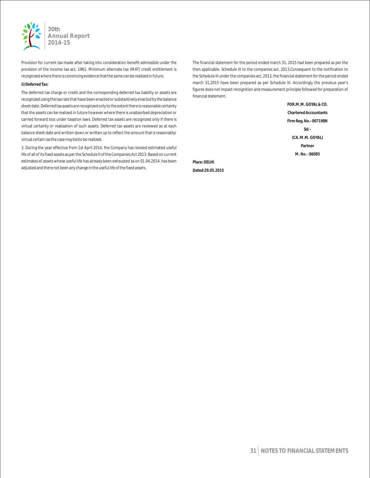

Provision for current tax made after taking into consideration benefit admissible under the provision of the income tax act, 1961. Minimum alternate tax (MAT) credit entitlement is recognized where there is convincing evidence that the same can be realized in future. **ii) Deferred Tax:**

The deferred tax charge or credit and the corresponding deferred tax liability or assets are recognized using the tax rate that have been enacted or substantively enacted by the balance sheet date. Deferred tax assets are recognized only to the extent there is reasonable certainty that the assets can be realized in future however where there is unabsorbed depreciation or carried forward loss under taxation laws. Deferred tax assets are recognized only if there is virtual certainty or realization of such assets. Deferred tax assets are reviewed as at each balance sheet date and written down or written up to reflect the amount that is reasonably/ virtual certain (as the case may be)to be realized.

3. During the year effective from 1st April 2014, the Company has revised estimated useful life of all of its fixed assets as per the Schedule II of the Companies Act 2013. Based on current estimates of assets whose useful life has already been exhausted as on 01.04.2014, has been adjusted and there not been any change in the useful life of the fixed assets.

The financial statement for the period ended march 31, 2015 had been prepared as per the then applicable. Schedule III to the companies act, 2013.Consequent to the notification to the Schedule III under the companies act, 2013, the financial statement for the period ended march 31,2015 have been prepared as per Schedule III. Accordingly the previous year's figures does not impact recognition and measurement principle followed for preparation of financial statement.

> **FOR.M.M. GOYAL & CO. Chartered Accountants Firm Reg. No.- 007198N Sd/- (CA. M.M. GOYAL) Partner M. No. - 86085**

**Place: DELHI Dated:29.05.2015**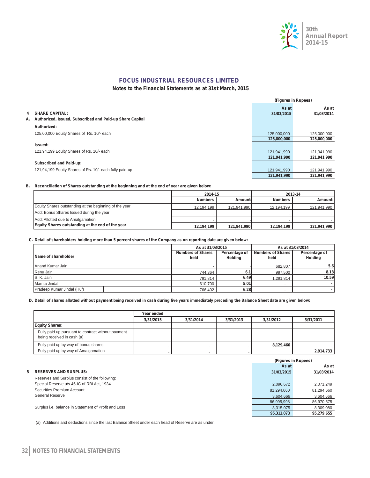

#### **Notes to the Financial Statements as at 31st March, 2015**

|                                                             | (Figures in Rupees) |             |  |
|-------------------------------------------------------------|---------------------|-------------|--|
|                                                             | As at               | As at       |  |
| 4 SHARE CAPITAL:                                            | 31/03/2015          | 31/03/2014  |  |
| A. Authorized, Issued, Subscribed and Paid-up Share Capital |                     |             |  |
| Authorized:                                                 |                     |             |  |
| 125,00,000 Equity Shares of Rs. 10/- each                   | 125,000,000         | 125.000.000 |  |
|                                                             | 125,000,000         | 125,000,000 |  |
| Issued:                                                     |                     |             |  |
| 121,94,199 Equity Shares of Rs. 10/- each                   | 121.941.990         | 121.941.990 |  |
|                                                             | 121,941,990         | 121,941,990 |  |
| Subscribed and Paid-up:                                     |                     |             |  |
| 121,94,199 Equity Shares of Rs. 10/- each fully paid-up     | 121,941,990         | 121,941,990 |  |
|                                                             | 121.941.990         | 121.941.990 |  |

## **B. Reconciliation of Shares outstanding at the beginning and at the end of year are given below:**

| $R$ is contribution of onarcs outstanding at the beginning and at the end of year are given below. |                |               |                |             |
|----------------------------------------------------------------------------------------------------|----------------|---------------|----------------|-------------|
|                                                                                                    |                | 2014-15       |                | 2013-14     |
|                                                                                                    | <b>Numbers</b> | <b>Amount</b> | <b>Numbers</b> | Amount      |
| Equity Shares outstanding at the beginning of the year                                             | 12.194.199     | 121.941.990   | 12.194.199     | 121,941,990 |
| Add: Bonus Shares Issued during the year                                                           |                |               |                |             |
| Add: Allotted due to Amalgamation                                                                  |                |               |                |             |
| Equity Shares outstanding at the end of the year                                                   | 12,194,199     | 121,941,990   | 12,194,199     | 121,941,990 |

#### **C. Detail of shareholders holding more than 5 percent shares of the Company as on reporting date are given below:**

|                            | As at 31/03/2015                 |                                 | As at 31/03/2014                 |                                 |
|----------------------------|----------------------------------|---------------------------------|----------------------------------|---------------------------------|
| Name of shareholder        | <b>Numbers of Shares</b><br>held | Percentage of<br><b>Holding</b> | <b>Numbers of Shares</b><br>held | Percentage of<br><b>Holding</b> |
| Anand Kumar Jain           |                                  |                                 | 682,807                          | 5.6                             |
| Renu Jain                  | 744,364                          | 6.1                             | 997,500                          | 8.18                            |
| IS. K. Jain                | 791,814                          | 6.49                            | 1.291.814                        | 10.59                           |
| Mamta Jindal               | 610,700                          | 5.01                            | $\sim$                           |                                 |
| Pradeep Kumar Jindal (Huf) | 766,402                          | 6.28                            |                                  |                                 |

#### **D. Detail of shares allotted without payment being received in cash during five years immediately preceding the Balance Sheet date are given below:**

|                                                                                  | Year ended |           |           |           |           |
|----------------------------------------------------------------------------------|------------|-----------|-----------|-----------|-----------|
|                                                                                  | 3/31/2015  | 3/31/2014 | 3/31/2013 | 3/31/2012 | 3/31/2011 |
| <b>Equity Shares:</b>                                                            |            |           |           |           |           |
| Fully paid up pursuant to contract without payment<br>being received in cash (a) |            |           |           |           |           |
| Fully paid up by way of bonus shares                                             |            |           |           | 8,129,466 |           |
| Fully paid up by way of Amalgamation                                             |            |           |           |           | 2,914,733 |

|                                                      | (Figures in Rupees) |            |
|------------------------------------------------------|---------------------|------------|
|                                                      | As at               | As at      |
| <b>RESERVES AND SURPLUS:</b>                         | 31/03/2015          | 31/03/2014 |
| Reserves and Surplus consist of the following:       |                     |            |
| Special Reserve u/s 45-IC of RBI Act, 1934           | 2.096.672           | 2.071.249  |
| Securities Premium Account                           | 81,294,660          | 81,294,660 |
| General Reserve                                      | 3.604.666           | 3,604,666  |
|                                                      | 86,995,998          | 86,970,575 |
| Surplus i.e. balance in Statement of Profit and Loss | 8.315.075           | 8,309,080  |
|                                                      | 95,311,073          | 95.279.655 |

(a) Additions and deductions since the last Balance Sheet under each head of Reserve are as under: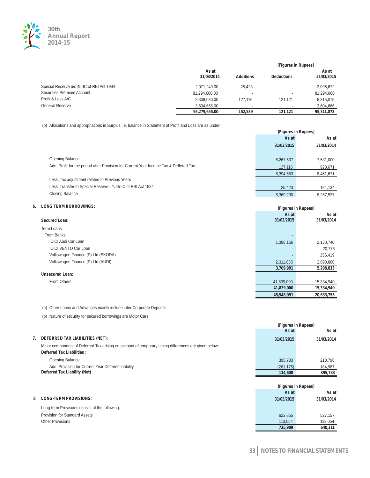

|                                           |                     |                  | (Figures in Rupees) |                     |  |
|-------------------------------------------|---------------------|------------------|---------------------|---------------------|--|
|                                           | As at<br>31/03/2014 | <b>Additions</b> | <b>Deductions</b>   | As at<br>31/03/2015 |  |
| Special Reserve u/s 45-IC of RBI Act 1934 | 2.071.249.00        | 25.423           |                     | 2,096,672           |  |
| Securities Premium Account                | 81.294.660.00       | $\,$             |                     | 81.294.660          |  |
| Profit & Loss A/C                         | 8,309,080.00        | 127.116          | 121.121             | 8,315,075           |  |
| <b>General Reserve</b>                    | 3.604.666.00        | $\,$             |                     | 3,604,666           |  |
|                                           | 95.279.655.00       | 152.539          | 121.121             | 95,311,073          |  |
|                                           |                     |                  |                     |                     |  |

(b) Allocations and appropriations in Surplus i.e. balance in Statement of Profit and Loss are as under:

| $\eta$ . Allocations and appropriations in Ourplus i.e. Dalance in Olatenient or Front and Loss are as under. |            |                     |
|---------------------------------------------------------------------------------------------------------------|------------|---------------------|
|                                                                                                               |            | (Figures in Rupees) |
|                                                                                                               | As at      | As at               |
|                                                                                                               | 31/03/2015 | 31/03/2014          |
|                                                                                                               |            |                     |
| Opening Balance                                                                                               | 8,267,537  | 7,531,000           |
| Add: Profit for the period after Provision for Current Year Income Tax & Deffered Tax                         | 127,116    | 920,671             |
|                                                                                                               | 8,394,653  | 8,451,671           |
| Less: Tax adjustment related to Previous Years                                                                |            |                     |
| Less: Transfer to Special Reserve u/s 45-IC of RBI Act 1934                                                   | 25,423     | 184,134             |
| <b>Closing Balance</b>                                                                                        | 8.369.230  | 8,267,537           |
|                                                                                                               |            |                     |
|                                                                                                               |            |                     |

#### **6. LONG TERM BORROWINGS:**

| LUNG TEKM BUKKUWINGS:               |            | (Figures in Rupees) |
|-------------------------------------|------------|---------------------|
|                                     | As at      | As at               |
| <b>Secured Loan:</b>                | 31/03/2015 | 31/03/2014          |
| Term Loans:                         |            |                     |
| From Banks                          |            |                     |
| <b>ICICI Audi Car Loan</b>          | 1,398,156  | 2,130,740           |
| <b>ICICI VENTO Car Loan</b>         |            | 20,776              |
| Volkswagen Finance (P) Ltd. (SKODA) |            | 256,419             |
| Volkswagen Finance (P) Ltd. (AUDI)  | 2,311,835  | 2,890,880           |
|                                     | 3,709,991  | 5,298,815           |
| <b>Unsecured Loan:</b>              |            |                     |
| From Others                         | 41,839,000 | 15,334,940          |
|                                     | 41,839,000 | 15,334,940          |
|                                     | 45,548,991 | 20,633,755          |

(a) Other Loans and Advances mainly include inter Corporate Deposits.

(b) Nature of security for secured borrowings are Motor Cars.

|                                                                                                      | (Figures in Rupees) |                     |  |
|------------------------------------------------------------------------------------------------------|---------------------|---------------------|--|
|                                                                                                      | As at               | As at               |  |
| DEFERRED TAX LIABILITIES (NET):                                                                      | 31/03/2015          | 31/03/2014          |  |
| Major components of Deferred Tax arising on account of temporary timing differences are given below: |                     |                     |  |
| <b>Deferred Tax Liabilities:</b>                                                                     |                     |                     |  |
| Opening Balance                                                                                      | 395,783             | 210,796             |  |
| Add: Provision for Current Year Deffered Liability                                                   | (261, 175)          | 184,987             |  |
| Deferred Tax Liability (Net)                                                                         | 134,608             | 395,783             |  |
|                                                                                                      |                     |                     |  |
|                                                                                                      |                     | (Figures in Rupees) |  |

|   |                                                | As at      | As at      |
|---|------------------------------------------------|------------|------------|
| 8 | <b>LONG-TERM PROVISIONS:</b>                   | 31/03/2015 | 31/03/2014 |
|   | Long-term Provisions consist of the following: |            |            |
|   | <b>Provision for Standard Assets</b>           | 622,855    | 527,157    |
|   | <b>Other Provisions</b>                        | 113.054    | 113.054    |
|   |                                                | 735.909    | 640,211    |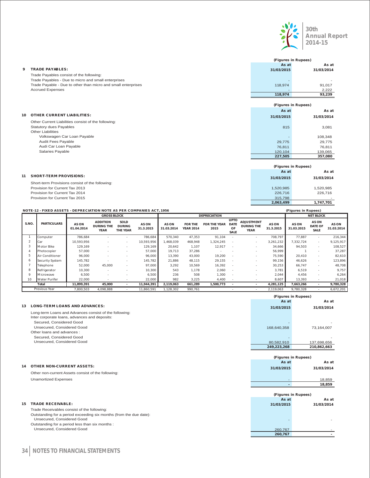

|   |                                                               | (Figures in Rupees) |                     |
|---|---------------------------------------------------------------|---------------------|---------------------|
|   |                                                               | As at               | As at               |
| 9 | <b>TRADE PAYABLES:</b>                                        | 31/03/2015          | 31/03/2014          |
|   | Trade Payables consist of the following:                      |                     |                     |
|   | Trade Payables - Due to micro and small enterprises           |                     |                     |
|   | Trade Payable - Due to other than micro and small enterprises | 118.974             | 91.017              |
|   | <b>Accrued Expenses</b>                                       |                     | 2,222               |
|   |                                                               | 118.974             | 93.239              |
|   |                                                               |                     | (Figures in Rupees) |
|   |                                                               |                     |                     |

| 10. | <b>OTHER CURRENT LIABILITIES:</b>                   | As at      | As at      |
|-----|-----------------------------------------------------|------------|------------|
|     |                                                     | 31/03/2015 | 31/03/2014 |
|     | Other Current Liabilities consist of the following: |            |            |
|     | Statutory dues Payables                             | 815        | 3.081      |
|     | <b>Other Liabilities</b>                            |            |            |
|     | Volkswagen Car Loan Payable                         |            | 108.348    |
|     | Audit Fees Payable                                  | 29,775     | 29.775     |
|     | Audi Car Loan Payable                               | 76.811     | 76.811     |
|     | Salaries Payable                                    | 120.104    | 139,065    |
|     |                                                     | 227.505    | 357.080    |

|                                                 |            | (Figures in Rupees) |
|-------------------------------------------------|------------|---------------------|
|                                                 | As at      | As at               |
| <b>SHORT-TERM PROVISIONS:</b>                   | 31/03/2015 | 31/03/2014          |
| Short-term Provisions consist of the following: |            |                     |
| Provision for Current Tax 2013                  | 1.520.985  | 1.520.985           |
| Provision for Current Tax 2014                  | 226,716    | 226,716             |
| Provision for Current Tax 2015                  | 315,798    |                     |
|                                                 | 2,063,499  | 1.747.701           |

**11 SHORT-TERM PROVISIONS:**

|                | NOTE-12 - FIXED ASSETS - DEPRECIATION NOTE AS PER COMPANIES ACT. 1956<br>(Figures in Rupees) |                     |                                                     |                                   |                    |                     |                                    |                      |                                   |                                                       |                    |                     |                          |                     |
|----------------|----------------------------------------------------------------------------------------------|---------------------|-----------------------------------------------------|-----------------------------------|--------------------|---------------------|------------------------------------|----------------------|-----------------------------------|-------------------------------------------------------|--------------------|---------------------|--------------------------|---------------------|
|                |                                                                                              |                     | <b>GROSS BLOCK</b>                                  |                                   |                    |                     | <b>DEPRECIATION</b>                |                      |                                   |                                                       |                    | <b>NET BLOCK</b>    |                          |                     |
| S.NO.          | <b>PARTICULARS</b>                                                                           | AS ON<br>01.04.2014 | <b>ADDITION</b><br><b>DURING THE</b><br><b>YEAR</b> | SOLD<br><b>DURING</b><br>THE YEAR | AS ON<br>31.3.2015 | AS ON<br>31.03.2014 | <b>FOR THE</b><br><b>YEAR 2014</b> | FOR THE YEAR<br>2015 | <b>UPTO</b><br>DATE<br>OF<br>SALE | <b>ADJUSTMENT</b><br><b>DURING THE</b><br><b>YEAR</b> | AS ON<br>31.3.2015 | AS ON<br>31.03.2015 | AS ON<br>DATE OF<br>SALE | AS ON<br>31.03.2014 |
|                | Computer                                                                                     | 786.684             |                                                     |                                   | 786.684            | 570.340             | 47,353                             | 91,104               |                                   |                                                       | 708.797            | 77,887              | ×.                       | 216,344             |
| $\overline{2}$ | Car                                                                                          | 10.593.956          |                                                     | ٠                                 | 10.593.956         | 1.468.039           | 468,948                            | 1,324,245            | ٠                                 |                                                       | 3,261,232          | 7,332,724           | $\sim$                   | 9,125,917           |
| 3              | Motor Bike                                                                                   | 129.169             |                                                     |                                   | 129.169            | 20,642              | 1,107                              | 12,917               | ٠                                 |                                                       | 34,666             | 94,503              | ۰                        | 108,527             |
| $\overline{4}$ | Photocopier                                                                                  | 57,000              |                                                     |                                   | 57,000             | 19,713              | 37,286                             |                      |                                   |                                                       | 56,999             |                     |                          | 37,287              |
| 5              | Air Conditioner                                                                              | 96.000              |                                                     |                                   | 96,000             | 13.390              | 43.000                             | 19,200               | ٠                                 |                                                       | 75.590             | 20.410              |                          | 82,610              |
| 6              | <b>Security System</b>                                                                       | 145.782             |                                                     |                                   | 145.782            | 21.886              | 48,115                             | 29,155               | ٠                                 |                                                       | 99.156             | 46,626              | ۰                        | 123,896             |
|                | Telephone                                                                                    | 52,000              | 45,000                                              | ٠                                 | 97,000             | 3,292               | 10,569                             | 16,392               | ٠                                 |                                                       | 30,253             | 66,747              | ۰                        | 48,708              |
| 8              | Refrigerator                                                                                 | 10,300              | $\sim$                                              |                                   | 10,300             | 543                 | 1,178                              | 2,060                | ÷                                 |                                                       | 3.781              | 6,519               |                          | 9,757               |
| 9              | Microwave                                                                                    | 6,500               |                                                     |                                   | 6,500              | 236                 | 508                                | 1,300                | ٠                                 |                                                       | 2.044              | 4.456               |                          | 6,264               |
| 10             | <b>Water Purifer</b>                                                                         | 22,000              |                                                     |                                   | 22,000             | 982                 | 3,225                              | 4,400                |                                   |                                                       | 8,607              | 13,393              |                          | 21,018              |
|                | Total                                                                                        | 11,899,391          | 45,000                                              |                                   | 11,944,391         | 2,119,063           | 661,289                            | 1,500,773            |                                   |                                                       | 4,281,125          | 7,663,266           |                          | 9,780,328           |
|                | Previous Year                                                                                | 7,800,503           | 4,098,888                                           |                                   | 11,860,591         | 1,128,302           | 990,761                            |                      |                                   |                                                       | 2,119,063          | 9,780,328           |                          | 6,672,201           |

|    |                                                                    | (Figures in Rupees) |                     |  |
|----|--------------------------------------------------------------------|---------------------|---------------------|--|
|    |                                                                    | As at               | As at               |  |
| 13 | <b>LONG-TERM LOANS AND ADVANCES:</b>                               | 31/03/2015          | 31/03/2014          |  |
|    | Long-term Loans and Advances consist of the following:             |                     |                     |  |
|    | Inter corporate loans, advances and deposits:                      |                     |                     |  |
|    | Secured, Considered Good                                           |                     |                     |  |
|    | Unsecured, Considered Good                                         | 168,640,358         | 73,164,007          |  |
|    | Other loans and advances :                                         |                     |                     |  |
|    | Secured, Considered Good                                           |                     |                     |  |
|    | Unsecured, Considered Good                                         | 80.582.910          | 137,698,656         |  |
|    |                                                                    | 249,223,268         | 210,862,663         |  |
|    |                                                                    |                     |                     |  |
|    |                                                                    |                     | (Figures in Rupees) |  |
|    |                                                                    | As at               | As at               |  |
| 14 | <b>OTHER NON-CURRENT ASSETS:</b>                                   | 31/03/2015          | 31/03/2014          |  |
|    | Other non-current Assets consist of the following:                 |                     |                     |  |
|    | <b>Unamortized Expenses</b>                                        |                     | 18,859              |  |
|    |                                                                    |                     | 18,859              |  |
|    |                                                                    |                     |                     |  |
|    |                                                                    |                     | (Figures in Rupees) |  |
|    |                                                                    | As at               | As at               |  |
| 15 | <b>TRADE RECEIVABLE:</b>                                           | 31/03/2015          | 31/03/2014          |  |
|    | Trade Receivables consist of the following:                        |                     |                     |  |
|    | Outstanding for a period exceeding six months (from the due date): |                     |                     |  |
|    | Unsecured, Considered Good                                         |                     |                     |  |
|    | Outstanding for a period less than six months :                    |                     |                     |  |
|    | Unsecured, Considered Good                                         | 260.767             |                     |  |
|    |                                                                    | 260.767             |                     |  |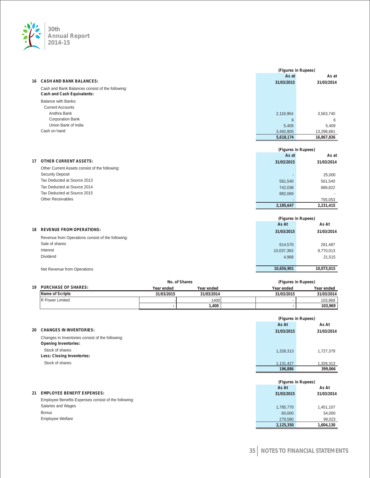

|    |                                                                                       | (Figures in Rupees) |            |  |
|----|---------------------------------------------------------------------------------------|---------------------|------------|--|
|    |                                                                                       | As at               | As at      |  |
| 16 | <b>CASH AND BANK BALANCES:</b>                                                        | 31/03/2015          | 31/03/2014 |  |
|    | Cash and Bank Balances consist of the following:<br><b>Cash and Cash Equivalents:</b> |                     |            |  |
|    | Balance with Banks:                                                                   |                     |            |  |
|    | <b>Current Accounts</b>                                                               |                     |            |  |
|    | Andhra Bank                                                                           | 2,119,954           | 3,563,740  |  |
|    | <b>Corporation Bank</b>                                                               | 6                   | 6          |  |
|    | Union Bank of India                                                                   | 5,409               | 5,409      |  |
|    | Cash on hand                                                                          | 3,492,805           | 13,298,681 |  |
|    |                                                                                       | 5,618,174           | 16,867,836 |  |
|    |                                                                                       | (Figures in Rupees) |            |  |

|                                                | As at      | As at      |
|------------------------------------------------|------------|------------|
| 17 OTHER CURRENT ASSETS:                       | 31/03/2015 | 31/03/2014 |
| Other Current Assets consist of the following: |            |            |
| <b>Security Deposit</b>                        |            | 25.000     |
| Tax Deducted at Source 2013                    | 561,540    | 561.540    |
| Tax Deducted at Source 2014                    | 742,038    | 889.822    |
| Tax Deducted at Source 2015                    | 882,069    |            |
| Other Receivables                              |            | 755,053    |
|                                                | 2,185,647  | 2,231,415  |

|                                                   | (Figures in Rupees) |            |
|---------------------------------------------------|---------------------|------------|
|                                                   | As At               | As At      |
| <b>18 REVENUE FROM OPERATIONS:</b>                | 31/03/2015          | 31/03/2014 |
| Revenue from Operations consist of the following: |                     |            |
| Sale of shares                                    | 614.570             | 281,487    |
| Interest                                          | 10,037,363          | 9,770,013  |
| Dividend                                          | 4,968               | 21.515     |
|                                                   |                     |            |
| Net Revenue from Operations                       | 10.656.901          | 10.073.015 |

|    |                            | No. of Shares |            |            | (Figures in Rupees) |  |  |
|----|----------------------------|---------------|------------|------------|---------------------|--|--|
| 19 | <b>PURCHASE OF SHARES:</b> | Year ended    | Year ended | Year ended | Year ended          |  |  |
|    | <b>IName of Scripts</b>    | 31/03/2015    | 31/03/2014 | 31/03/2015 | 31/03/2014          |  |  |
|    | <b>R</b> Power Limited     |               | 1400       |            | 103.969             |  |  |
|    |                            |               | .400       |            | 103,969             |  |  |

|    |                                                                                 | (Figures in Rupees) |            |
|----|---------------------------------------------------------------------------------|---------------------|------------|
|    |                                                                                 | As At               | As At      |
| 20 | <b>CHANGES IN INVENTORIES:</b>                                                  | 31/03/2015          | 31/03/2014 |
|    | Changes in Inventories consist of the following:<br><b>Opening Inventories:</b> |                     |            |
|    | Stock of shares<br><b>Less: Closing Inventories:</b>                            | 1,328,313           | 1,727,379  |
|    | Stock of shares                                                                 | 1,131,427           | 1,328,313  |
|    |                                                                                 | 196,886             | 399,066    |
|    |                                                                                 | (Figures in Rupees) |            |
|    |                                                                                 | As At               | As At      |
| 21 | <b>EMPLOYEE BENEFIT EXPENSES:</b>                                               | 31/03/2015          | 31/03/2014 |
|    | Employee Benefits Expenses consist of the following:                            |                     |            |
|    | Salaries and Wages                                                              | 1,785,770           | 1,451,107  |
|    | <b>Bonus</b>                                                                    | 60,000              | 54,000     |
|    | <b>Employee Welfare</b>                                                         | 279,580             | 99,023     |
|    |                                                                                 | 2,125,350           | 1,604,130  |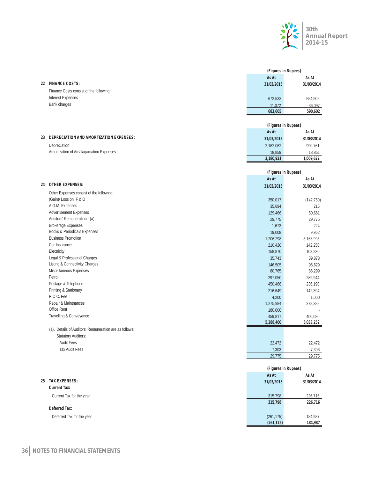

|    |                                                        | (Figures in Rupees) |                        |
|----|--------------------------------------------------------|---------------------|------------------------|
|    |                                                        | As At               | As At                  |
| 22 | <b>FINANCE COSTS:</b>                                  | 31/03/2015          | 31/03/2014             |
|    | Finance Costs consist of the following:                |                     |                        |
|    | <b>Interest Expenses</b>                               | 672,533             | 554,505                |
|    | Bank charges                                           | 11,072              | 36,097                 |
|    |                                                        | 683,605             | 590,602                |
|    |                                                        |                     |                        |
|    |                                                        | (Figures in Rupees) |                        |
|    |                                                        | As At               | As At                  |
| 23 | DEPRECIATION AND AMORTIZATION EXPENSES:                | 31/03/2015          | 31/03/2014             |
|    | Depreciation                                           | 2,162,062           | 990,761                |
|    | Amortization of Amalagamation Expenses                 | 18,859              | 18,861                 |
|    |                                                        | 2,180,921           | $\overline{1,009,622}$ |
|    |                                                        |                     |                        |
|    |                                                        | (Figures in Rupees) |                        |
| 24 | <b>OTHER EXPENSES:</b>                                 | As At               | As At                  |
|    |                                                        | 31/03/2015          | 31/03/2014             |
|    | Other Expenses consist of the following:               |                     |                        |
|    | (Gain)/ Loss on F & O                                  | 350,017             | (142, 760)             |
|    | A.G.M. Expenses                                        | 35,694              | 215                    |
|    | Advertisement Expenses<br>Auditors' Remuneration - (a) | 129,466             | 50,661                 |
|    | <b>Brokerage Expenses</b>                              | 29,775              | 29,775                 |
|    | Books & Periodicals Expenses                           | 1,673               | 224                    |
|    | <b>Business Promotion</b>                              | 19,008<br>1,206,298 | 9,962<br>3,168,993     |
|    | Car Insurance                                          | 210,420             | 142,250                |
|    | Electricity                                            | 158,870             | 103,230                |
|    | Legal & Professional Charges                           | 35,743              | 39,878                 |
|    | Listing & Connectivity Charges                         | 146,505             | 96,629                 |
|    | Miscellaneous Expenses                                 | 80,765              | 86,299                 |
|    | Petrol                                                 | 297,050             | 289,944                |
|    | Postage & Telephone                                    | 450,466             | 236,190                |
|    | Printing & Stationary                                  | 216,649             | 142,394                |
|    | R.O.C. Fee                                             | 4,200               | 1,000                  |
|    | Repair & Maintnances                                   | 1,275,984           | 378,288                |
|    | Office Rent                                            | 180,000             |                        |
|    | Travelling & Conveyance                                | 459,817             | 400,080                |
|    |                                                        | 5,288,400           | 5,033,252              |
|    | (a). Details of Auditors' Remuneration are as follows: |                     |                        |
|    | <b>Statutory Auditors:</b>                             |                     |                        |
|    | <b>Audit Fees</b>                                      | 22,472              | 22,472                 |
|    | <b>Tax Audit Fees</b>                                  | 7,303               | 7,303                  |
|    |                                                        | 29,775              | 29,775                 |
|    |                                                        |                     | (Figures in Rupees)    |
|    |                                                        | As At               | As At                  |
| 25 | <b>TAX EXPENSES:</b>                                   | 31/03/2015          | 31/03/2014             |
|    | <b>Current Tax:</b>                                    |                     |                        |
|    | Current Tax for the year                               | 315,798             | 226,716                |
|    |                                                        | 315,798             | 226,716                |
|    | Deferred Tax:                                          |                     |                        |
|    | Deferred Tax for the year                              | (261, 175)          | 184,987                |
|    |                                                        | (261, 175)          | 184,987                |
|    |                                                        |                     |                        |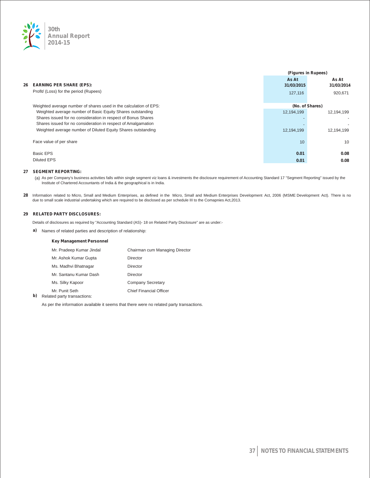

|    |                                                                   | (Figures in Rupees) |                     |
|----|-------------------------------------------------------------------|---------------------|---------------------|
| 26 | <b>EARNING PER SHARE (EPS):</b>                                   | As At<br>31/03/2015 | As At<br>31/03/2014 |
|    | Profit/ (Loss) for the period (Rupees)                            | 127,116             | 920,671             |
|    | Weighted average number of shares used in the calculation of EPS: | (No. of Shares)     |                     |
|    | Weighted average number of Basic Equity Shares outstanding        | 12,194,199          | 12,194,199          |
|    | Shares issued for no consideration in respect of Bonus Shares     |                     |                     |
|    | Shares issued for no consideration in respect of Amalgamation     |                     |                     |
|    | Weighted average number of Diluted Equity Shares outstanding      | 12,194,199          | 12,194,199          |
|    | Face value of per share                                           | 10                  | 10                  |
|    | <b>Basic EPS</b>                                                  | 0.01                | 0.08                |
|    | <b>Diluted EPS</b>                                                | 0.01                | 0.08                |

#### **27 SEGMENT REPORTING:**

(a) As per Company's business activities falls within single segment viz loans & investments the disclosure requirement of Accounting Standard 17 "Segment Reporting" issued by the Institute of Chartered Accountants of India & the geographical is in India.

28 Information related to Micro, Small and Medium Enterprises, as defined in the Micro, Small and Medium Enterprises Development Act, 2006 (MSME Development Act). There is no due to small scale industrial undertaking which are required to be disclosed as per schedule III to the Comapnies Act,2013.

#### **29 RELATED PARTY DISCLOSURES:**

Details of disclosures as required by "Accounting Standard (AS)- 18 on Related Party Disclosure" are as under:-

**a)** Names of related parties and description of relationship:

| <b>Key Management Personnel</b> |                                |
|---------------------------------|--------------------------------|
| Mr. Pradeep Kumar Jindal        | Chairman cum Managing Director |
| Mr. Ashok Kumar Gupta           | Director                       |
| Ms. Madhvi Bhatnagar            | Director                       |
| Mr. Santanu Kumar Dash          | Director                       |
| Ms. Silky Kapoor                | <b>Company Secretary</b>       |
| Mr. Punit Seth                  | <b>Chief Financial Officer</b> |

#### **b)** Related party transactions:

As per the information available it seems that there were no related party transactions.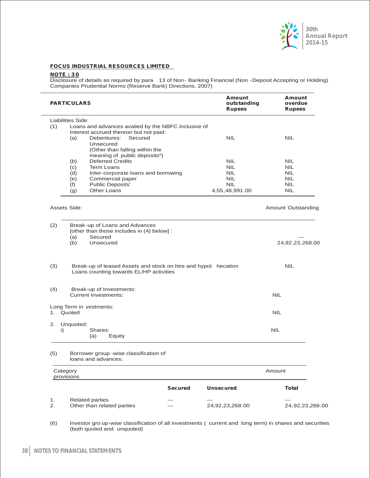

#### **NOTE : 3 0**

Disclosure of details as required by para 13 of Non- Banking Financial (Non -Deposit Accepting or Holding) Companies Prudential Norms (Reserve Bank) Directions, 2007)

| <b>Amount</b><br><b>PARTICULARS</b><br>outstanding<br><b>Rupees</b> |                   |                                                                                                           | <b>Amount</b><br>overdue<br><b>Rupees</b> |                          |                          |
|---------------------------------------------------------------------|-------------------|-----------------------------------------------------------------------------------------------------------|-------------------------------------------|--------------------------|--------------------------|
|                                                                     | Liabilities Side: |                                                                                                           |                                           |                          |                          |
| (1)                                                                 |                   | Loans and advances availed by the NBFC inclusive of                                                       |                                           |                          |                          |
|                                                                     | (a)               | Interest accrued thereon but not paid:<br>Secured<br>Debentures:                                          |                                           | <b>NIL</b>               | <b>NIL</b>               |
|                                                                     |                   | Unsecured                                                                                                 |                                           |                          |                          |
|                                                                     |                   | (Other than falling within the                                                                            |                                           |                          |                          |
|                                                                     |                   | meaning of public deposits*)                                                                              |                                           |                          |                          |
|                                                                     | (b)               | <b>Deferred Credits</b>                                                                                   |                                           | <b>NIL</b>               | <b>NIL</b>               |
|                                                                     | (c)<br>(d)        | <b>Term Loans</b><br>Inter-corporate loans and borrowing                                                  |                                           | <b>NIL</b><br><b>NIL</b> | <b>NIL</b><br><b>NIL</b> |
|                                                                     | (e)               | Commercial paper                                                                                          |                                           | <b>NIL</b>               | <b>NIL</b>               |
|                                                                     | (f)               | Public Deposits'                                                                                          |                                           | <b>NIL</b>               | <b>NIL</b>               |
|                                                                     | (g)               | <b>Other Loans</b>                                                                                        |                                           | 4,55,48,991.00           | <b>NIL</b>               |
|                                                                     | Assets Side:      |                                                                                                           |                                           |                          | Amount Outstanding       |
|                                                                     |                   |                                                                                                           |                                           |                          |                          |
| (2)                                                                 |                   | Break-up of Loans and Advances<br>[other than those includes in (4) below] :                              |                                           |                          |                          |
|                                                                     | (a)<br>(b)        | Secured<br>Unsecured                                                                                      |                                           |                          | 24,92,23,268.00          |
|                                                                     |                   |                                                                                                           |                                           |                          |                          |
| (3)                                                                 |                   | Break-up of leased Assets and stock on hire and hypot hecation<br>Loans counting towards EL/HP activities |                                           |                          | <b>NIL</b>               |
| (4)                                                                 |                   | Break-up of Investments:<br><b>Current Investments:</b>                                                   |                                           |                          | <b>NIL</b>               |
|                                                                     |                   | Long Term in vestments:                                                                                   |                                           |                          |                          |
| 1. Quoted                                                           |                   |                                                                                                           |                                           |                          | <b>NIL</b>               |
| 2.                                                                  | Unquoted:         |                                                                                                           |                                           |                          |                          |
| i)                                                                  |                   | Shares:<br>(a)<br>Equity                                                                                  |                                           |                          | <b>NIL</b>               |
|                                                                     |                   |                                                                                                           |                                           |                          |                          |
| (5)                                                                 |                   | Borrower group -wise classification of<br>loans and advances:                                             |                                           |                          |                          |
| Category                                                            | provisions        |                                                                                                           |                                           |                          | Amount                   |
|                                                                     |                   |                                                                                                           | <b>Secured</b>                            | <b>Unsecured</b>         | Total                    |
| 1.<br>2.                                                            |                   | <b>Related parties</b><br>Other than related parties                                                      | $---$                                     | $---$<br>24,92,23,268.00 | ---<br>24,92,23,268.00   |

(6) Investor gro up-wise classification of all investments ( current and long term) in shares and securities (both quoted and unquoted)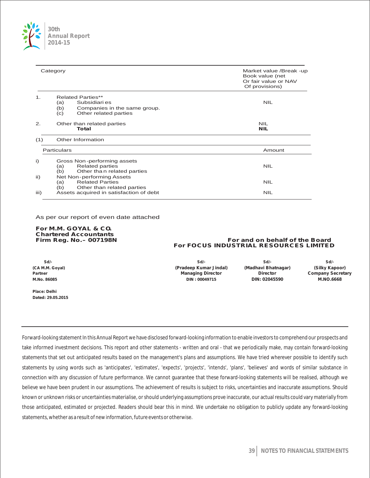

|                | Category                                                                                                                | Market value /Break -up<br>Book value (net<br>Or fair value or NAV<br>Of provisions) |  |
|----------------|-------------------------------------------------------------------------------------------------------------------------|--------------------------------------------------------------------------------------|--|
| $\mathbf{1}$ . | <b>Related Parties**</b><br>Subsidiari es<br>(a)<br>(b)<br>Companies in the same group.<br>(c)<br>Other related parties | <b>NIL</b>                                                                           |  |
| 2.             | Other than related parties<br><b>Total</b>                                                                              | <b>NIL</b><br><b>NIL</b>                                                             |  |
| (1)            | Other Information                                                                                                       |                                                                                      |  |
|                | <b>Particulars</b>                                                                                                      | Amount                                                                               |  |
| i)             | Gross Non-performing assets<br><b>Related parties</b><br>(a)<br>Other than related parties<br>(b)                       | <b>NIL</b>                                                                           |  |
| ii)            | Net Non-performing Assets<br><b>Related Parties</b><br>(a)                                                              | <b>NIL</b>                                                                           |  |
| iii)           | (b)<br>Other than related parties<br>Assets acquired in satisfaction of debt                                            | <b>NIL</b>                                                                           |  |

#### As per our report of even date attached

### **For M.M. GOYAL & CO. Chartered Accountants**

#### **For and on behalf of the Board For FOCUS INDUSTRIAL RESOURCES LIMITED**

| Sd/-            |  |  |
|-----------------|--|--|
| (CA M.M. Goyal) |  |  |
| Partner         |  |  |
| M.No. 86085     |  |  |

**Place: Delhi Dated: 29.05.2015**

**Sd/- Sd/- Sd/- Sd/- (CA M.M. Goyal) (Pradeep Kumar Jindal) (Madhavi Bhatnagar) (Silky Kapoor) Partners Partners Constanting Director Constanting Director M.No. 86085 DIN : 00049715 DIN: 02045590 M.NO.6668**

Forward-looking statement In this Annual Report we have disclosed forward-looking information to enable investors to comprehend our prospects and take informed investment decisions. This report and other statements - written and oral - that we periodically make, may contain forward-looking statements that set out anticipated results based on the management's plans and assumptions. We have tried wherever possible to identify such statements by using words such as 'anticipates', 'estimates', 'expects', 'projects', 'intends', 'plans', 'believes' and words of similar substance in connection with any discussion of future performance. We cannot guarantee that these forward-looking statements will be realised, although we believe we have been prudent in our assumptions. The achievement of results is subject to risks, uncertainties and inaccurate assumptions. Should known or unknown risks or uncertainties materialise, or should underlying assumptions prove inaccurate, our actual results could vary materially from those anticipated, estimated or projected. Readers should bear this in mind. We undertake no obligation to publicly update any forward-looking statements, whether as a result of new information, future events or otherwise.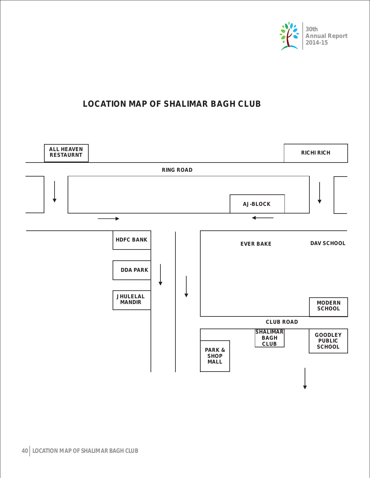

## **LOCATION MAP OF SHALIMAR BAGH CLUB**